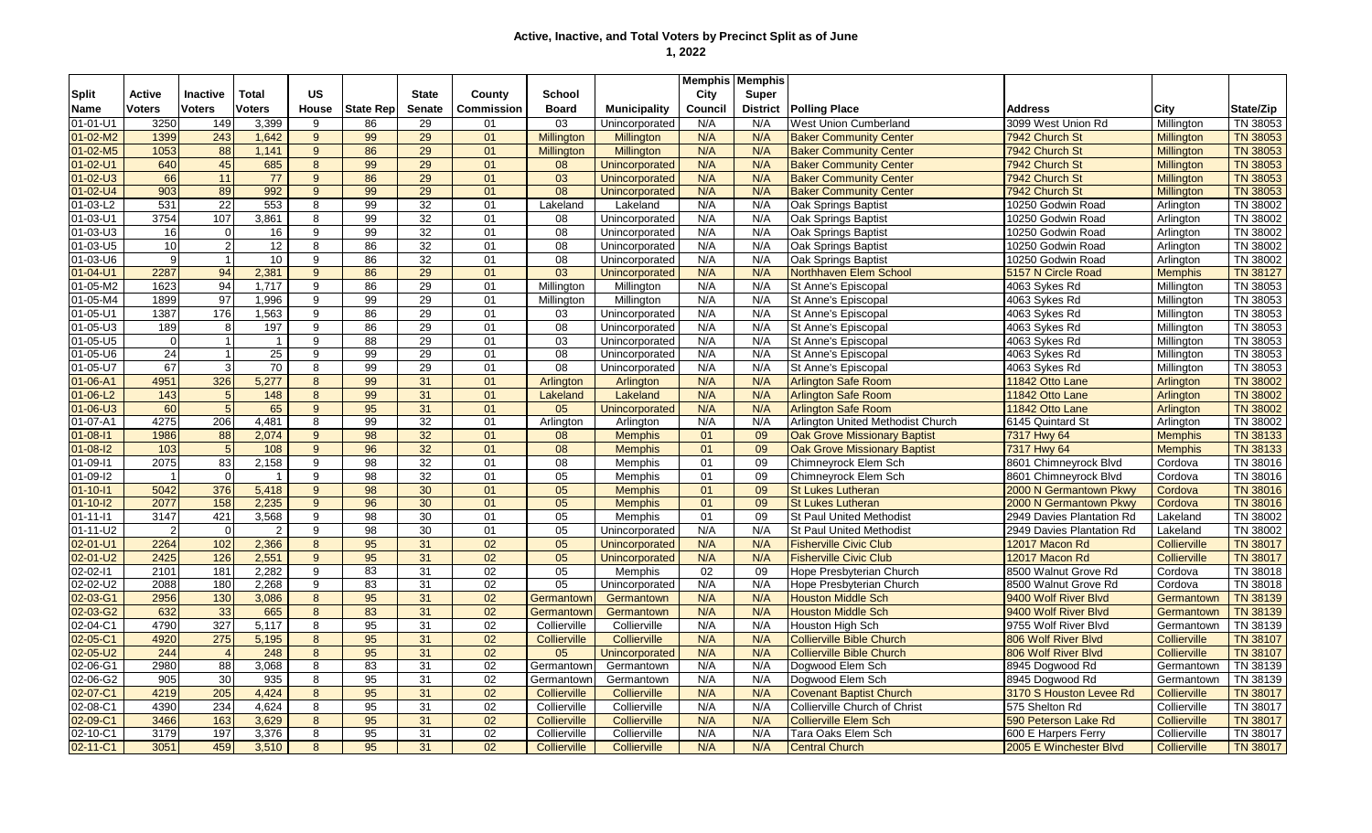|                |                         |                 |                |                |                  |                 |                   |                   |                       |         | <b>Memphis Memphis</b> |                                     |                           |                     |                 |
|----------------|-------------------------|-----------------|----------------|----------------|------------------|-----------------|-------------------|-------------------|-----------------------|---------|------------------------|-------------------------------------|---------------------------|---------------------|-----------------|
| Split          | Active                  | <b>Inactive</b> | <b>Total</b>   | <b>US</b>      |                  | <b>State</b>    | County            | School            |                       | City    | Super                  |                                     |                           |                     |                 |
| Name           | Voters                  | <b>Voters</b>   | <b>Voters</b>  | <b>House</b>   | <b>State Rep</b> | <b>Senate</b>   | <b>Commission</b> | <b>Board</b>      | <b>Municipality</b>   | Council | <b>District</b>        | <b>Polling Place</b>                | <b>Address</b>            | City                | State/Zip       |
| $01 - 01 - U1$ | 3250                    | 149             | 3,399          | 9              | 86               | 29              | 01                | 03                | Unincorporated        | N/A     | N/A                    | <b>West Union Cumberland</b>        | 3099 West Union Rd        | Millington          | TN 38053        |
| $01 - 02 - M2$ | 1399                    | 243             | 1,642          | $9^{\circ}$    | 99               | 29              | 01                | <b>Millington</b> | <b>Millington</b>     | N/A     | N/A                    | <b>Baker Community Center</b>       | 7942 Church St            | <b>Millington</b>   | <b>TN 38053</b> |
| $01 - 02 - M5$ | 1053                    | 88              | 1,141          | 9 <sup>°</sup> | 86               | 29              | 01                | <b>Millington</b> | <b>Millington</b>     | N/A     | N/A                    | <b>Baker Community Center</b>       | 7942 Church St            | <b>Millington</b>   | <b>TN 38053</b> |
| $01 - 02 - U1$ | 640                     | 45              | 685            | 8              | 99               | $\overline{29}$ | 01                | 08                | Unincorporated        | N/A     | N/A                    | <b>Baker Community Center</b>       | 7942 Church St            | <b>Millington</b>   | <b>TN 38053</b> |
| $01 - 02 - U3$ | 66                      | 11              | 77             | 9              | 86               | $\overline{29}$ | 01                | 03                | Unincorporated        | N/A     | N/A                    | <b>Baker Community Center</b>       | 7942 Church St            | <b>Millington</b>   | <b>TN 38053</b> |
| $01 - 02 - U4$ | 903                     | 89              | 992            | 9              | 99               | 29              | 01                | 08                | Unincorporated        | N/A     | N/A                    | <b>Baker Community Center</b>       | 7942 Church St            | <b>Millinaton</b>   | <b>TN 38053</b> |
| $01-03-L2$     | 531                     | 22              | 553            | 8              | 99               | 32              | 01                | Lakeland          | Lakeland              | N/A     | N/A                    | Oak Springs Baptist                 | 10250 Godwin Road         | Arlington           | TN 38002        |
| $01 - 03 - U1$ | 3754                    | 107             | 3,861          | 8              | 99               | 32              | 01                | 08                | Unincorporated        | N/A     | N/A                    | <b>Oak Springs Baptist</b>          | 10250 Godwin Road         | Arlington           | TN 38002        |
| 01-03-U3       | <b>16</b>               | $\overline{0}$  | 16             | 9              | 99               | 32              | 01                | 08                | Unincorporated        | N/A     | N/A                    | Oak Springs Baptist                 | 10250 Godwin Road         | Arlington           | TN 38002        |
| 01-03-U5       | 10 <sup>1</sup>         | 2 <sup>1</sup>  | 12             | 8              | 86               | 32              | 01                | 08                | Unincorporated        | N/A     | N/A                    | Oak Springs Baptist                 | 10250 Godwin Road         | Arlington           | TN 38002        |
| 01-03-U6       | 9                       | 11              | 10             | 9              | 86               | 32              | 01                | 08                | Unincorporated        | N/A     | N/A                    | Oak Springs Baptist                 | 10250 Godwin Road         | Arlington           | TN 38002        |
| $01 - 04 - U1$ | 2287                    | 94              | 2,381          | $9^{\circ}$    | 86               | 29              | 01                | 03                | Unincorporated        | N/A     | N/A                    | Northhaven Elem School              | 5157 N Circle Road        | <b>Memphis</b>      | <b>TN 38127</b> |
| $01 - 05 - M2$ | 1623                    | 94              | 1,717          | 9              | 86               | 29              | 01                | Millington        | Millington            | N/A     | N/A                    | St Anne's Episcopal                 | 4063 Sykes Rd             | Millington          | TN 38053        |
| $01 - 05 - M4$ | 1899                    | 97              | 1,996          | 9              | 99               | 29              | 01                | Millington        | Millington            | N/A     | N/A                    | St Anne's Episcopal                 | 4063 Sykes Rd             | Millington          | TN 38053        |
| $01 - 05 - U1$ | 1387                    | 176             | 1,563          | 9              | 86               | 29              | 01                | 03                | Unincorporated        | N/A     | N/A                    | St Anne's Episcopal                 | 4063 Sykes Rd             | Millington          | TN 38053        |
| $01 - 05 - U3$ | 189                     | 8 <sup>1</sup>  | 197            | 9              | 86               | 29              | 01                | 08                | Unincorporated        | N/A     | N/A                    | St Anne's Episcopal                 | 4063 Sykes Rd             | Millington          | TN 38053        |
| $01 - 05 - U5$ | $\overline{0}$          | $\mathbf{1}$    | $\mathbf{1}$   | 9              | 88               | 29              | 01                | 03                | Unincorporated        | N/A     | N/A                    | St Anne's Episcopal                 | 4063 Sykes Rd             | Millington          | TN 38053        |
| 01-05-U6       | 24                      | 1               | 25             | 9              | 99               | 29              | 01                | 08                | Unincorporated        | N/A     | N/A                    | St Anne's Episcopal                 | 4063 Sykes Rd             | Millington          | TN 38053        |
| 01-05-U7       | 67                      | $\overline{3}$  | 70             | 8              | 99               | 29              | 01                | 08                | Unincorporated        | N/A     | N/A                    | St Anne's Episcopal                 | 4063 Sykes Rd             | Millington          | TN 38053        |
| $01 - 06 - A1$ | 4951                    | 326             | 5,277          | 8              | 99               | 31              | 01                | Arlington         | Arlington             | N/A     | N/A                    | <b>Arlington Safe Room</b>          | 11842 Otto Lane           | Arlington           | <b>TN 38002</b> |
| $01 - 06 - L2$ | 143                     | 5 <sup>1</sup>  | 148            | 8              | 99               | 31              | 01                | Lakeland          | Lakeland              | N/A     | N/A                    | <b>Arlington Safe Room</b>          | 11842 Otto Lane           | Arlington           | <b>TN 38002</b> |
| $01 - 06 - U3$ | 60                      | $5\overline{)}$ | 65             | $9^{\circ}$    | 95               | 31              | 01                | 05                | Unincorporated        | N/A     | N/A                    | <b>Arlington Safe Room</b>          | 11842 Otto Lane           | Arlington           | <b>TN 38002</b> |
| 01-07-A1       | 4275                    | 206             | 4,481          | 8              | 99               | 32              | 01                | Arlington         | Arlington             | N/A     | N/A                    | Arlington United Methodist Church   | 6145 Quintard St          | Arlington           | TN 38002        |
| $01 - 08 - 11$ | 1986                    | 88              | 2,074          | 9              | 98               | 32              | 01                | 08                | <b>Memphis</b>        | 01      | 09                     | <b>Oak Grove Missionary Baptist</b> | 7317 Hwy 64               | <b>Memphis</b>      | <b>TN 38133</b> |
| $01 - 08 - 12$ | 103                     | 5               | 108            | 9 <sup>°</sup> | 96               | 32              | 01                | $\overline{08}$   | <b>Memphis</b>        | 01      | 09                     | <b>Oak Grove Missionary Baptist</b> | 7317 Hwy 64               | <b>Memphis</b>      | <b>TN 38133</b> |
| 01-09-11       | 2075                    | 83              | 2,158          | 9              | $\overline{98}$  | $\overline{32}$ | 01                | 08                | Memphis               | 01      | 09                     | Chimneyrock Elem Sch                | 8601 Chimneyrock Blvd     | Cordova             | TN 38016        |
| 01-09-12       | $\overline{\mathbf{1}}$ | $\Omega$        | $\overline{1}$ | 9              | 98               | 32              | 01                | 05                | <b>Memphis</b>        | 01      | 09                     | Chimneyrock Elem Sch                | 8601 Chimneyrock Blvd     | Cordova             | TN 38016        |
| $01 - 10 - 11$ | 5042                    | 376             | 5,418          | 9              | 98               | 30              | 01                | 05                | <b>Memphis</b>        | 01      | 09                     | <b>St Lukes Lutheran</b>            | 2000 N Germantown Pkwy    | Cordova             | <b>TN 38016</b> |
| $01 - 10 - 12$ | 2077                    | 158             | 2,235          | 9              | 96               | 30              | 01                | 05                | <b>Memphis</b>        | 01      | 09                     | <b>St Lukes Lutheran</b>            | 2000 N Germantown Pkwy    | Cordova             | <b>TN 38016</b> |
| $01 - 11 - 11$ | 3147                    | 421             | 3,568          | 9              | 98               | 30              | 01                | 05                | Memphis               | 01      | 09                     | <b>St Paul United Methodist</b>     | 2949 Davies Plantation Rd | Lakeland            | TN 38002        |
| $01 - 11 - U2$ | $\overline{2}$          | $\Omega$        | $\overline{2}$ | 9              | 98               | 30              | 01                | 05                | Unincorporated        | N/A     | N/A                    | <b>St Paul United Methodist</b>     | 2949 Davies Plantation Rd | Lakeland            | TN 38002        |
| $02 - 01 - U1$ | 2264                    | 102             | 2,366          | 8              | 95               | 31              | 02                | 05                | <b>Unincorporated</b> | N/A     | N/A                    | <b>Fisherville Civic Club</b>       | 12017 Macon Rd            | Collierville        | <b>TN 38017</b> |
| 02-01-U2       | 2425                    | 126             | 2,551          | 9              | 95               | 31              | 02                | 05                | Unincorporated        | N/A     | N/A                    | <b>Fisherville Civic Club</b>       | 12017 Macon Rd            | <b>Collierville</b> | <b>TN 38017</b> |
| 02-02-11       | 2101                    | 181             | 2,282          | 9              | 83               | 31              | 02                | 05                | Memphis               | 02      | 09                     | Hope Presbyterian Church            | 8500 Walnut Grove Rd      | Cordova             | TN 38018        |
| 02-02-U2       | 2088                    | 180             | 2.268          | 9              | 83               | 31              | 02                | 05                | Unincorporated        | N/A     | N/A                    | Hope Presbyterian Church            | 8500 Walnut Grove Rd      | Cordova             | TN 38018        |
| 02-03-G1       | 2956                    | 130             | 3,086          | 8              | 95               | 31              | 02                | Germantown        | Germantown            | N/A     | N/A                    | <b>Houston Middle Sch</b>           | 9400 Wolf River Blvd      | Germantown          | <b>TN 38139</b> |
| 02-03-G2       | 632                     | 33              | 665            | 8              | 83               | 31              | 02                | Germantown        | Germantown            | N/A     | N/A                    | <b>Houston Middle Sch</b>           | 9400 Wolf River Blvd      | Germantown          | <b>TN 38139</b> |
| 02-04-C1       | 4790                    | 327             | 5,117          | 8              | 95               | 31              | 02                | Collierville      | Collierville          | N/A     | N/A                    | Houston High Sch                    | 9755 Wolf River Blvd      | Germantown          | TN 38139        |
| 02-05-C1       | 4920                    | 275             | 5,195          | 8              | 95               | 31              | 02                | Collierville      | Collierville          | N/A     | N/A                    | <b>Collierville Bible Church</b>    | 806 Wolf River Blvd       | <b>Collierville</b> | <b>TN 38107</b> |
| $02 - 05 - U2$ | 244                     |                 | 248            | 8              | 95               | 31              | 02                | 05                | Unincorporated        | N/A     | N/A                    | <b>Collierville Bible Church</b>    | 806 Wolf River Blvd       | <b>Collierville</b> | <b>TN 38107</b> |
| 02-06-G1       | 2980                    | 88              | 3,068          | 8              | 83               | 31              | 02                | Germantowr        | Germantown            | N/A     | N/A                    | Dogwood Elem Sch                    | 8945 Dogwood Rd           | Germantown          | TN 38139        |
| 02-06-G2       | 905                     | 30              | 935            | 8              | 95               | 31              | 02                | Germantown        | Germantown            | N/A     | N/A                    | Dogwood Elem Sch                    | 8945 Dogwood Rd           | Germantown          | TN 38139        |
| 02-07-C1       | 4219                    | 205             | 4,424          | 8              | 95               | 31              | 02                | Collierville      | Collierville          | N/A     | N/A                    | <b>Covenant Baptist Church</b>      | 3170 S Houston Levee Rd   | Collierville        | <b>TN 38017</b> |
| 02-08-C1       | 4390                    | 234             | 4,624          | 8              | 95               | 31              | 02                | Collierville      | Collierville          | N/A     | N/A                    | Collierville Church of Christ       | 575 Shelton Rd            | Collierville        | TN 38017        |
| 02-09-C1       | 3466                    | 163             | 3,629          | 8              | $\overline{95}$  | 31              | 02                | Collierville      | Collierville          | N/A     | N/A                    | <b>Collierville Elem Sch</b>        | 590 Peterson Lake Rd      | <b>Collierville</b> | <b>TN 38017</b> |
| 02-10-C1       | 3179                    | 197             | 3,376          | 8              | 95               | 31              | 02                | Collierville      | Collierville          | N/A     | N/A                    | Tara Oaks Elem Sch                  | 600 E Harpers Ferry       | Collierville        | TN 38017        |
| 02-11-C1       | 3051                    | 459             | 3,510          | 8              | $\overline{95}$  | 31              | 02                | Collierville      | Collierville          | N/A     | N/A                    | <b>Central Church</b>               | 2005 E Winchester Blvd    | Collierville        | <b>TN 38017</b> |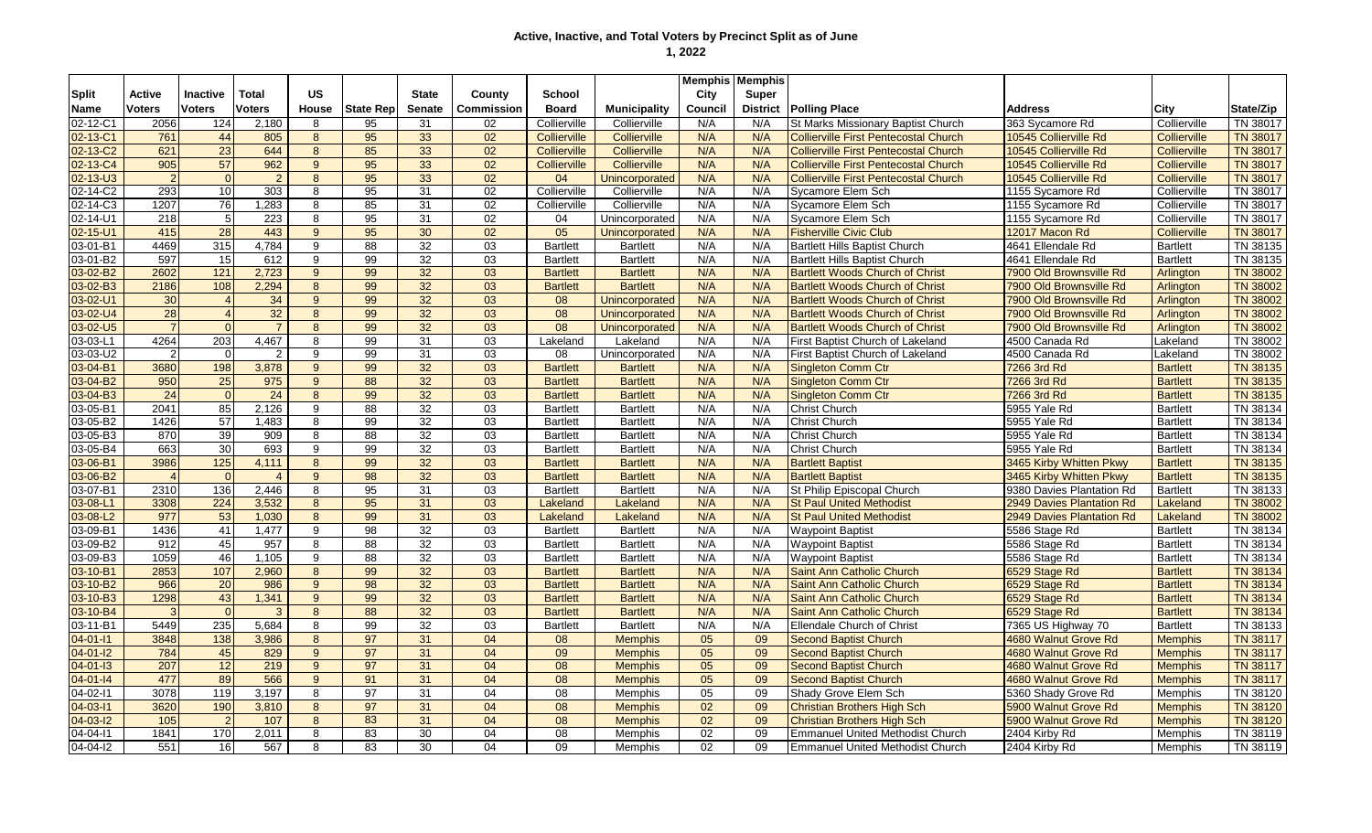| <b>Split</b><br>Inactive<br>Total<br><b>US</b><br><b>State</b><br><b>Active</b><br>County<br>School<br>City<br>Super<br><b>Voters</b><br><b>Voters</b><br><b>Voters</b><br><b>Senate</b><br>Commission<br><b>Board</b><br>Council<br><b>District</b><br><b>Polling Place</b><br>State/Zip<br><b>Name</b><br>House<br><b>State Rep</b><br><b>Municipality</b><br><b>Address</b><br>City<br>02-12-C1<br>Collierville<br>2056<br>124<br>2,180<br>95<br>31<br>N/A<br>N/A<br><b>St Marks Missionary Baptist Church</b><br>363 Sycamore Rd<br>Collierville<br>TN 38017<br>8<br>02<br>Collierville<br>02-13-C1<br>95<br>33<br>N/A<br>N/A<br>761<br>44<br>805<br>8<br>02<br>Collierville<br>Collierville<br><b>Collierville First Pentecostal Church</b><br>10545 Collierville Rd<br>Collierville<br><b>TN 38017</b><br>621<br>23<br>644<br>85<br>33<br>02-13-C2<br>8<br>02<br>N/A<br>N/A<br>10545 Collierville Rd<br><b>TN 38017</b><br>Collierville<br>Collierville<br><b>Collierville First Pentecostal Church</b><br><b>Collierville</b><br>57<br>962<br>95<br>33<br>02-13-C4<br>905<br>9<br>02<br>Collierville<br>Collierville<br>N/A<br>N/A<br><b>Collierville First Pentecostal Church</b><br>10545 Collierville Rd<br>Collierville<br><b>TN 38017</b><br>95<br>33<br>$02 - 13 - U3$<br>$\overline{2}$<br>$\overline{2}$<br>8<br>02<br>04<br>Unincorporated<br>N/A<br>N/A<br><b>Collierville First Pentecostal Church</b><br>10545 Collierville Rd<br>Collierville<br><b>TN 38017</b><br>$\Omega$<br>02-14-C2<br>293<br>303<br>95<br>10<br>8<br>31<br>02<br>Collierville<br>Collierville<br>N/A<br>N/A<br>Sycamore Elem Sch<br>1155 Sycamore Rd<br>TN 38017<br>Collierville<br>02-14-C3<br>1207<br>76<br>1,283<br>85<br>31<br>8<br>02<br>Collierville<br>Collierville<br>N/A<br>N/A<br>Sycamore Elem Sch<br>1155 Sycamore Rd<br>Collierville<br>TN 38017<br>95<br>31<br>02-14-U1<br>218<br>223<br>8<br>02<br>N/A<br>N/A<br>Sycamore Elem Sch<br>1155 Sycamore Rd<br>Collierville<br>TN 38017<br>-5<br>04<br>Unincorporated<br>30<br>$02 - 15 - U1$<br>415<br>28<br>443<br>95<br>02<br>05<br>N/A<br>N/A<br><b>Fisherville Civic Club</b><br><b>TN 38017</b><br>$9^{\circ}$<br>Unincorporated<br>12017 Macon Rd<br><b>Collierville</b><br>32<br>4469<br>315<br>03-01-B1<br>4,784<br>88<br>03<br>N/A<br>N/A<br>Bartlett Hills Baptist Church<br>4641 Ellendale Rd<br>TN 38135<br>9<br><b>Bartlett</b><br><b>Bartlett</b><br><b>Bartlett</b><br>99<br>32<br>03<br>03-01-B2<br>597<br>N/A<br>N/A<br>4641 Ellendale Rd<br>TN 38135<br>15<br>612<br>9<br><b>Bartlett</b><br><b>Bartlett</b><br><b>Bartlett Hills Baptist Church</b><br><b>Bartlett</b><br>32<br>03-02-B2<br>2602<br>121<br>2,723<br>99<br>03<br>9<br><b>Bartlett</b><br>N/A<br>N/A<br><b>Bartlett Woods Church of Christ</b><br>7900 Old Brownsville Rd<br><b>TN 38002</b><br><b>Bartlett</b><br>Arlington<br>32<br>03-02-B3<br>2186<br>108<br>2,294<br>99<br>03<br>N/A<br>N/A<br><b>TN 38002</b><br>8<br><b>Bartlett</b><br><b>Bartlett</b><br><b>Bartlett Woods Church of Christ</b><br>7900 Old Brownsville Rd<br>Arlington<br>32<br>30<br>34<br>99<br>03<br>N/A<br>N/A<br>7900 Old Brownsville Rd<br><b>TN 38002</b><br>03-02-U1<br>9<br>08<br><b>Bartlett Woods Church of Christ</b><br>Unincorporated<br>Arlington<br>32<br>03-02-U4<br>28<br>99<br>32<br>03<br>08<br>N/A<br>N/A<br><b>TN 38002</b><br>8<br>Unincorporated<br><b>Bartlett Woods Church of Christ</b><br>7900 Old Brownsville Rd<br>Arlington<br>$\overline{7}$<br>32<br>03-02-U5<br>$\overline{7}$<br>8<br>99<br>03<br>08<br>N/A<br>N/A<br>7900 Old Brownsville Rd<br><b>TN 38002</b><br>Unincorporated<br><b>Bartlett Woods Church of Christ</b><br>Arlington<br>03-03-L1<br>4264<br>4,467<br>99<br>03<br>N/A<br>203<br>8<br>31<br>Lakeland<br>N/A<br>First Baptist Church of Lakeland<br>4500 Canada Rd<br>TN 38002<br>Lakeland<br>Lakeland<br>03-03-U2<br>$\overline{2}$<br>$\overline{2}$<br>9<br>99<br>31<br>03<br>08<br>N/A<br>N/A<br>First Baptist Church of Lakeland<br>4500 Canada Rd<br>TN 38002<br>Unincorporated<br>Lakeland<br>03-04-B1<br>3680<br>198<br>3,878<br>9<br>99<br>32<br>03<br>N/A<br>N/A<br>7266 3rd Rd<br><b>TN 38135</b><br><b>Bartlett</b><br><b>Bartlett</b><br><b>Singleton Comm Ctr</b><br><b>Bartlett</b><br>03-04-B2<br>950<br>$\overline{25}$<br>88<br>32<br>03<br>N/A<br>TN 38135<br>975<br>9<br><b>Bartlett</b><br><b>Bartlett</b><br>N/A<br><b>Singleton Comm Ctr</b><br>7266 3rd Rd<br><b>Bartlett</b><br>03-04-B3<br>24<br>$\overline{24}$<br>99<br>32<br>03<br>N/A<br>N/A<br>7266 3rd Rd<br>TN 38135<br>8<br><b>Bartlett</b><br><b>Bartlett</b><br><b>Singleton Comm Ctr</b><br><b>Bartlett</b><br>$\overline{32}$<br>85<br>2,126<br>88<br>03<br>TN 38134<br>03-05-B1<br>2041<br>9<br><b>Bartlett</b><br>N/A<br>N/A<br><b>Christ Church</b><br>5955 Yale Rd<br><b>Bartlett</b><br><b>Bartlett</b><br>57<br>99<br>32<br>03-05-B2<br>1426<br>1,483<br>8<br>03<br>N/A<br>N/A<br><b>Christ Church</b><br>5955 Yale Rd<br><b>Bartlett</b><br>TN 38134<br><b>Bartlett</b><br><b>Bartlett</b><br>39<br>32<br>03-05-B3<br>88<br>03<br>TN 38134<br>870<br>909<br>8<br><b>Bartlett</b><br><b>Bartlett</b><br>N/A<br>N/A<br><b>Christ Church</b><br>5955 Yale Rd<br><b>Bartlett</b><br>30<br>693<br>99<br>32<br>N/A<br>03-05-B4<br>663<br>9<br>03<br><b>Bartlett</b><br><b>Bartlett</b><br>N/A<br><b>Christ Church</b><br>5955 Yale Rd<br><b>Bartlett</b><br>TN 38134<br>99<br>32<br>TN 38135<br>03-06-B1<br>3986<br>125<br>4,111<br>03<br><b>Bartlett</b><br>N/A<br><b>Bartlett Baptist</b><br>3465 Kirby Whitten Pkwy<br>8<br><b>Bartlett</b><br>N/A<br><b>Bartlett</b><br>98<br>03-06-B2<br>32<br>03<br>N/A<br>N/A<br>TN 38135<br>9<br><b>Bartlett</b><br><b>Bartlett</b><br><b>Bartlett Baptist</b><br>3465 Kirby Whitten Pkwy<br><b>Bartlett</b><br>$\overline{4}$<br>$\overline{4}$<br>95<br>$\overline{31}$<br>03<br>03-07-B1<br>2310<br>136<br>2,446<br>8<br><b>Bartlett</b><br><b>Bartlett</b><br>N/A<br>N/A<br>St Philip Episcopal Church<br>9380 Davies Plantation Rd<br>TN 38133<br><b>Bartlett</b><br>95<br>31<br>03-08-L1<br>3308<br>224<br>3,532<br>03<br>N/A<br>N/A<br><b>St Paul United Methodist</b><br>2949 Davies Plantation Rd<br>Lakeland<br><b>TN 38002</b><br>8<br>Lakeland<br>Lakeland<br>977<br>53<br>99<br>31<br>03-08-L2<br>1.030<br>8<br>03<br>Lakeland<br>Lakeland<br>N/A<br>N/A<br><b>St Paul United Methodist</b><br>2949 Davies Plantation Rd<br>Lakeland<br><b>TN 38002</b><br>03-09-B1<br>1436<br>41<br>98<br>32<br>1,477<br>9<br>03<br><b>Bartlett</b><br><b>Bartlett</b><br>N/A<br>N/A<br><b>Waypoint Baptist</b><br>5586 Stage Rd<br><b>Bartlett</b><br>TN 38134<br>03-09-B2<br>45<br>88<br>32<br>912<br>957<br>8<br>03<br>N/A<br>N/A<br>5586 Stage Rd<br><b>Bartlett</b><br>TN 38134<br><b>Bartlett</b><br><b>Bartlett</b><br><b>Waypoint Baptist</b><br>03-09-B3<br>46<br>32<br>1059<br>1,105<br>9<br>88<br>03<br>N/A<br>N/A<br><b>Waypoint Baptist</b><br>5586 Stage Rd<br><b>Bartlett</b><br>TN 38134<br><b>Bartlett</b><br><b>Bartlett</b><br>32<br>03-10-B1<br>2853<br>107<br>2,960<br>99<br>03<br>N/A<br>N/A<br><b>TN 38134</b><br>8<br><b>Bartlett</b><br><b>Bartlett</b><br>Saint Ann Catholic Church<br>6529 Stage Rd<br><b>Bartlett</b><br>32<br>03-10-B2<br>966<br>20<br>986<br>98<br>03<br>N/A<br>N/A<br><b>TN 38134</b><br>$9^{\circ}$<br><b>Bartlett</b><br><b>Bartlett</b><br>Saint Ann Catholic Church<br>6529 Stage Rd<br><b>Bartlett</b><br>99<br>32<br>03-10-B3<br>1298<br>43<br>1,341<br>03<br>N/A<br>N/A<br>TN 38134<br>9<br><b>Bartlett</b><br><b>Bartlett</b><br>Saint Ann Catholic Church<br>6529 Stage Rd<br><b>Bartlett</b><br>32<br>03-10-B4<br>88<br>03<br>TN 38134<br>$\mathbf{3}$<br>8<br><b>Bartlett</b><br>N/A<br>N/A<br>Saint Ann Catholic Church<br>6529 Stage Rd<br><b>Bartlett</b><br>3<br><b>Bartlett</b><br>$03 - 11 - B1$<br>235<br>99<br>$\overline{32}$<br>5449<br>5.684<br>03<br>N/A<br>N/A<br>7365 US Highway 70<br>TN 38133<br>8<br><b>Bartlett</b><br>Ellendale Church of Christ<br><b>Bartlett</b><br><b>Bartlett</b><br>3848<br>138<br>3,986<br>97<br>31<br>04<br><b>TN 38117</b><br>$04 - 01 - 11$<br>8<br>08<br><b>Memphis</b><br>05<br>09<br><b>Second Baptist Church</b><br>4680 Walnut Grove Rd<br><b>Memphis</b><br>$04 - 01 - 12$<br>784<br>45<br>829<br>97<br>31<br>04<br>09<br>09<br><b>TN 38117</b><br>9<br><b>Memphis</b><br>05<br><b>Second Baptist Church</b><br>4680 Walnut Grove Rd<br><b>Memphis</b><br>$04 - 01 - 13$<br>207<br>12<br>219<br>97<br>31<br>04<br>08<br>05<br>09<br><b>Second Baptist Church</b><br><b>TN 38117</b><br>9<br><b>Memphis</b><br>4680 Walnut Grove Rd<br><b>Memphis</b><br>$04 - 01 - 14$<br>477<br>89<br>566<br>91<br>31<br>04<br>08<br>05<br>09<br>9<br><b>Second Baptist Church</b><br><b>TN 38117</b><br><b>Memphis</b><br>4680 Walnut Grove Rd<br><b>Memphis</b><br>3078<br>04-02-11<br>119<br>3,197<br>8<br>97<br>31<br>04<br>08<br>05<br>09<br>Shady Grove Elem Sch<br>TN 38120<br>Memphis<br>5360 Shady Grove Rd<br>Memphis<br>04-03-11<br>3620<br>190<br>3,810<br>97<br>31<br>04<br>08<br>02<br>09<br>5900 Walnut Grove Rd<br><b>TN 38120</b><br>8<br><b>Memphis</b><br><b>Christian Brothers High Sch</b><br><b>Memphis</b><br>83<br>04-03-12<br>105<br>107<br>8<br>31<br>04<br>08<br>02<br>09<br>5900 Walnut Grove Rd<br><b>Memphis</b><br><b>TN 38120</b><br><b>Memphis</b><br><b>Christian Brothers High Sch</b><br>04-04-11<br>1841<br>170<br>2.011<br>83<br>30<br>04<br>08<br>02<br>09<br>TN 38119<br>8<br><b>Emmanuel United Methodist Church</b><br>2404 Kirby Rd<br><b>Memphis</b><br><b>Memphis</b><br>$\overline{83}$<br>$04 - 04 - 12$<br>551<br>16<br>567<br>30<br>09<br>8<br>04<br>02<br>09<br>Emmanuel United Methodist Church<br>2404 Kirby Rd<br>Memphis<br>TN 38119<br>Memphis |  |  |  |  |  | <b>Memphis   Memphis</b> |  |  |
|-------------------------------------------------------------------------------------------------------------------------------------------------------------------------------------------------------------------------------------------------------------------------------------------------------------------------------------------------------------------------------------------------------------------------------------------------------------------------------------------------------------------------------------------------------------------------------------------------------------------------------------------------------------------------------------------------------------------------------------------------------------------------------------------------------------------------------------------------------------------------------------------------------------------------------------------------------------------------------------------------------------------------------------------------------------------------------------------------------------------------------------------------------------------------------------------------------------------------------------------------------------------------------------------------------------------------------------------------------------------------------------------------------------------------------------------------------------------------------------------------------------------------------------------------------------------------------------------------------------------------------------------------------------------------------------------------------------------------------------------------------------------------------------------------------------------------------------------------------------------------------------------------------------------------------------------------------------------------------------------------------------------------------------------------------------------------------------------------------------------------------------------------------------------------------------------------------------------------------------------------------------------------------------------------------------------------------------------------------------------------------------------------------------------------------------------------------------------------------------------------------------------------------------------------------------------------------------------------------------------------------------------------------------------------------------------------------------------------------------------------------------------------------------------------------------------------------------------------------------------------------------------------------------------------------------------------------------------------------------------------------------------------------------------------------------------------------------------------------------------------------------------------------------------------------------------------------------------------------------------------------------------------------------------------------------------------------------------------------------------------------------------------------------------------------------------------------------------------------------------------------------------------------------------------------------------------------------------------------------------------------------------------------------------------------------------------------------------------------------------------------------------------------------------------------------------------------------------------------------------------------------------------------------------------------------------------------------------------------------------------------------------------------------------------------------------------------------------------------------------------------------------------------------------------------------------------------------------------------------------------------------------------------------------------------------------------------------------------------------------------------------------------------------------------------------------------------------------------------------------------------------------------------------------------------------------------------------------------------------------------------------------------------------------------------------------------------------------------------------------------------------------------------------------------------------------------------------------------------------------------------------------------------------------------------------------------------------------------------------------------------------------------------------------------------------------------------------------------------------------------------------------------------------------------------------------------------------------------------------------------------------------------------------------------------------------------------------------------------------------------------------------------------------------------------------------------------------------------------------------------------------------------------------------------------------------------------------------------------------------------------------------------------------------------------------------------------------------------------------------------------------------------------------------------------------------------------------------------------------------------------------------------------------------------------------------------------------------------------------------------------------------------------------------------------------------------------------------------------------------------------------------------------------------------------------------------------------------------------------------------------------------------------------------------------------------------------------------------------------------------------------------------------------------------------------------------------------------------------------------------------------------------------------------------------------------------------------------------------------------------------------------------------------------------------------------------------------------------------------------------------------------------------------------------------------------------------------------------------------------------------------------------------------------------------------------------------------------------------------------------------------------------------------------------------------------------------------------------------------------------------------------------------------------------------------------------------------------------------------------------------------------------------------------------------------------------------------------------------------------------------------------------------------------------------------------------------------------------------------------------------------------------------------------------------------------------------------------------------------------------------------------------------------------------------------------------------------------------------------------------------------------------------------------------------------------------------------------------------------------------------------------------------------------------------------------------------------------------------------------------------------------------------------------------------------------------------------------------------------------------------------------------------------------------------------------------------------------------------------------------------------------------------------------------------------------------------------------------------------------------------------------------------------------------------------------------------------------------------------------------------------------------------------------------------------------------------------------------------------------------------------------------------------------------------------------------------------------------------------------------------------------------------------------------------------------------------------------------------------------------------------------------------------------------------------------------------------------------------------------------------------------------------------------------------------------------------------------------------------------------------------------------------------------------------------------------------------------------------------------------------------------------------------------------------------------------------------------------------------------------------------------------------------------------------------------------------------------------------------------------------------------------------------------------------------------------------------------------------------------------------------------------------------------------------------------------------------------------------------------------------------------------------------------------------|--|--|--|--|--|--------------------------|--|--|
|                                                                                                                                                                                                                                                                                                                                                                                                                                                                                                                                                                                                                                                                                                                                                                                                                                                                                                                                                                                                                                                                                                                                                                                                                                                                                                                                                                                                                                                                                                                                                                                                                                                                                                                                                                                                                                                                                                                                                                                                                                                                                                                                                                                                                                                                                                                                                                                                                                                                                                                                                                                                                                                                                                                                                                                                                                                                                                                                                                                                                                                                                                                                                                                                                                                                                                                                                                                                                                                                                                                                                                                                                                                                                                                                                                                                                                                                                                                                                                                                                                                                                                                                                                                                                                                                                                                                                                                                                                                                                                                                                                                                                                                                                                                                                                                                                                                                                                                                                                                                                                                                                                                                                                                                                                                                                                                                                                                                                                                                                                                                                                                                                                                                                                                                                                                                                                                                                                                                                                                                                                                                                                                                                                                                                                                                                                                                                                                                                                                                                                                                                                                                                                                                                                                                                                                                                                                                                                                                                                                                                                                                                                                                                                                                                                                                                                                                                                                                                                                                                                                                                                                                                                                                                                                                                                                                                                                                                                                                                                                                                                                                                                                                                                                                                                                                                                                                                                                                                                                                                                                                                                                                                                                                                                                                                                                                                                                                                                                                                                                                                                                                                                                                                                                                                                                                                                                                                                                                                                                                                                                                                                                                                                                                                                                                                                                                       |  |  |  |  |  |                          |  |  |
|                                                                                                                                                                                                                                                                                                                                                                                                                                                                                                                                                                                                                                                                                                                                                                                                                                                                                                                                                                                                                                                                                                                                                                                                                                                                                                                                                                                                                                                                                                                                                                                                                                                                                                                                                                                                                                                                                                                                                                                                                                                                                                                                                                                                                                                                                                                                                                                                                                                                                                                                                                                                                                                                                                                                                                                                                                                                                                                                                                                                                                                                                                                                                                                                                                                                                                                                                                                                                                                                                                                                                                                                                                                                                                                                                                                                                                                                                                                                                                                                                                                                                                                                                                                                                                                                                                                                                                                                                                                                                                                                                                                                                                                                                                                                                                                                                                                                                                                                                                                                                                                                                                                                                                                                                                                                                                                                                                                                                                                                                                                                                                                                                                                                                                                                                                                                                                                                                                                                                                                                                                                                                                                                                                                                                                                                                                                                                                                                                                                                                                                                                                                                                                                                                                                                                                                                                                                                                                                                                                                                                                                                                                                                                                                                                                                                                                                                                                                                                                                                                                                                                                                                                                                                                                                                                                                                                                                                                                                                                                                                                                                                                                                                                                                                                                                                                                                                                                                                                                                                                                                                                                                                                                                                                                                                                                                                                                                                                                                                                                                                                                                                                                                                                                                                                                                                                                                                                                                                                                                                                                                                                                                                                                                                                                                                                                                                       |  |  |  |  |  |                          |  |  |
|                                                                                                                                                                                                                                                                                                                                                                                                                                                                                                                                                                                                                                                                                                                                                                                                                                                                                                                                                                                                                                                                                                                                                                                                                                                                                                                                                                                                                                                                                                                                                                                                                                                                                                                                                                                                                                                                                                                                                                                                                                                                                                                                                                                                                                                                                                                                                                                                                                                                                                                                                                                                                                                                                                                                                                                                                                                                                                                                                                                                                                                                                                                                                                                                                                                                                                                                                                                                                                                                                                                                                                                                                                                                                                                                                                                                                                                                                                                                                                                                                                                                                                                                                                                                                                                                                                                                                                                                                                                                                                                                                                                                                                                                                                                                                                                                                                                                                                                                                                                                                                                                                                                                                                                                                                                                                                                                                                                                                                                                                                                                                                                                                                                                                                                                                                                                                                                                                                                                                                                                                                                                                                                                                                                                                                                                                                                                                                                                                                                                                                                                                                                                                                                                                                                                                                                                                                                                                                                                                                                                                                                                                                                                                                                                                                                                                                                                                                                                                                                                                                                                                                                                                                                                                                                                                                                                                                                                                                                                                                                                                                                                                                                                                                                                                                                                                                                                                                                                                                                                                                                                                                                                                                                                                                                                                                                                                                                                                                                                                                                                                                                                                                                                                                                                                                                                                                                                                                                                                                                                                                                                                                                                                                                                                                                                                                                                       |  |  |  |  |  |                          |  |  |
|                                                                                                                                                                                                                                                                                                                                                                                                                                                                                                                                                                                                                                                                                                                                                                                                                                                                                                                                                                                                                                                                                                                                                                                                                                                                                                                                                                                                                                                                                                                                                                                                                                                                                                                                                                                                                                                                                                                                                                                                                                                                                                                                                                                                                                                                                                                                                                                                                                                                                                                                                                                                                                                                                                                                                                                                                                                                                                                                                                                                                                                                                                                                                                                                                                                                                                                                                                                                                                                                                                                                                                                                                                                                                                                                                                                                                                                                                                                                                                                                                                                                                                                                                                                                                                                                                                                                                                                                                                                                                                                                                                                                                                                                                                                                                                                                                                                                                                                                                                                                                                                                                                                                                                                                                                                                                                                                                                                                                                                                                                                                                                                                                                                                                                                                                                                                                                                                                                                                                                                                                                                                                                                                                                                                                                                                                                                                                                                                                                                                                                                                                                                                                                                                                                                                                                                                                                                                                                                                                                                                                                                                                                                                                                                                                                                                                                                                                                                                                                                                                                                                                                                                                                                                                                                                                                                                                                                                                                                                                                                                                                                                                                                                                                                                                                                                                                                                                                                                                                                                                                                                                                                                                                                                                                                                                                                                                                                                                                                                                                                                                                                                                                                                                                                                                                                                                                                                                                                                                                                                                                                                                                                                                                                                                                                                                                                                       |  |  |  |  |  |                          |  |  |
|                                                                                                                                                                                                                                                                                                                                                                                                                                                                                                                                                                                                                                                                                                                                                                                                                                                                                                                                                                                                                                                                                                                                                                                                                                                                                                                                                                                                                                                                                                                                                                                                                                                                                                                                                                                                                                                                                                                                                                                                                                                                                                                                                                                                                                                                                                                                                                                                                                                                                                                                                                                                                                                                                                                                                                                                                                                                                                                                                                                                                                                                                                                                                                                                                                                                                                                                                                                                                                                                                                                                                                                                                                                                                                                                                                                                                                                                                                                                                                                                                                                                                                                                                                                                                                                                                                                                                                                                                                                                                                                                                                                                                                                                                                                                                                                                                                                                                                                                                                                                                                                                                                                                                                                                                                                                                                                                                                                                                                                                                                                                                                                                                                                                                                                                                                                                                                                                                                                                                                                                                                                                                                                                                                                                                                                                                                                                                                                                                                                                                                                                                                                                                                                                                                                                                                                                                                                                                                                                                                                                                                                                                                                                                                                                                                                                                                                                                                                                                                                                                                                                                                                                                                                                                                                                                                                                                                                                                                                                                                                                                                                                                                                                                                                                                                                                                                                                                                                                                                                                                                                                                                                                                                                                                                                                                                                                                                                                                                                                                                                                                                                                                                                                                                                                                                                                                                                                                                                                                                                                                                                                                                                                                                                                                                                                                                                                       |  |  |  |  |  |                          |  |  |
|                                                                                                                                                                                                                                                                                                                                                                                                                                                                                                                                                                                                                                                                                                                                                                                                                                                                                                                                                                                                                                                                                                                                                                                                                                                                                                                                                                                                                                                                                                                                                                                                                                                                                                                                                                                                                                                                                                                                                                                                                                                                                                                                                                                                                                                                                                                                                                                                                                                                                                                                                                                                                                                                                                                                                                                                                                                                                                                                                                                                                                                                                                                                                                                                                                                                                                                                                                                                                                                                                                                                                                                                                                                                                                                                                                                                                                                                                                                                                                                                                                                                                                                                                                                                                                                                                                                                                                                                                                                                                                                                                                                                                                                                                                                                                                                                                                                                                                                                                                                                                                                                                                                                                                                                                                                                                                                                                                                                                                                                                                                                                                                                                                                                                                                                                                                                                                                                                                                                                                                                                                                                                                                                                                                                                                                                                                                                                                                                                                                                                                                                                                                                                                                                                                                                                                                                                                                                                                                                                                                                                                                                                                                                                                                                                                                                                                                                                                                                                                                                                                                                                                                                                                                                                                                                                                                                                                                                                                                                                                                                                                                                                                                                                                                                                                                                                                                                                                                                                                                                                                                                                                                                                                                                                                                                                                                                                                                                                                                                                                                                                                                                                                                                                                                                                                                                                                                                                                                                                                                                                                                                                                                                                                                                                                                                                                                                       |  |  |  |  |  |                          |  |  |
|                                                                                                                                                                                                                                                                                                                                                                                                                                                                                                                                                                                                                                                                                                                                                                                                                                                                                                                                                                                                                                                                                                                                                                                                                                                                                                                                                                                                                                                                                                                                                                                                                                                                                                                                                                                                                                                                                                                                                                                                                                                                                                                                                                                                                                                                                                                                                                                                                                                                                                                                                                                                                                                                                                                                                                                                                                                                                                                                                                                                                                                                                                                                                                                                                                                                                                                                                                                                                                                                                                                                                                                                                                                                                                                                                                                                                                                                                                                                                                                                                                                                                                                                                                                                                                                                                                                                                                                                                                                                                                                                                                                                                                                                                                                                                                                                                                                                                                                                                                                                                                                                                                                                                                                                                                                                                                                                                                                                                                                                                                                                                                                                                                                                                                                                                                                                                                                                                                                                                                                                                                                                                                                                                                                                                                                                                                                                                                                                                                                                                                                                                                                                                                                                                                                                                                                                                                                                                                                                                                                                                                                                                                                                                                                                                                                                                                                                                                                                                                                                                                                                                                                                                                                                                                                                                                                                                                                                                                                                                                                                                                                                                                                                                                                                                                                                                                                                                                                                                                                                                                                                                                                                                                                                                                                                                                                                                                                                                                                                                                                                                                                                                                                                                                                                                                                                                                                                                                                                                                                                                                                                                                                                                                                                                                                                                                                                       |  |  |  |  |  |                          |  |  |
|                                                                                                                                                                                                                                                                                                                                                                                                                                                                                                                                                                                                                                                                                                                                                                                                                                                                                                                                                                                                                                                                                                                                                                                                                                                                                                                                                                                                                                                                                                                                                                                                                                                                                                                                                                                                                                                                                                                                                                                                                                                                                                                                                                                                                                                                                                                                                                                                                                                                                                                                                                                                                                                                                                                                                                                                                                                                                                                                                                                                                                                                                                                                                                                                                                                                                                                                                                                                                                                                                                                                                                                                                                                                                                                                                                                                                                                                                                                                                                                                                                                                                                                                                                                                                                                                                                                                                                                                                                                                                                                                                                                                                                                                                                                                                                                                                                                                                                                                                                                                                                                                                                                                                                                                                                                                                                                                                                                                                                                                                                                                                                                                                                                                                                                                                                                                                                                                                                                                                                                                                                                                                                                                                                                                                                                                                                                                                                                                                                                                                                                                                                                                                                                                                                                                                                                                                                                                                                                                                                                                                                                                                                                                                                                                                                                                                                                                                                                                                                                                                                                                                                                                                                                                                                                                                                                                                                                                                                                                                                                                                                                                                                                                                                                                                                                                                                                                                                                                                                                                                                                                                                                                                                                                                                                                                                                                                                                                                                                                                                                                                                                                                                                                                                                                                                                                                                                                                                                                                                                                                                                                                                                                                                                                                                                                                                                                       |  |  |  |  |  |                          |  |  |
|                                                                                                                                                                                                                                                                                                                                                                                                                                                                                                                                                                                                                                                                                                                                                                                                                                                                                                                                                                                                                                                                                                                                                                                                                                                                                                                                                                                                                                                                                                                                                                                                                                                                                                                                                                                                                                                                                                                                                                                                                                                                                                                                                                                                                                                                                                                                                                                                                                                                                                                                                                                                                                                                                                                                                                                                                                                                                                                                                                                                                                                                                                                                                                                                                                                                                                                                                                                                                                                                                                                                                                                                                                                                                                                                                                                                                                                                                                                                                                                                                                                                                                                                                                                                                                                                                                                                                                                                                                                                                                                                                                                                                                                                                                                                                                                                                                                                                                                                                                                                                                                                                                                                                                                                                                                                                                                                                                                                                                                                                                                                                                                                                                                                                                                                                                                                                                                                                                                                                                                                                                                                                                                                                                                                                                                                                                                                                                                                                                                                                                                                                                                                                                                                                                                                                                                                                                                                                                                                                                                                                                                                                                                                                                                                                                                                                                                                                                                                                                                                                                                                                                                                                                                                                                                                                                                                                                                                                                                                                                                                                                                                                                                                                                                                                                                                                                                                                                                                                                                                                                                                                                                                                                                                                                                                                                                                                                                                                                                                                                                                                                                                                                                                                                                                                                                                                                                                                                                                                                                                                                                                                                                                                                                                                                                                                                                                       |  |  |  |  |  |                          |  |  |
|                                                                                                                                                                                                                                                                                                                                                                                                                                                                                                                                                                                                                                                                                                                                                                                                                                                                                                                                                                                                                                                                                                                                                                                                                                                                                                                                                                                                                                                                                                                                                                                                                                                                                                                                                                                                                                                                                                                                                                                                                                                                                                                                                                                                                                                                                                                                                                                                                                                                                                                                                                                                                                                                                                                                                                                                                                                                                                                                                                                                                                                                                                                                                                                                                                                                                                                                                                                                                                                                                                                                                                                                                                                                                                                                                                                                                                                                                                                                                                                                                                                                                                                                                                                                                                                                                                                                                                                                                                                                                                                                                                                                                                                                                                                                                                                                                                                                                                                                                                                                                                                                                                                                                                                                                                                                                                                                                                                                                                                                                                                                                                                                                                                                                                                                                                                                                                                                                                                                                                                                                                                                                                                                                                                                                                                                                                                                                                                                                                                                                                                                                                                                                                                                                                                                                                                                                                                                                                                                                                                                                                                                                                                                                                                                                                                                                                                                                                                                                                                                                                                                                                                                                                                                                                                                                                                                                                                                                                                                                                                                                                                                                                                                                                                                                                                                                                                                                                                                                                                                                                                                                                                                                                                                                                                                                                                                                                                                                                                                                                                                                                                                                                                                                                                                                                                                                                                                                                                                                                                                                                                                                                                                                                                                                                                                                                                                       |  |  |  |  |  |                          |  |  |
|                                                                                                                                                                                                                                                                                                                                                                                                                                                                                                                                                                                                                                                                                                                                                                                                                                                                                                                                                                                                                                                                                                                                                                                                                                                                                                                                                                                                                                                                                                                                                                                                                                                                                                                                                                                                                                                                                                                                                                                                                                                                                                                                                                                                                                                                                                                                                                                                                                                                                                                                                                                                                                                                                                                                                                                                                                                                                                                                                                                                                                                                                                                                                                                                                                                                                                                                                                                                                                                                                                                                                                                                                                                                                                                                                                                                                                                                                                                                                                                                                                                                                                                                                                                                                                                                                                                                                                                                                                                                                                                                                                                                                                                                                                                                                                                                                                                                                                                                                                                                                                                                                                                                                                                                                                                                                                                                                                                                                                                                                                                                                                                                                                                                                                                                                                                                                                                                                                                                                                                                                                                                                                                                                                                                                                                                                                                                                                                                                                                                                                                                                                                                                                                                                                                                                                                                                                                                                                                                                                                                                                                                                                                                                                                                                                                                                                                                                                                                                                                                                                                                                                                                                                                                                                                                                                                                                                                                                                                                                                                                                                                                                                                                                                                                                                                                                                                                                                                                                                                                                                                                                                                                                                                                                                                                                                                                                                                                                                                                                                                                                                                                                                                                                                                                                                                                                                                                                                                                                                                                                                                                                                                                                                                                                                                                                                                                       |  |  |  |  |  |                          |  |  |
|                                                                                                                                                                                                                                                                                                                                                                                                                                                                                                                                                                                                                                                                                                                                                                                                                                                                                                                                                                                                                                                                                                                                                                                                                                                                                                                                                                                                                                                                                                                                                                                                                                                                                                                                                                                                                                                                                                                                                                                                                                                                                                                                                                                                                                                                                                                                                                                                                                                                                                                                                                                                                                                                                                                                                                                                                                                                                                                                                                                                                                                                                                                                                                                                                                                                                                                                                                                                                                                                                                                                                                                                                                                                                                                                                                                                                                                                                                                                                                                                                                                                                                                                                                                                                                                                                                                                                                                                                                                                                                                                                                                                                                                                                                                                                                                                                                                                                                                                                                                                                                                                                                                                                                                                                                                                                                                                                                                                                                                                                                                                                                                                                                                                                                                                                                                                                                                                                                                                                                                                                                                                                                                                                                                                                                                                                                                                                                                                                                                                                                                                                                                                                                                                                                                                                                                                                                                                                                                                                                                                                                                                                                                                                                                                                                                                                                                                                                                                                                                                                                                                                                                                                                                                                                                                                                                                                                                                                                                                                                                                                                                                                                                                                                                                                                                                                                                                                                                                                                                                                                                                                                                                                                                                                                                                                                                                                                                                                                                                                                                                                                                                                                                                                                                                                                                                                                                                                                                                                                                                                                                                                                                                                                                                                                                                                                                                       |  |  |  |  |  |                          |  |  |
|                                                                                                                                                                                                                                                                                                                                                                                                                                                                                                                                                                                                                                                                                                                                                                                                                                                                                                                                                                                                                                                                                                                                                                                                                                                                                                                                                                                                                                                                                                                                                                                                                                                                                                                                                                                                                                                                                                                                                                                                                                                                                                                                                                                                                                                                                                                                                                                                                                                                                                                                                                                                                                                                                                                                                                                                                                                                                                                                                                                                                                                                                                                                                                                                                                                                                                                                                                                                                                                                                                                                                                                                                                                                                                                                                                                                                                                                                                                                                                                                                                                                                                                                                                                                                                                                                                                                                                                                                                                                                                                                                                                                                                                                                                                                                                                                                                                                                                                                                                                                                                                                                                                                                                                                                                                                                                                                                                                                                                                                                                                                                                                                                                                                                                                                                                                                                                                                                                                                                                                                                                                                                                                                                                                                                                                                                                                                                                                                                                                                                                                                                                                                                                                                                                                                                                                                                                                                                                                                                                                                                                                                                                                                                                                                                                                                                                                                                                                                                                                                                                                                                                                                                                                                                                                                                                                                                                                                                                                                                                                                                                                                                                                                                                                                                                                                                                                                                                                                                                                                                                                                                                                                                                                                                                                                                                                                                                                                                                                                                                                                                                                                                                                                                                                                                                                                                                                                                                                                                                                                                                                                                                                                                                                                                                                                                                                                       |  |  |  |  |  |                          |  |  |
|                                                                                                                                                                                                                                                                                                                                                                                                                                                                                                                                                                                                                                                                                                                                                                                                                                                                                                                                                                                                                                                                                                                                                                                                                                                                                                                                                                                                                                                                                                                                                                                                                                                                                                                                                                                                                                                                                                                                                                                                                                                                                                                                                                                                                                                                                                                                                                                                                                                                                                                                                                                                                                                                                                                                                                                                                                                                                                                                                                                                                                                                                                                                                                                                                                                                                                                                                                                                                                                                                                                                                                                                                                                                                                                                                                                                                                                                                                                                                                                                                                                                                                                                                                                                                                                                                                                                                                                                                                                                                                                                                                                                                                                                                                                                                                                                                                                                                                                                                                                                                                                                                                                                                                                                                                                                                                                                                                                                                                                                                                                                                                                                                                                                                                                                                                                                                                                                                                                                                                                                                                                                                                                                                                                                                                                                                                                                                                                                                                                                                                                                                                                                                                                                                                                                                                                                                                                                                                                                                                                                                                                                                                                                                                                                                                                                                                                                                                                                                                                                                                                                                                                                                                                                                                                                                                                                                                                                                                                                                                                                                                                                                                                                                                                                                                                                                                                                                                                                                                                                                                                                                                                                                                                                                                                                                                                                                                                                                                                                                                                                                                                                                                                                                                                                                                                                                                                                                                                                                                                                                                                                                                                                                                                                                                                                                                                                       |  |  |  |  |  |                          |  |  |
|                                                                                                                                                                                                                                                                                                                                                                                                                                                                                                                                                                                                                                                                                                                                                                                                                                                                                                                                                                                                                                                                                                                                                                                                                                                                                                                                                                                                                                                                                                                                                                                                                                                                                                                                                                                                                                                                                                                                                                                                                                                                                                                                                                                                                                                                                                                                                                                                                                                                                                                                                                                                                                                                                                                                                                                                                                                                                                                                                                                                                                                                                                                                                                                                                                                                                                                                                                                                                                                                                                                                                                                                                                                                                                                                                                                                                                                                                                                                                                                                                                                                                                                                                                                                                                                                                                                                                                                                                                                                                                                                                                                                                                                                                                                                                                                                                                                                                                                                                                                                                                                                                                                                                                                                                                                                                                                                                                                                                                                                                                                                                                                                                                                                                                                                                                                                                                                                                                                                                                                                                                                                                                                                                                                                                                                                                                                                                                                                                                                                                                                                                                                                                                                                                                                                                                                                                                                                                                                                                                                                                                                                                                                                                                                                                                                                                                                                                                                                                                                                                                                                                                                                                                                                                                                                                                                                                                                                                                                                                                                                                                                                                                                                                                                                                                                                                                                                                                                                                                                                                                                                                                                                                                                                                                                                                                                                                                                                                                                                                                                                                                                                                                                                                                                                                                                                                                                                                                                                                                                                                                                                                                                                                                                                                                                                                                                                       |  |  |  |  |  |                          |  |  |
|                                                                                                                                                                                                                                                                                                                                                                                                                                                                                                                                                                                                                                                                                                                                                                                                                                                                                                                                                                                                                                                                                                                                                                                                                                                                                                                                                                                                                                                                                                                                                                                                                                                                                                                                                                                                                                                                                                                                                                                                                                                                                                                                                                                                                                                                                                                                                                                                                                                                                                                                                                                                                                                                                                                                                                                                                                                                                                                                                                                                                                                                                                                                                                                                                                                                                                                                                                                                                                                                                                                                                                                                                                                                                                                                                                                                                                                                                                                                                                                                                                                                                                                                                                                                                                                                                                                                                                                                                                                                                                                                                                                                                                                                                                                                                                                                                                                                                                                                                                                                                                                                                                                                                                                                                                                                                                                                                                                                                                                                                                                                                                                                                                                                                                                                                                                                                                                                                                                                                                                                                                                                                                                                                                                                                                                                                                                                                                                                                                                                                                                                                                                                                                                                                                                                                                                                                                                                                                                                                                                                                                                                                                                                                                                                                                                                                                                                                                                                                                                                                                                                                                                                                                                                                                                                                                                                                                                                                                                                                                                                                                                                                                                                                                                                                                                                                                                                                                                                                                                                                                                                                                                                                                                                                                                                                                                                                                                                                                                                                                                                                                                                                                                                                                                                                                                                                                                                                                                                                                                                                                                                                                                                                                                                                                                                                                                                       |  |  |  |  |  |                          |  |  |
|                                                                                                                                                                                                                                                                                                                                                                                                                                                                                                                                                                                                                                                                                                                                                                                                                                                                                                                                                                                                                                                                                                                                                                                                                                                                                                                                                                                                                                                                                                                                                                                                                                                                                                                                                                                                                                                                                                                                                                                                                                                                                                                                                                                                                                                                                                                                                                                                                                                                                                                                                                                                                                                                                                                                                                                                                                                                                                                                                                                                                                                                                                                                                                                                                                                                                                                                                                                                                                                                                                                                                                                                                                                                                                                                                                                                                                                                                                                                                                                                                                                                                                                                                                                                                                                                                                                                                                                                                                                                                                                                                                                                                                                                                                                                                                                                                                                                                                                                                                                                                                                                                                                                                                                                                                                                                                                                                                                                                                                                                                                                                                                                                                                                                                                                                                                                                                                                                                                                                                                                                                                                                                                                                                                                                                                                                                                                                                                                                                                                                                                                                                                                                                                                                                                                                                                                                                                                                                                                                                                                                                                                                                                                                                                                                                                                                                                                                                                                                                                                                                                                                                                                                                                                                                                                                                                                                                                                                                                                                                                                                                                                                                                                                                                                                                                                                                                                                                                                                                                                                                                                                                                                                                                                                                                                                                                                                                                                                                                                                                                                                                                                                                                                                                                                                                                                                                                                                                                                                                                                                                                                                                                                                                                                                                                                                                                                       |  |  |  |  |  |                          |  |  |
|                                                                                                                                                                                                                                                                                                                                                                                                                                                                                                                                                                                                                                                                                                                                                                                                                                                                                                                                                                                                                                                                                                                                                                                                                                                                                                                                                                                                                                                                                                                                                                                                                                                                                                                                                                                                                                                                                                                                                                                                                                                                                                                                                                                                                                                                                                                                                                                                                                                                                                                                                                                                                                                                                                                                                                                                                                                                                                                                                                                                                                                                                                                                                                                                                                                                                                                                                                                                                                                                                                                                                                                                                                                                                                                                                                                                                                                                                                                                                                                                                                                                                                                                                                                                                                                                                                                                                                                                                                                                                                                                                                                                                                                                                                                                                                                                                                                                                                                                                                                                                                                                                                                                                                                                                                                                                                                                                                                                                                                                                                                                                                                                                                                                                                                                                                                                                                                                                                                                                                                                                                                                                                                                                                                                                                                                                                                                                                                                                                                                                                                                                                                                                                                                                                                                                                                                                                                                                                                                                                                                                                                                                                                                                                                                                                                                                                                                                                                                                                                                                                                                                                                                                                                                                                                                                                                                                                                                                                                                                                                                                                                                                                                                                                                                                                                                                                                                                                                                                                                                                                                                                                                                                                                                                                                                                                                                                                                                                                                                                                                                                                                                                                                                                                                                                                                                                                                                                                                                                                                                                                                                                                                                                                                                                                                                                                                                       |  |  |  |  |  |                          |  |  |
|                                                                                                                                                                                                                                                                                                                                                                                                                                                                                                                                                                                                                                                                                                                                                                                                                                                                                                                                                                                                                                                                                                                                                                                                                                                                                                                                                                                                                                                                                                                                                                                                                                                                                                                                                                                                                                                                                                                                                                                                                                                                                                                                                                                                                                                                                                                                                                                                                                                                                                                                                                                                                                                                                                                                                                                                                                                                                                                                                                                                                                                                                                                                                                                                                                                                                                                                                                                                                                                                                                                                                                                                                                                                                                                                                                                                                                                                                                                                                                                                                                                                                                                                                                                                                                                                                                                                                                                                                                                                                                                                                                                                                                                                                                                                                                                                                                                                                                                                                                                                                                                                                                                                                                                                                                                                                                                                                                                                                                                                                                                                                                                                                                                                                                                                                                                                                                                                                                                                                                                                                                                                                                                                                                                                                                                                                                                                                                                                                                                                                                                                                                                                                                                                                                                                                                                                                                                                                                                                                                                                                                                                                                                                                                                                                                                                                                                                                                                                                                                                                                                                                                                                                                                                                                                                                                                                                                                                                                                                                                                                                                                                                                                                                                                                                                                                                                                                                                                                                                                                                                                                                                                                                                                                                                                                                                                                                                                                                                                                                                                                                                                                                                                                                                                                                                                                                                                                                                                                                                                                                                                                                                                                                                                                                                                                                                                                       |  |  |  |  |  |                          |  |  |
|                                                                                                                                                                                                                                                                                                                                                                                                                                                                                                                                                                                                                                                                                                                                                                                                                                                                                                                                                                                                                                                                                                                                                                                                                                                                                                                                                                                                                                                                                                                                                                                                                                                                                                                                                                                                                                                                                                                                                                                                                                                                                                                                                                                                                                                                                                                                                                                                                                                                                                                                                                                                                                                                                                                                                                                                                                                                                                                                                                                                                                                                                                                                                                                                                                                                                                                                                                                                                                                                                                                                                                                                                                                                                                                                                                                                                                                                                                                                                                                                                                                                                                                                                                                                                                                                                                                                                                                                                                                                                                                                                                                                                                                                                                                                                                                                                                                                                                                                                                                                                                                                                                                                                                                                                                                                                                                                                                                                                                                                                                                                                                                                                                                                                                                                                                                                                                                                                                                                                                                                                                                                                                                                                                                                                                                                                                                                                                                                                                                                                                                                                                                                                                                                                                                                                                                                                                                                                                                                                                                                                                                                                                                                                                                                                                                                                                                                                                                                                                                                                                                                                                                                                                                                                                                                                                                                                                                                                                                                                                                                                                                                                                                                                                                                                                                                                                                                                                                                                                                                                                                                                                                                                                                                                                                                                                                                                                                                                                                                                                                                                                                                                                                                                                                                                                                                                                                                                                                                                                                                                                                                                                                                                                                                                                                                                                                                       |  |  |  |  |  |                          |  |  |
|                                                                                                                                                                                                                                                                                                                                                                                                                                                                                                                                                                                                                                                                                                                                                                                                                                                                                                                                                                                                                                                                                                                                                                                                                                                                                                                                                                                                                                                                                                                                                                                                                                                                                                                                                                                                                                                                                                                                                                                                                                                                                                                                                                                                                                                                                                                                                                                                                                                                                                                                                                                                                                                                                                                                                                                                                                                                                                                                                                                                                                                                                                                                                                                                                                                                                                                                                                                                                                                                                                                                                                                                                                                                                                                                                                                                                                                                                                                                                                                                                                                                                                                                                                                                                                                                                                                                                                                                                                                                                                                                                                                                                                                                                                                                                                                                                                                                                                                                                                                                                                                                                                                                                                                                                                                                                                                                                                                                                                                                                                                                                                                                                                                                                                                                                                                                                                                                                                                                                                                                                                                                                                                                                                                                                                                                                                                                                                                                                                                                                                                                                                                                                                                                                                                                                                                                                                                                                                                                                                                                                                                                                                                                                                                                                                                                                                                                                                                                                                                                                                                                                                                                                                                                                                                                                                                                                                                                                                                                                                                                                                                                                                                                                                                                                                                                                                                                                                                                                                                                                                                                                                                                                                                                                                                                                                                                                                                                                                                                                                                                                                                                                                                                                                                                                                                                                                                                                                                                                                                                                                                                                                                                                                                                                                                                                                                                       |  |  |  |  |  |                          |  |  |
|                                                                                                                                                                                                                                                                                                                                                                                                                                                                                                                                                                                                                                                                                                                                                                                                                                                                                                                                                                                                                                                                                                                                                                                                                                                                                                                                                                                                                                                                                                                                                                                                                                                                                                                                                                                                                                                                                                                                                                                                                                                                                                                                                                                                                                                                                                                                                                                                                                                                                                                                                                                                                                                                                                                                                                                                                                                                                                                                                                                                                                                                                                                                                                                                                                                                                                                                                                                                                                                                                                                                                                                                                                                                                                                                                                                                                                                                                                                                                                                                                                                                                                                                                                                                                                                                                                                                                                                                                                                                                                                                                                                                                                                                                                                                                                                                                                                                                                                                                                                                                                                                                                                                                                                                                                                                                                                                                                                                                                                                                                                                                                                                                                                                                                                                                                                                                                                                                                                                                                                                                                                                                                                                                                                                                                                                                                                                                                                                                                                                                                                                                                                                                                                                                                                                                                                                                                                                                                                                                                                                                                                                                                                                                                                                                                                                                                                                                                                                                                                                                                                                                                                                                                                                                                                                                                                                                                                                                                                                                                                                                                                                                                                                                                                                                                                                                                                                                                                                                                                                                                                                                                                                                                                                                                                                                                                                                                                                                                                                                                                                                                                                                                                                                                                                                                                                                                                                                                                                                                                                                                                                                                                                                                                                                                                                                                                                       |  |  |  |  |  |                          |  |  |
|                                                                                                                                                                                                                                                                                                                                                                                                                                                                                                                                                                                                                                                                                                                                                                                                                                                                                                                                                                                                                                                                                                                                                                                                                                                                                                                                                                                                                                                                                                                                                                                                                                                                                                                                                                                                                                                                                                                                                                                                                                                                                                                                                                                                                                                                                                                                                                                                                                                                                                                                                                                                                                                                                                                                                                                                                                                                                                                                                                                                                                                                                                                                                                                                                                                                                                                                                                                                                                                                                                                                                                                                                                                                                                                                                                                                                                                                                                                                                                                                                                                                                                                                                                                                                                                                                                                                                                                                                                                                                                                                                                                                                                                                                                                                                                                                                                                                                                                                                                                                                                                                                                                                                                                                                                                                                                                                                                                                                                                                                                                                                                                                                                                                                                                                                                                                                                                                                                                                                                                                                                                                                                                                                                                                                                                                                                                                                                                                                                                                                                                                                                                                                                                                                                                                                                                                                                                                                                                                                                                                                                                                                                                                                                                                                                                                                                                                                                                                                                                                                                                                                                                                                                                                                                                                                                                                                                                                                                                                                                                                                                                                                                                                                                                                                                                                                                                                                                                                                                                                                                                                                                                                                                                                                                                                                                                                                                                                                                                                                                                                                                                                                                                                                                                                                                                                                                                                                                                                                                                                                                                                                                                                                                                                                                                                                                                                       |  |  |  |  |  |                          |  |  |
|                                                                                                                                                                                                                                                                                                                                                                                                                                                                                                                                                                                                                                                                                                                                                                                                                                                                                                                                                                                                                                                                                                                                                                                                                                                                                                                                                                                                                                                                                                                                                                                                                                                                                                                                                                                                                                                                                                                                                                                                                                                                                                                                                                                                                                                                                                                                                                                                                                                                                                                                                                                                                                                                                                                                                                                                                                                                                                                                                                                                                                                                                                                                                                                                                                                                                                                                                                                                                                                                                                                                                                                                                                                                                                                                                                                                                                                                                                                                                                                                                                                                                                                                                                                                                                                                                                                                                                                                                                                                                                                                                                                                                                                                                                                                                                                                                                                                                                                                                                                                                                                                                                                                                                                                                                                                                                                                                                                                                                                                                                                                                                                                                                                                                                                                                                                                                                                                                                                                                                                                                                                                                                                                                                                                                                                                                                                                                                                                                                                                                                                                                                                                                                                                                                                                                                                                                                                                                                                                                                                                                                                                                                                                                                                                                                                                                                                                                                                                                                                                                                                                                                                                                                                                                                                                                                                                                                                                                                                                                                                                                                                                                                                                                                                                                                                                                                                                                                                                                                                                                                                                                                                                                                                                                                                                                                                                                                                                                                                                                                                                                                                                                                                                                                                                                                                                                                                                                                                                                                                                                                                                                                                                                                                                                                                                                                                                       |  |  |  |  |  |                          |  |  |
|                                                                                                                                                                                                                                                                                                                                                                                                                                                                                                                                                                                                                                                                                                                                                                                                                                                                                                                                                                                                                                                                                                                                                                                                                                                                                                                                                                                                                                                                                                                                                                                                                                                                                                                                                                                                                                                                                                                                                                                                                                                                                                                                                                                                                                                                                                                                                                                                                                                                                                                                                                                                                                                                                                                                                                                                                                                                                                                                                                                                                                                                                                                                                                                                                                                                                                                                                                                                                                                                                                                                                                                                                                                                                                                                                                                                                                                                                                                                                                                                                                                                                                                                                                                                                                                                                                                                                                                                                                                                                                                                                                                                                                                                                                                                                                                                                                                                                                                                                                                                                                                                                                                                                                                                                                                                                                                                                                                                                                                                                                                                                                                                                                                                                                                                                                                                                                                                                                                                                                                                                                                                                                                                                                                                                                                                                                                                                                                                                                                                                                                                                                                                                                                                                                                                                                                                                                                                                                                                                                                                                                                                                                                                                                                                                                                                                                                                                                                                                                                                                                                                                                                                                                                                                                                                                                                                                                                                                                                                                                                                                                                                                                                                                                                                                                                                                                                                                                                                                                                                                                                                                                                                                                                                                                                                                                                                                                                                                                                                                                                                                                                                                                                                                                                                                                                                                                                                                                                                                                                                                                                                                                                                                                                                                                                                                                                                       |  |  |  |  |  |                          |  |  |
|                                                                                                                                                                                                                                                                                                                                                                                                                                                                                                                                                                                                                                                                                                                                                                                                                                                                                                                                                                                                                                                                                                                                                                                                                                                                                                                                                                                                                                                                                                                                                                                                                                                                                                                                                                                                                                                                                                                                                                                                                                                                                                                                                                                                                                                                                                                                                                                                                                                                                                                                                                                                                                                                                                                                                                                                                                                                                                                                                                                                                                                                                                                                                                                                                                                                                                                                                                                                                                                                                                                                                                                                                                                                                                                                                                                                                                                                                                                                                                                                                                                                                                                                                                                                                                                                                                                                                                                                                                                                                                                                                                                                                                                                                                                                                                                                                                                                                                                                                                                                                                                                                                                                                                                                                                                                                                                                                                                                                                                                                                                                                                                                                                                                                                                                                                                                                                                                                                                                                                                                                                                                                                                                                                                                                                                                                                                                                                                                                                                                                                                                                                                                                                                                                                                                                                                                                                                                                                                                                                                                                                                                                                                                                                                                                                                                                                                                                                                                                                                                                                                                                                                                                                                                                                                                                                                                                                                                                                                                                                                                                                                                                                                                                                                                                                                                                                                                                                                                                                                                                                                                                                                                                                                                                                                                                                                                                                                                                                                                                                                                                                                                                                                                                                                                                                                                                                                                                                                                                                                                                                                                                                                                                                                                                                                                                                                                       |  |  |  |  |  |                          |  |  |
|                                                                                                                                                                                                                                                                                                                                                                                                                                                                                                                                                                                                                                                                                                                                                                                                                                                                                                                                                                                                                                                                                                                                                                                                                                                                                                                                                                                                                                                                                                                                                                                                                                                                                                                                                                                                                                                                                                                                                                                                                                                                                                                                                                                                                                                                                                                                                                                                                                                                                                                                                                                                                                                                                                                                                                                                                                                                                                                                                                                                                                                                                                                                                                                                                                                                                                                                                                                                                                                                                                                                                                                                                                                                                                                                                                                                                                                                                                                                                                                                                                                                                                                                                                                                                                                                                                                                                                                                                                                                                                                                                                                                                                                                                                                                                                                                                                                                                                                                                                                                                                                                                                                                                                                                                                                                                                                                                                                                                                                                                                                                                                                                                                                                                                                                                                                                                                                                                                                                                                                                                                                                                                                                                                                                                                                                                                                                                                                                                                                                                                                                                                                                                                                                                                                                                                                                                                                                                                                                                                                                                                                                                                                                                                                                                                                                                                                                                                                                                                                                                                                                                                                                                                                                                                                                                                                                                                                                                                                                                                                                                                                                                                                                                                                                                                                                                                                                                                                                                                                                                                                                                                                                                                                                                                                                                                                                                                                                                                                                                                                                                                                                                                                                                                                                                                                                                                                                                                                                                                                                                                                                                                                                                                                                                                                                                                                                       |  |  |  |  |  |                          |  |  |
|                                                                                                                                                                                                                                                                                                                                                                                                                                                                                                                                                                                                                                                                                                                                                                                                                                                                                                                                                                                                                                                                                                                                                                                                                                                                                                                                                                                                                                                                                                                                                                                                                                                                                                                                                                                                                                                                                                                                                                                                                                                                                                                                                                                                                                                                                                                                                                                                                                                                                                                                                                                                                                                                                                                                                                                                                                                                                                                                                                                                                                                                                                                                                                                                                                                                                                                                                                                                                                                                                                                                                                                                                                                                                                                                                                                                                                                                                                                                                                                                                                                                                                                                                                                                                                                                                                                                                                                                                                                                                                                                                                                                                                                                                                                                                                                                                                                                                                                                                                                                                                                                                                                                                                                                                                                                                                                                                                                                                                                                                                                                                                                                                                                                                                                                                                                                                                                                                                                                                                                                                                                                                                                                                                                                                                                                                                                                                                                                                                                                                                                                                                                                                                                                                                                                                                                                                                                                                                                                                                                                                                                                                                                                                                                                                                                                                                                                                                                                                                                                                                                                                                                                                                                                                                                                                                                                                                                                                                                                                                                                                                                                                                                                                                                                                                                                                                                                                                                                                                                                                                                                                                                                                                                                                                                                                                                                                                                                                                                                                                                                                                                                                                                                                                                                                                                                                                                                                                                                                                                                                                                                                                                                                                                                                                                                                                                                       |  |  |  |  |  |                          |  |  |
|                                                                                                                                                                                                                                                                                                                                                                                                                                                                                                                                                                                                                                                                                                                                                                                                                                                                                                                                                                                                                                                                                                                                                                                                                                                                                                                                                                                                                                                                                                                                                                                                                                                                                                                                                                                                                                                                                                                                                                                                                                                                                                                                                                                                                                                                                                                                                                                                                                                                                                                                                                                                                                                                                                                                                                                                                                                                                                                                                                                                                                                                                                                                                                                                                                                                                                                                                                                                                                                                                                                                                                                                                                                                                                                                                                                                                                                                                                                                                                                                                                                                                                                                                                                                                                                                                                                                                                                                                                                                                                                                                                                                                                                                                                                                                                                                                                                                                                                                                                                                                                                                                                                                                                                                                                                                                                                                                                                                                                                                                                                                                                                                                                                                                                                                                                                                                                                                                                                                                                                                                                                                                                                                                                                                                                                                                                                                                                                                                                                                                                                                                                                                                                                                                                                                                                                                                                                                                                                                                                                                                                                                                                                                                                                                                                                                                                                                                                                                                                                                                                                                                                                                                                                                                                                                                                                                                                                                                                                                                                                                                                                                                                                                                                                                                                                                                                                                                                                                                                                                                                                                                                                                                                                                                                                                                                                                                                                                                                                                                                                                                                                                                                                                                                                                                                                                                                                                                                                                                                                                                                                                                                                                                                                                                                                                                                                                       |  |  |  |  |  |                          |  |  |
|                                                                                                                                                                                                                                                                                                                                                                                                                                                                                                                                                                                                                                                                                                                                                                                                                                                                                                                                                                                                                                                                                                                                                                                                                                                                                                                                                                                                                                                                                                                                                                                                                                                                                                                                                                                                                                                                                                                                                                                                                                                                                                                                                                                                                                                                                                                                                                                                                                                                                                                                                                                                                                                                                                                                                                                                                                                                                                                                                                                                                                                                                                                                                                                                                                                                                                                                                                                                                                                                                                                                                                                                                                                                                                                                                                                                                                                                                                                                                                                                                                                                                                                                                                                                                                                                                                                                                                                                                                                                                                                                                                                                                                                                                                                                                                                                                                                                                                                                                                                                                                                                                                                                                                                                                                                                                                                                                                                                                                                                                                                                                                                                                                                                                                                                                                                                                                                                                                                                                                                                                                                                                                                                                                                                                                                                                                                                                                                                                                                                                                                                                                                                                                                                                                                                                                                                                                                                                                                                                                                                                                                                                                                                                                                                                                                                                                                                                                                                                                                                                                                                                                                                                                                                                                                                                                                                                                                                                                                                                                                                                                                                                                                                                                                                                                                                                                                                                                                                                                                                                                                                                                                                                                                                                                                                                                                                                                                                                                                                                                                                                                                                                                                                                                                                                                                                                                                                                                                                                                                                                                                                                                                                                                                                                                                                                                                                       |  |  |  |  |  |                          |  |  |
|                                                                                                                                                                                                                                                                                                                                                                                                                                                                                                                                                                                                                                                                                                                                                                                                                                                                                                                                                                                                                                                                                                                                                                                                                                                                                                                                                                                                                                                                                                                                                                                                                                                                                                                                                                                                                                                                                                                                                                                                                                                                                                                                                                                                                                                                                                                                                                                                                                                                                                                                                                                                                                                                                                                                                                                                                                                                                                                                                                                                                                                                                                                                                                                                                                                                                                                                                                                                                                                                                                                                                                                                                                                                                                                                                                                                                                                                                                                                                                                                                                                                                                                                                                                                                                                                                                                                                                                                                                                                                                                                                                                                                                                                                                                                                                                                                                                                                                                                                                                                                                                                                                                                                                                                                                                                                                                                                                                                                                                                                                                                                                                                                                                                                                                                                                                                                                                                                                                                                                                                                                                                                                                                                                                                                                                                                                                                                                                                                                                                                                                                                                                                                                                                                                                                                                                                                                                                                                                                                                                                                                                                                                                                                                                                                                                                                                                                                                                                                                                                                                                                                                                                                                                                                                                                                                                                                                                                                                                                                                                                                                                                                                                                                                                                                                                                                                                                                                                                                                                                                                                                                                                                                                                                                                                                                                                                                                                                                                                                                                                                                                                                                                                                                                                                                                                                                                                                                                                                                                                                                                                                                                                                                                                                                                                                                                                                       |  |  |  |  |  |                          |  |  |
|                                                                                                                                                                                                                                                                                                                                                                                                                                                                                                                                                                                                                                                                                                                                                                                                                                                                                                                                                                                                                                                                                                                                                                                                                                                                                                                                                                                                                                                                                                                                                                                                                                                                                                                                                                                                                                                                                                                                                                                                                                                                                                                                                                                                                                                                                                                                                                                                                                                                                                                                                                                                                                                                                                                                                                                                                                                                                                                                                                                                                                                                                                                                                                                                                                                                                                                                                                                                                                                                                                                                                                                                                                                                                                                                                                                                                                                                                                                                                                                                                                                                                                                                                                                                                                                                                                                                                                                                                                                                                                                                                                                                                                                                                                                                                                                                                                                                                                                                                                                                                                                                                                                                                                                                                                                                                                                                                                                                                                                                                                                                                                                                                                                                                                                                                                                                                                                                                                                                                                                                                                                                                                                                                                                                                                                                                                                                                                                                                                                                                                                                                                                                                                                                                                                                                                                                                                                                                                                                                                                                                                                                                                                                                                                                                                                                                                                                                                                                                                                                                                                                                                                                                                                                                                                                                                                                                                                                                                                                                                                                                                                                                                                                                                                                                                                                                                                                                                                                                                                                                                                                                                                                                                                                                                                                                                                                                                                                                                                                                                                                                                                                                                                                                                                                                                                                                                                                                                                                                                                                                                                                                                                                                                                                                                                                                                                                       |  |  |  |  |  |                          |  |  |
|                                                                                                                                                                                                                                                                                                                                                                                                                                                                                                                                                                                                                                                                                                                                                                                                                                                                                                                                                                                                                                                                                                                                                                                                                                                                                                                                                                                                                                                                                                                                                                                                                                                                                                                                                                                                                                                                                                                                                                                                                                                                                                                                                                                                                                                                                                                                                                                                                                                                                                                                                                                                                                                                                                                                                                                                                                                                                                                                                                                                                                                                                                                                                                                                                                                                                                                                                                                                                                                                                                                                                                                                                                                                                                                                                                                                                                                                                                                                                                                                                                                                                                                                                                                                                                                                                                                                                                                                                                                                                                                                                                                                                                                                                                                                                                                                                                                                                                                                                                                                                                                                                                                                                                                                                                                                                                                                                                                                                                                                                                                                                                                                                                                                                                                                                                                                                                                                                                                                                                                                                                                                                                                                                                                                                                                                                                                                                                                                                                                                                                                                                                                                                                                                                                                                                                                                                                                                                                                                                                                                                                                                                                                                                                                                                                                                                                                                                                                                                                                                                                                                                                                                                                                                                                                                                                                                                                                                                                                                                                                                                                                                                                                                                                                                                                                                                                                                                                                                                                                                                                                                                                                                                                                                                                                                                                                                                                                                                                                                                                                                                                                                                                                                                                                                                                                                                                                                                                                                                                                                                                                                                                                                                                                                                                                                                                                                       |  |  |  |  |  |                          |  |  |
|                                                                                                                                                                                                                                                                                                                                                                                                                                                                                                                                                                                                                                                                                                                                                                                                                                                                                                                                                                                                                                                                                                                                                                                                                                                                                                                                                                                                                                                                                                                                                                                                                                                                                                                                                                                                                                                                                                                                                                                                                                                                                                                                                                                                                                                                                                                                                                                                                                                                                                                                                                                                                                                                                                                                                                                                                                                                                                                                                                                                                                                                                                                                                                                                                                                                                                                                                                                                                                                                                                                                                                                                                                                                                                                                                                                                                                                                                                                                                                                                                                                                                                                                                                                                                                                                                                                                                                                                                                                                                                                                                                                                                                                                                                                                                                                                                                                                                                                                                                                                                                                                                                                                                                                                                                                                                                                                                                                                                                                                                                                                                                                                                                                                                                                                                                                                                                                                                                                                                                                                                                                                                                                                                                                                                                                                                                                                                                                                                                                                                                                                                                                                                                                                                                                                                                                                                                                                                                                                                                                                                                                                                                                                                                                                                                                                                                                                                                                                                                                                                                                                                                                                                                                                                                                                                                                                                                                                                                                                                                                                                                                                                                                                                                                                                                                                                                                                                                                                                                                                                                                                                                                                                                                                                                                                                                                                                                                                                                                                                                                                                                                                                                                                                                                                                                                                                                                                                                                                                                                                                                                                                                                                                                                                                                                                                                                                       |  |  |  |  |  |                          |  |  |
|                                                                                                                                                                                                                                                                                                                                                                                                                                                                                                                                                                                                                                                                                                                                                                                                                                                                                                                                                                                                                                                                                                                                                                                                                                                                                                                                                                                                                                                                                                                                                                                                                                                                                                                                                                                                                                                                                                                                                                                                                                                                                                                                                                                                                                                                                                                                                                                                                                                                                                                                                                                                                                                                                                                                                                                                                                                                                                                                                                                                                                                                                                                                                                                                                                                                                                                                                                                                                                                                                                                                                                                                                                                                                                                                                                                                                                                                                                                                                                                                                                                                                                                                                                                                                                                                                                                                                                                                                                                                                                                                                                                                                                                                                                                                                                                                                                                                                                                                                                                                                                                                                                                                                                                                                                                                                                                                                                                                                                                                                                                                                                                                                                                                                                                                                                                                                                                                                                                                                                                                                                                                                                                                                                                                                                                                                                                                                                                                                                                                                                                                                                                                                                                                                                                                                                                                                                                                                                                                                                                                                                                                                                                                                                                                                                                                                                                                                                                                                                                                                                                                                                                                                                                                                                                                                                                                                                                                                                                                                                                                                                                                                                                                                                                                                                                                                                                                                                                                                                                                                                                                                                                                                                                                                                                                                                                                                                                                                                                                                                                                                                                                                                                                                                                                                                                                                                                                                                                                                                                                                                                                                                                                                                                                                                                                                                                                       |  |  |  |  |  |                          |  |  |
|                                                                                                                                                                                                                                                                                                                                                                                                                                                                                                                                                                                                                                                                                                                                                                                                                                                                                                                                                                                                                                                                                                                                                                                                                                                                                                                                                                                                                                                                                                                                                                                                                                                                                                                                                                                                                                                                                                                                                                                                                                                                                                                                                                                                                                                                                                                                                                                                                                                                                                                                                                                                                                                                                                                                                                                                                                                                                                                                                                                                                                                                                                                                                                                                                                                                                                                                                                                                                                                                                                                                                                                                                                                                                                                                                                                                                                                                                                                                                                                                                                                                                                                                                                                                                                                                                                                                                                                                                                                                                                                                                                                                                                                                                                                                                                                                                                                                                                                                                                                                                                                                                                                                                                                                                                                                                                                                                                                                                                                                                                                                                                                                                                                                                                                                                                                                                                                                                                                                                                                                                                                                                                                                                                                                                                                                                                                                                                                                                                                                                                                                                                                                                                                                                                                                                                                                                                                                                                                                                                                                                                                                                                                                                                                                                                                                                                                                                                                                                                                                                                                                                                                                                                                                                                                                                                                                                                                                                                                                                                                                                                                                                                                                                                                                                                                                                                                                                                                                                                                                                                                                                                                                                                                                                                                                                                                                                                                                                                                                                                                                                                                                                                                                                                                                                                                                                                                                                                                                                                                                                                                                                                                                                                                                                                                                                                                                       |  |  |  |  |  |                          |  |  |
|                                                                                                                                                                                                                                                                                                                                                                                                                                                                                                                                                                                                                                                                                                                                                                                                                                                                                                                                                                                                                                                                                                                                                                                                                                                                                                                                                                                                                                                                                                                                                                                                                                                                                                                                                                                                                                                                                                                                                                                                                                                                                                                                                                                                                                                                                                                                                                                                                                                                                                                                                                                                                                                                                                                                                                                                                                                                                                                                                                                                                                                                                                                                                                                                                                                                                                                                                                                                                                                                                                                                                                                                                                                                                                                                                                                                                                                                                                                                                                                                                                                                                                                                                                                                                                                                                                                                                                                                                                                                                                                                                                                                                                                                                                                                                                                                                                                                                                                                                                                                                                                                                                                                                                                                                                                                                                                                                                                                                                                                                                                                                                                                                                                                                                                                                                                                                                                                                                                                                                                                                                                                                                                                                                                                                                                                                                                                                                                                                                                                                                                                                                                                                                                                                                                                                                                                                                                                                                                                                                                                                                                                                                                                                                                                                                                                                                                                                                                                                                                                                                                                                                                                                                                                                                                                                                                                                                                                                                                                                                                                                                                                                                                                                                                                                                                                                                                                                                                                                                                                                                                                                                                                                                                                                                                                                                                                                                                                                                                                                                                                                                                                                                                                                                                                                                                                                                                                                                                                                                                                                                                                                                                                                                                                                                                                                                                                       |  |  |  |  |  |                          |  |  |
|                                                                                                                                                                                                                                                                                                                                                                                                                                                                                                                                                                                                                                                                                                                                                                                                                                                                                                                                                                                                                                                                                                                                                                                                                                                                                                                                                                                                                                                                                                                                                                                                                                                                                                                                                                                                                                                                                                                                                                                                                                                                                                                                                                                                                                                                                                                                                                                                                                                                                                                                                                                                                                                                                                                                                                                                                                                                                                                                                                                                                                                                                                                                                                                                                                                                                                                                                                                                                                                                                                                                                                                                                                                                                                                                                                                                                                                                                                                                                                                                                                                                                                                                                                                                                                                                                                                                                                                                                                                                                                                                                                                                                                                                                                                                                                                                                                                                                                                                                                                                                                                                                                                                                                                                                                                                                                                                                                                                                                                                                                                                                                                                                                                                                                                                                                                                                                                                                                                                                                                                                                                                                                                                                                                                                                                                                                                                                                                                                                                                                                                                                                                                                                                                                                                                                                                                                                                                                                                                                                                                                                                                                                                                                                                                                                                                                                                                                                                                                                                                                                                                                                                                                                                                                                                                                                                                                                                                                                                                                                                                                                                                                                                                                                                                                                                                                                                                                                                                                                                                                                                                                                                                                                                                                                                                                                                                                                                                                                                                                                                                                                                                                                                                                                                                                                                                                                                                                                                                                                                                                                                                                                                                                                                                                                                                                                                                       |  |  |  |  |  |                          |  |  |
|                                                                                                                                                                                                                                                                                                                                                                                                                                                                                                                                                                                                                                                                                                                                                                                                                                                                                                                                                                                                                                                                                                                                                                                                                                                                                                                                                                                                                                                                                                                                                                                                                                                                                                                                                                                                                                                                                                                                                                                                                                                                                                                                                                                                                                                                                                                                                                                                                                                                                                                                                                                                                                                                                                                                                                                                                                                                                                                                                                                                                                                                                                                                                                                                                                                                                                                                                                                                                                                                                                                                                                                                                                                                                                                                                                                                                                                                                                                                                                                                                                                                                                                                                                                                                                                                                                                                                                                                                                                                                                                                                                                                                                                                                                                                                                                                                                                                                                                                                                                                                                                                                                                                                                                                                                                                                                                                                                                                                                                                                                                                                                                                                                                                                                                                                                                                                                                                                                                                                                                                                                                                                                                                                                                                                                                                                                                                                                                                                                                                                                                                                                                                                                                                                                                                                                                                                                                                                                                                                                                                                                                                                                                                                                                                                                                                                                                                                                                                                                                                                                                                                                                                                                                                                                                                                                                                                                                                                                                                                                                                                                                                                                                                                                                                                                                                                                                                                                                                                                                                                                                                                                                                                                                                                                                                                                                                                                                                                                                                                                                                                                                                                                                                                                                                                                                                                                                                                                                                                                                                                                                                                                                                                                                                                                                                                                                                       |  |  |  |  |  |                          |  |  |
|                                                                                                                                                                                                                                                                                                                                                                                                                                                                                                                                                                                                                                                                                                                                                                                                                                                                                                                                                                                                                                                                                                                                                                                                                                                                                                                                                                                                                                                                                                                                                                                                                                                                                                                                                                                                                                                                                                                                                                                                                                                                                                                                                                                                                                                                                                                                                                                                                                                                                                                                                                                                                                                                                                                                                                                                                                                                                                                                                                                                                                                                                                                                                                                                                                                                                                                                                                                                                                                                                                                                                                                                                                                                                                                                                                                                                                                                                                                                                                                                                                                                                                                                                                                                                                                                                                                                                                                                                                                                                                                                                                                                                                                                                                                                                                                                                                                                                                                                                                                                                                                                                                                                                                                                                                                                                                                                                                                                                                                                                                                                                                                                                                                                                                                                                                                                                                                                                                                                                                                                                                                                                                                                                                                                                                                                                                                                                                                                                                                                                                                                                                                                                                                                                                                                                                                                                                                                                                                                                                                                                                                                                                                                                                                                                                                                                                                                                                                                                                                                                                                                                                                                                                                                                                                                                                                                                                                                                                                                                                                                                                                                                                                                                                                                                                                                                                                                                                                                                                                                                                                                                                                                                                                                                                                                                                                                                                                                                                                                                                                                                                                                                                                                                                                                                                                                                                                                                                                                                                                                                                                                                                                                                                                                                                                                                                                                       |  |  |  |  |  |                          |  |  |
|                                                                                                                                                                                                                                                                                                                                                                                                                                                                                                                                                                                                                                                                                                                                                                                                                                                                                                                                                                                                                                                                                                                                                                                                                                                                                                                                                                                                                                                                                                                                                                                                                                                                                                                                                                                                                                                                                                                                                                                                                                                                                                                                                                                                                                                                                                                                                                                                                                                                                                                                                                                                                                                                                                                                                                                                                                                                                                                                                                                                                                                                                                                                                                                                                                                                                                                                                                                                                                                                                                                                                                                                                                                                                                                                                                                                                                                                                                                                                                                                                                                                                                                                                                                                                                                                                                                                                                                                                                                                                                                                                                                                                                                                                                                                                                                                                                                                                                                                                                                                                                                                                                                                                                                                                                                                                                                                                                                                                                                                                                                                                                                                                                                                                                                                                                                                                                                                                                                                                                                                                                                                                                                                                                                                                                                                                                                                                                                                                                                                                                                                                                                                                                                                                                                                                                                                                                                                                                                                                                                                                                                                                                                                                                                                                                                                                                                                                                                                                                                                                                                                                                                                                                                                                                                                                                                                                                                                                                                                                                                                                                                                                                                                                                                                                                                                                                                                                                                                                                                                                                                                                                                                                                                                                                                                                                                                                                                                                                                                                                                                                                                                                                                                                                                                                                                                                                                                                                                                                                                                                                                                                                                                                                                                                                                                                                                                       |  |  |  |  |  |                          |  |  |
|                                                                                                                                                                                                                                                                                                                                                                                                                                                                                                                                                                                                                                                                                                                                                                                                                                                                                                                                                                                                                                                                                                                                                                                                                                                                                                                                                                                                                                                                                                                                                                                                                                                                                                                                                                                                                                                                                                                                                                                                                                                                                                                                                                                                                                                                                                                                                                                                                                                                                                                                                                                                                                                                                                                                                                                                                                                                                                                                                                                                                                                                                                                                                                                                                                                                                                                                                                                                                                                                                                                                                                                                                                                                                                                                                                                                                                                                                                                                                                                                                                                                                                                                                                                                                                                                                                                                                                                                                                                                                                                                                                                                                                                                                                                                                                                                                                                                                                                                                                                                                                                                                                                                                                                                                                                                                                                                                                                                                                                                                                                                                                                                                                                                                                                                                                                                                                                                                                                                                                                                                                                                                                                                                                                                                                                                                                                                                                                                                                                                                                                                                                                                                                                                                                                                                                                                                                                                                                                                                                                                                                                                                                                                                                                                                                                                                                                                                                                                                                                                                                                                                                                                                                                                                                                                                                                                                                                                                                                                                                                                                                                                                                                                                                                                                                                                                                                                                                                                                                                                                                                                                                                                                                                                                                                                                                                                                                                                                                                                                                                                                                                                                                                                                                                                                                                                                                                                                                                                                                                                                                                                                                                                                                                                                                                                                                                                       |  |  |  |  |  |                          |  |  |
|                                                                                                                                                                                                                                                                                                                                                                                                                                                                                                                                                                                                                                                                                                                                                                                                                                                                                                                                                                                                                                                                                                                                                                                                                                                                                                                                                                                                                                                                                                                                                                                                                                                                                                                                                                                                                                                                                                                                                                                                                                                                                                                                                                                                                                                                                                                                                                                                                                                                                                                                                                                                                                                                                                                                                                                                                                                                                                                                                                                                                                                                                                                                                                                                                                                                                                                                                                                                                                                                                                                                                                                                                                                                                                                                                                                                                                                                                                                                                                                                                                                                                                                                                                                                                                                                                                                                                                                                                                                                                                                                                                                                                                                                                                                                                                                                                                                                                                                                                                                                                                                                                                                                                                                                                                                                                                                                                                                                                                                                                                                                                                                                                                                                                                                                                                                                                                                                                                                                                                                                                                                                                                                                                                                                                                                                                                                                                                                                                                                                                                                                                                                                                                                                                                                                                                                                                                                                                                                                                                                                                                                                                                                                                                                                                                                                                                                                                                                                                                                                                                                                                                                                                                                                                                                                                                                                                                                                                                                                                                                                                                                                                                                                                                                                                                                                                                                                                                                                                                                                                                                                                                                                                                                                                                                                                                                                                                                                                                                                                                                                                                                                                                                                                                                                                                                                                                                                                                                                                                                                                                                                                                                                                                                                                                                                                                                                       |  |  |  |  |  |                          |  |  |
|                                                                                                                                                                                                                                                                                                                                                                                                                                                                                                                                                                                                                                                                                                                                                                                                                                                                                                                                                                                                                                                                                                                                                                                                                                                                                                                                                                                                                                                                                                                                                                                                                                                                                                                                                                                                                                                                                                                                                                                                                                                                                                                                                                                                                                                                                                                                                                                                                                                                                                                                                                                                                                                                                                                                                                                                                                                                                                                                                                                                                                                                                                                                                                                                                                                                                                                                                                                                                                                                                                                                                                                                                                                                                                                                                                                                                                                                                                                                                                                                                                                                                                                                                                                                                                                                                                                                                                                                                                                                                                                                                                                                                                                                                                                                                                                                                                                                                                                                                                                                                                                                                                                                                                                                                                                                                                                                                                                                                                                                                                                                                                                                                                                                                                                                                                                                                                                                                                                                                                                                                                                                                                                                                                                                                                                                                                                                                                                                                                                                                                                                                                                                                                                                                                                                                                                                                                                                                                                                                                                                                                                                                                                                                                                                                                                                                                                                                                                                                                                                                                                                                                                                                                                                                                                                                                                                                                                                                                                                                                                                                                                                                                                                                                                                                                                                                                                                                                                                                                                                                                                                                                                                                                                                                                                                                                                                                                                                                                                                                                                                                                                                                                                                                                                                                                                                                                                                                                                                                                                                                                                                                                                                                                                                                                                                                                                                       |  |  |  |  |  |                          |  |  |
|                                                                                                                                                                                                                                                                                                                                                                                                                                                                                                                                                                                                                                                                                                                                                                                                                                                                                                                                                                                                                                                                                                                                                                                                                                                                                                                                                                                                                                                                                                                                                                                                                                                                                                                                                                                                                                                                                                                                                                                                                                                                                                                                                                                                                                                                                                                                                                                                                                                                                                                                                                                                                                                                                                                                                                                                                                                                                                                                                                                                                                                                                                                                                                                                                                                                                                                                                                                                                                                                                                                                                                                                                                                                                                                                                                                                                                                                                                                                                                                                                                                                                                                                                                                                                                                                                                                                                                                                                                                                                                                                                                                                                                                                                                                                                                                                                                                                                                                                                                                                                                                                                                                                                                                                                                                                                                                                                                                                                                                                                                                                                                                                                                                                                                                                                                                                                                                                                                                                                                                                                                                                                                                                                                                                                                                                                                                                                                                                                                                                                                                                                                                                                                                                                                                                                                                                                                                                                                                                                                                                                                                                                                                                                                                                                                                                                                                                                                                                                                                                                                                                                                                                                                                                                                                                                                                                                                                                                                                                                                                                                                                                                                                                                                                                                                                                                                                                                                                                                                                                                                                                                                                                                                                                                                                                                                                                                                                                                                                                                                                                                                                                                                                                                                                                                                                                                                                                                                                                                                                                                                                                                                                                                                                                                                                                                                                                       |  |  |  |  |  |                          |  |  |
|                                                                                                                                                                                                                                                                                                                                                                                                                                                                                                                                                                                                                                                                                                                                                                                                                                                                                                                                                                                                                                                                                                                                                                                                                                                                                                                                                                                                                                                                                                                                                                                                                                                                                                                                                                                                                                                                                                                                                                                                                                                                                                                                                                                                                                                                                                                                                                                                                                                                                                                                                                                                                                                                                                                                                                                                                                                                                                                                                                                                                                                                                                                                                                                                                                                                                                                                                                                                                                                                                                                                                                                                                                                                                                                                                                                                                                                                                                                                                                                                                                                                                                                                                                                                                                                                                                                                                                                                                                                                                                                                                                                                                                                                                                                                                                                                                                                                                                                                                                                                                                                                                                                                                                                                                                                                                                                                                                                                                                                                                                                                                                                                                                                                                                                                                                                                                                                                                                                                                                                                                                                                                                                                                                                                                                                                                                                                                                                                                                                                                                                                                                                                                                                                                                                                                                                                                                                                                                                                                                                                                                                                                                                                                                                                                                                                                                                                                                                                                                                                                                                                                                                                                                                                                                                                                                                                                                                                                                                                                                                                                                                                                                                                                                                                                                                                                                                                                                                                                                                                                                                                                                                                                                                                                                                                                                                                                                                                                                                                                                                                                                                                                                                                                                                                                                                                                                                                                                                                                                                                                                                                                                                                                                                                                                                                                                                                       |  |  |  |  |  |                          |  |  |
|                                                                                                                                                                                                                                                                                                                                                                                                                                                                                                                                                                                                                                                                                                                                                                                                                                                                                                                                                                                                                                                                                                                                                                                                                                                                                                                                                                                                                                                                                                                                                                                                                                                                                                                                                                                                                                                                                                                                                                                                                                                                                                                                                                                                                                                                                                                                                                                                                                                                                                                                                                                                                                                                                                                                                                                                                                                                                                                                                                                                                                                                                                                                                                                                                                                                                                                                                                                                                                                                                                                                                                                                                                                                                                                                                                                                                                                                                                                                                                                                                                                                                                                                                                                                                                                                                                                                                                                                                                                                                                                                                                                                                                                                                                                                                                                                                                                                                                                                                                                                                                                                                                                                                                                                                                                                                                                                                                                                                                                                                                                                                                                                                                                                                                                                                                                                                                                                                                                                                                                                                                                                                                                                                                                                                                                                                                                                                                                                                                                                                                                                                                                                                                                                                                                                                                                                                                                                                                                                                                                                                                                                                                                                                                                                                                                                                                                                                                                                                                                                                                                                                                                                                                                                                                                                                                                                                                                                                                                                                                                                                                                                                                                                                                                                                                                                                                                                                                                                                                                                                                                                                                                                                                                                                                                                                                                                                                                                                                                                                                                                                                                                                                                                                                                                                                                                                                                                                                                                                                                                                                                                                                                                                                                                                                                                                                                                       |  |  |  |  |  |                          |  |  |
|                                                                                                                                                                                                                                                                                                                                                                                                                                                                                                                                                                                                                                                                                                                                                                                                                                                                                                                                                                                                                                                                                                                                                                                                                                                                                                                                                                                                                                                                                                                                                                                                                                                                                                                                                                                                                                                                                                                                                                                                                                                                                                                                                                                                                                                                                                                                                                                                                                                                                                                                                                                                                                                                                                                                                                                                                                                                                                                                                                                                                                                                                                                                                                                                                                                                                                                                                                                                                                                                                                                                                                                                                                                                                                                                                                                                                                                                                                                                                                                                                                                                                                                                                                                                                                                                                                                                                                                                                                                                                                                                                                                                                                                                                                                                                                                                                                                                                                                                                                                                                                                                                                                                                                                                                                                                                                                                                                                                                                                                                                                                                                                                                                                                                                                                                                                                                                                                                                                                                                                                                                                                                                                                                                                                                                                                                                                                                                                                                                                                                                                                                                                                                                                                                                                                                                                                                                                                                                                                                                                                                                                                                                                                                                                                                                                                                                                                                                                                                                                                                                                                                                                                                                                                                                                                                                                                                                                                                                                                                                                                                                                                                                                                                                                                                                                                                                                                                                                                                                                                                                                                                                                                                                                                                                                                                                                                                                                                                                                                                                                                                                                                                                                                                                                                                                                                                                                                                                                                                                                                                                                                                                                                                                                                                                                                                                                                       |  |  |  |  |  |                          |  |  |
|                                                                                                                                                                                                                                                                                                                                                                                                                                                                                                                                                                                                                                                                                                                                                                                                                                                                                                                                                                                                                                                                                                                                                                                                                                                                                                                                                                                                                                                                                                                                                                                                                                                                                                                                                                                                                                                                                                                                                                                                                                                                                                                                                                                                                                                                                                                                                                                                                                                                                                                                                                                                                                                                                                                                                                                                                                                                                                                                                                                                                                                                                                                                                                                                                                                                                                                                                                                                                                                                                                                                                                                                                                                                                                                                                                                                                                                                                                                                                                                                                                                                                                                                                                                                                                                                                                                                                                                                                                                                                                                                                                                                                                                                                                                                                                                                                                                                                                                                                                                                                                                                                                                                                                                                                                                                                                                                                                                                                                                                                                                                                                                                                                                                                                                                                                                                                                                                                                                                                                                                                                                                                                                                                                                                                                                                                                                                                                                                                                                                                                                                                                                                                                                                                                                                                                                                                                                                                                                                                                                                                                                                                                                                                                                                                                                                                                                                                                                                                                                                                                                                                                                                                                                                                                                                                                                                                                                                                                                                                                                                                                                                                                                                                                                                                                                                                                                                                                                                                                                                                                                                                                                                                                                                                                                                                                                                                                                                                                                                                                                                                                                                                                                                                                                                                                                                                                                                                                                                                                                                                                                                                                                                                                                                                                                                                                                                       |  |  |  |  |  |                          |  |  |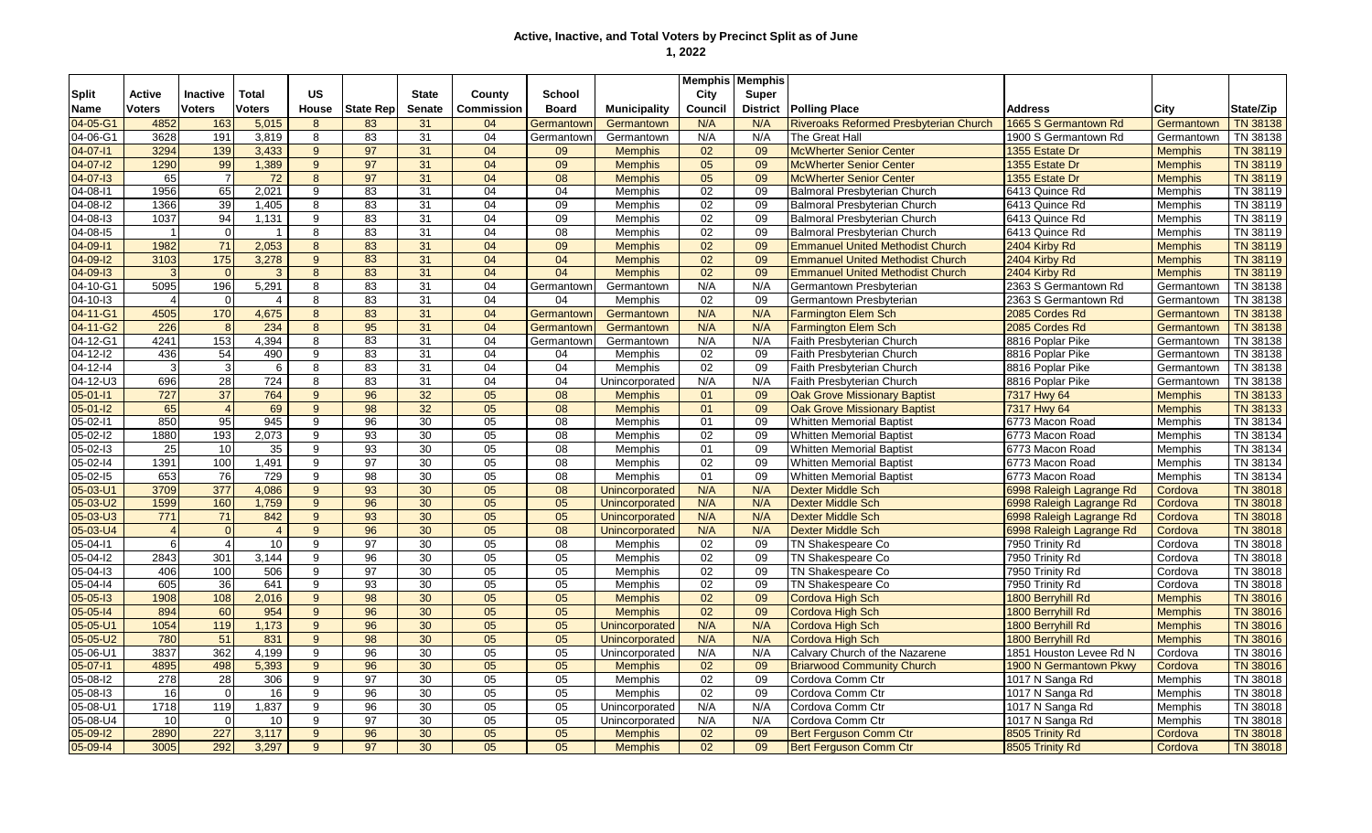|                |                 |                 |                |                |                  |               |                   |                 |                     | <b>Memphis Memphis</b> |                 |                                         |                          |                |                 |
|----------------|-----------------|-----------------|----------------|----------------|------------------|---------------|-------------------|-----------------|---------------------|------------------------|-----------------|-----------------------------------------|--------------------------|----------------|-----------------|
| <b>Split</b>   | Active          | <b>Inactive</b> | Total          | <b>US</b>      |                  | <b>State</b>  | County            | <b>School</b>   |                     | City                   | Super           |                                         |                          |                |                 |
| Name           | <b>Voters</b>   | <b>Voters</b>   | <b>Voters</b>  | <b>House</b>   | <b>State Rep</b> | <b>Senate</b> | <b>Commission</b> | <b>Board</b>    | <b>Municipality</b> | Council                | <b>District</b> | <b>Polling Place</b>                    | Address                  | City           | State/Zip       |
| 04-05-G1       | 4852            | 163             | 5,015          | 8              | 83               | 31            | 04                | Germantown      | Germantown          | N/A                    | N/A             | Riveroaks Reformed Presbyterian Church  | 1665 S Germantown Rd     | Germantown     | <b>TN 38138</b> |
| 04-06-G1       | 3628            | 191             | 3,819          | 8              | 83               | 31            | 04                | Germantown      | Germantown          | N/A                    | N/A             | The Great Hall                          | 1900 S Germantown Rd     | Germantown     | TN 38138        |
| 04-07-11       | 3294            | 139             | 3,433          | $9^{\circ}$    | 97               | 31            | 04                | 09              | <b>Memphis</b>      | 02                     | 09              | <b>McWherter Senior Center</b>          | 1355 Estate Dr           | <b>Memphis</b> | <b>TN 38119</b> |
| 04-07-12       | 1290            | 99              | 1,389          | $9^{\circ}$    | 97               | 31            | 04                | 09              | <b>Memphis</b>      | 05                     | 09              | <b>McWherter Senior Center</b>          | 1355 Estate Dr           | <b>Memphis</b> | <b>TN 38119</b> |
| 04-07-13       | 65              | $\overline{7}$  | 72             | 8              | 97               | 31            | 04                | 08              | <b>Memphis</b>      | 05                     | 09              | <b>McWherter Senior Center</b>          | 1355 Estate Dr           | <b>Memphis</b> | <b>TN 38119</b> |
| 04-08-11       | 1956            | 65              | 2,021          | 9              | 83               | 31            | 04                | 04              | <b>Memphis</b>      | 02                     | 09              | <b>Balmoral Presbyterian Church</b>     | 6413 Quince Rd           | Memphis        | TN 38119        |
| 04-08-I2       | 1366            | 39              | 1,405          | 8              | 83               | 31            | 04                | 09              | <b>Memphis</b>      | 02                     | 09              | <b>Balmoral Presbyterian Church</b>     | 6413 Quince Rd           | Memphis        | TN 38119        |
| 04-08-13       | 1037            | 94              | 1,131          | 9              | 83               | 31            | 04                | 09              | <b>Memphis</b>      | 02                     | 09              | <b>Balmoral Presbyterian Church</b>     | 6413 Quince Rd           | Memphis        | TN 38119        |
| 04-08-15       | $\overline{1}$  | $\Omega$        | 1              | 8              | 83               | 31            | 04                | $\overline{08}$ | <b>Memphis</b>      | 02                     | 09              | Balmoral Presbyterian Church            | 6413 Quince Rd           | Memphis        | TN 38119        |
| 04-09-11       | 1982            | 71              | 2,053          | 8              | 83               | 31            | 04                | 09              | <b>Memphis</b>      | 02                     | 09              | <b>Emmanuel United Methodist Church</b> | 2404 Kirby Rd            | <b>Memphis</b> | TN 38119        |
| 04-09-12       | 3103            | 175             | 3,278          | $9^{\circ}$    | 83               | 31            | 04                | 04              | <b>Memphis</b>      | 02                     | 09              | <b>Emmanuel United Methodist Church</b> | 2404 Kirby Rd            | <b>Memphis</b> | <b>TN 38119</b> |
| 04-09-13       | 3               | $\Omega$        | 3              | 8              | 83               | 31            | 04                | 04              | <b>Memphis</b>      | 02                     | 09              | <b>Emmanuel United Methodist Church</b> | 2404 Kirby Rd            | <b>Memphis</b> | <b>TN 38119</b> |
| 04-10-G1       | 5095            | 196             | 5,291          | 8              | 83               | 31            | 04                | Germantown      | Germantown          | N/A                    | N/A             | Germantown Presbyterian                 | 2363 S Germantown Rd     | Germantown     | TN 38138        |
| 04-10-13       | $\overline{4}$  | $\Omega$        | $\overline{4}$ | 8              | 83               | 31            | 04                | 04              | Memphis             | 02                     | 09              | Germantown Presbyterian                 | 2363 S Germantown Rd     | Germantown     | TN 38138        |
| 04-11-G1       | 4505            | 170             | 4,675          | 8              | 83               | 31            | 04                | Germantown      | Germantown          | N/A                    | N/A             | <b>Farmington Elem Sch</b>              | 2085 Cordes Rd           | Germantown     | <b>TN 38138</b> |
| 04-11-G2       | 226             |                 | 234            | 8              | 95               | 31            | 04                | Germantown      | Germantown          | N/A                    | N/A             | <b>Farmington Elem Sch</b>              | 2085 Cordes Rd           | Germantown     | <b>TN 38138</b> |
| 04-12-G1       | 4241            | 153             | 4,394          | 8              | 83               | 31            | 04                | Germantown      | Germantown          | N/A                    | N/A             | <b>Faith Presbyterian Church</b>        | 8816 Poplar Pike         | Germantown     | TN 38138        |
| $04 - 12 - 12$ | 436             | 54              | 490            | 9              | 83               | 31            | 04                | 04              | Memphis             | 02                     | 09              | Faith Presbyterian Church               | 8816 Poplar Pike         | Germantown     | TN 38138        |
| $04 - 12 - 14$ | $\mathbf{3}$    | 3               | 6              | 8              | 83               | 31            | 04                | 04              | <b>Memphis</b>      | 02                     | 09              | Faith Presbyterian Church               | 8816 Poplar Pike         | Germantown     | TN 38138        |
| $04 - 12 - U3$ | 696             | $\overline{28}$ | 724            | 8              | 83               | 31            | 04                | 04              | Unincorporated      | N/A                    | N/A             | Faith Presbyterian Church               | 8816 Poplar Pike         | Germantown     | TN 38138        |
| $05 - 01 - 11$ | 727             | 37              | 764            | 9              | 96               | 32            | $\overline{05}$   | 08              | <b>Memphis</b>      | 01                     | 09              | <b>Oak Grove Missionary Baptist</b>     | 7317 Hwy 64              | <b>Memphis</b> | <b>TN 38133</b> |
| $05 - 01 - 12$ | 65              | $\Delta$        | 69             | 9              | $\overline{98}$  | 32            | $\overline{05}$   | 08              | <b>Memphis</b>      | 01                     | 09              | <b>Oak Grove Missionary Baptist</b>     | 7317 Hwy 64              | <b>Memphis</b> | <b>TN 38133</b> |
| 05-02-11       | 850             | 95              | 945            | 9              | 96               | 30            | 05                | 08              | Memphis             | 01                     | 09              | <b>Whitten Memorial Baptist</b>         | 6773 Macon Road          | Memphis        | TN 38134        |
| $05 - 02 - 12$ | 1880            | 193             | 2.073          | 9              | 93               | 30            | 05                | 08              | <b>Memphis</b>      | 02                     | 09              | <b>Whitten Memorial Baptist</b>         | 6773 Macon Road          | <b>Memphis</b> | TN 38134        |
| 05-02-I3       | 25              | 10              | 35             | 9              | 93               | 30            | 05                | 08              | <b>Memphis</b>      | 01                     | 09              | <b>Whitten Memorial Baptist</b>         | 6773 Macon Road          | <b>Memphis</b> | TN 38134        |
| 05-02-14       | 1391            | 100             | 1,491          | 9              | $\overline{97}$  | 30            | 05                | 08              | Memphis             | 02                     | 09              | <b>Whitten Memorial Baptist</b>         | 6773 Macon Road          | Memphis        | TN 38134        |
| $05 - 02 - 15$ | 653             | 76              | 729            | 9              | 98               | 30            | 05                | 08              | Memphis             | 01                     | 09              | <b>Whitten Memorial Baptist</b>         | 6773 Macon Road          | Memphis        | TN 38134        |
| 05-03-U1       | 3709            | 377             | 4,086          | 9 <sup>°</sup> | 93               | 30            | 05                | 08              | Unincorporated      | N/A                    | N/A             | <b>Dexter Middle Sch</b>                | 6998 Raleigh Lagrange Rd | Cordova        | <b>TN 38018</b> |
| 05-03-U2       | 1599            | 160             | 1,759          | $9^{\circ}$    | 96               | 30            | 05                | 05              | Unincorporated      | N/A                    | N/A             | <b>Dexter Middle Sch</b>                | 6998 Raleigh Lagrange Rd | Cordova        | <b>TN 38018</b> |
| $05 - 03 - U3$ | 771             | 71              | 842            | 9              | 93               | 30            | 05                | 05              | Unincorporated      | N/A                    | N/A             | <b>Dexter Middle Sch</b>                | 6998 Raleigh Lagrange Rd | Cordova        | <b>TN 38018</b> |
| $05 - 03 - U4$ | $\overline{4}$  | $\Omega$        | $\overline{4}$ | 9              | 96               | 30            | 05                | 08              | Unincorporated      | N/A                    | N/A             | <b>Dexter Middle Sch</b>                | 6998 Raleigh Lagrange Rd | Cordova        | <b>TN 38018</b> |
| 05-04-11       | 6               | 4               | 10             | 9              | 97               | 30            | 05                | $\overline{08}$ | <b>Memphis</b>      | 02                     | 09              | TN Shakespeare Co                       | 7950 Trinity Rd          | Cordova        | TN 38018        |
| 05-04-12       | 2843            | 301             | 3.144          | 9              | 96               | 30            | $\overline{05}$   | 05              | Memphis             | 02                     | 09              | TN Shakespeare Co                       | 7950 Trinity Rd          | Cordova        | TN 38018        |
| 05-04-I3       | 406             | 100             | 506            | 9              | 97               | 30            | 05                | 05              | Memphis             | 02                     | 09              | TN Shakespeare Co                       | 7950 Trinity Rd          | Cordova        | TN 38018        |
| 05-04-14       | 605             | 36              | 641            | 9              | 93               | 30            | 05                | 05              | Memphis             | 02                     | 09              | TN Shakespeare Co                       | 7950 Trinity Rd          | Cordova        | TN 38018        |
| $05 - 05 - 13$ | 1908            | 108             | 2,016          | $9^{\circ}$    | 98               | 30            | 05                | 05              | <b>Memphis</b>      | 02                     | 09              | Cordova High Sch                        | 1800 Berryhill Rd        | <b>Memphis</b> | <b>TN 38016</b> |
| $05 - 05 - 14$ | 894             | 60              | 954            | $9^{\circ}$    | 96               | 30            | 05                | 05              | <b>Memphis</b>      | 02                     | 09              | <b>Cordova High Sch</b>                 | 1800 Berryhill Rd        | <b>Memphis</b> | <b>TN 38016</b> |
| 05-05-U1       | 1054            | 119             | 1,173          | $9^{\circ}$    | 96               | 30            | 05                | 05              | Unincorporated      | N/A                    | N/A             | Cordova High Sch                        | 1800 Berryhill Rd        | <b>Memphis</b> | <b>TN 38016</b> |
| $05 - 05 - U2$ | 780             | 51              | 831            | 9              | 98               | 30            | 05                | 05              | Unincorporated      | N/A                    | N/A             | <b>Cordova High Sch</b>                 | 1800 Berryhill Rd        | <b>Memphis</b> | <b>TN 38016</b> |
| 05-06-U1       | 3837            | 362             | 4,199          | 9              | 96               | 30            | 05                | 05              | Unincorporated      | N/A                    | N/A             | Calvary Church of the Nazarene          | 1851 Houston Levee Rd N  | Cordova        | TN 38016        |
| $05 - 07 - 11$ | 4895            | 498             | 5,393          | 9              | 96               | 30            | 05                | 05              | <b>Memphis</b>      | 02                     | 09              | <b>Briarwood Community Church</b>       | 1900 N Germantown Pkwy   | Cordova        | <b>TN 38016</b> |
| $05 - 08 - 12$ | 278             | 28              | 306            | 9              | 97               | 30            | 05                | 05              | <b>Memphis</b>      | 02                     | 09              | Cordova Comm Ctr                        | 1017 N Sanga Rd          | <b>Memphis</b> | TN 38018        |
| 05-08-13       | 16              | $\Omega$        | 16             | 9              | 96               | 30            | 05                | 05              | <b>Memphis</b>      | 02                     | 09              | Cordova Comm Ctr                        | 1017 N Sanga Rd          | Memphis        | TN 38018        |
| 05-08-U1       | 1718            | 119             | 1,837          | 9              | 96               | 30            | $\overline{05}$   | 05              | Unincorporated      | N/A                    | N/A             | Cordova Comm Ctr                        | 1017 N Sanga Rd          | Memphis        | TN 38018        |
| $05 - 08 - U4$ | 10 <sup>1</sup> | $\Omega$        | 10             | 9              | 97               | 30            | 05                | 05              | Unincorporated      | N/A                    | N/A             | Cordova Comm Ctr                        | 1017 N Sanga Rd          | Memphis        | TN 38018        |
| 05-09-12       | 2890            | 227             | 3,117          | 9              | 96               | 30            | 05                | 05              | <b>Memphis</b>      | 02                     | 09              | <b>Bert Ferauson Comm Ctr</b>           | 8505 Trinity Rd          | Cordova        | <b>TN 38018</b> |
| 05-09-14       | 3005            | 292             | 3.297          | 9              | $\overline{97}$  | 30            | 05                | 05              | <b>Memphis</b>      | $\overline{02}$        | 09              | <b>Bert Ferguson Comm Ctr</b>           | 8505 Trinity Rd          | Cordova        | <b>TN 38018</b> |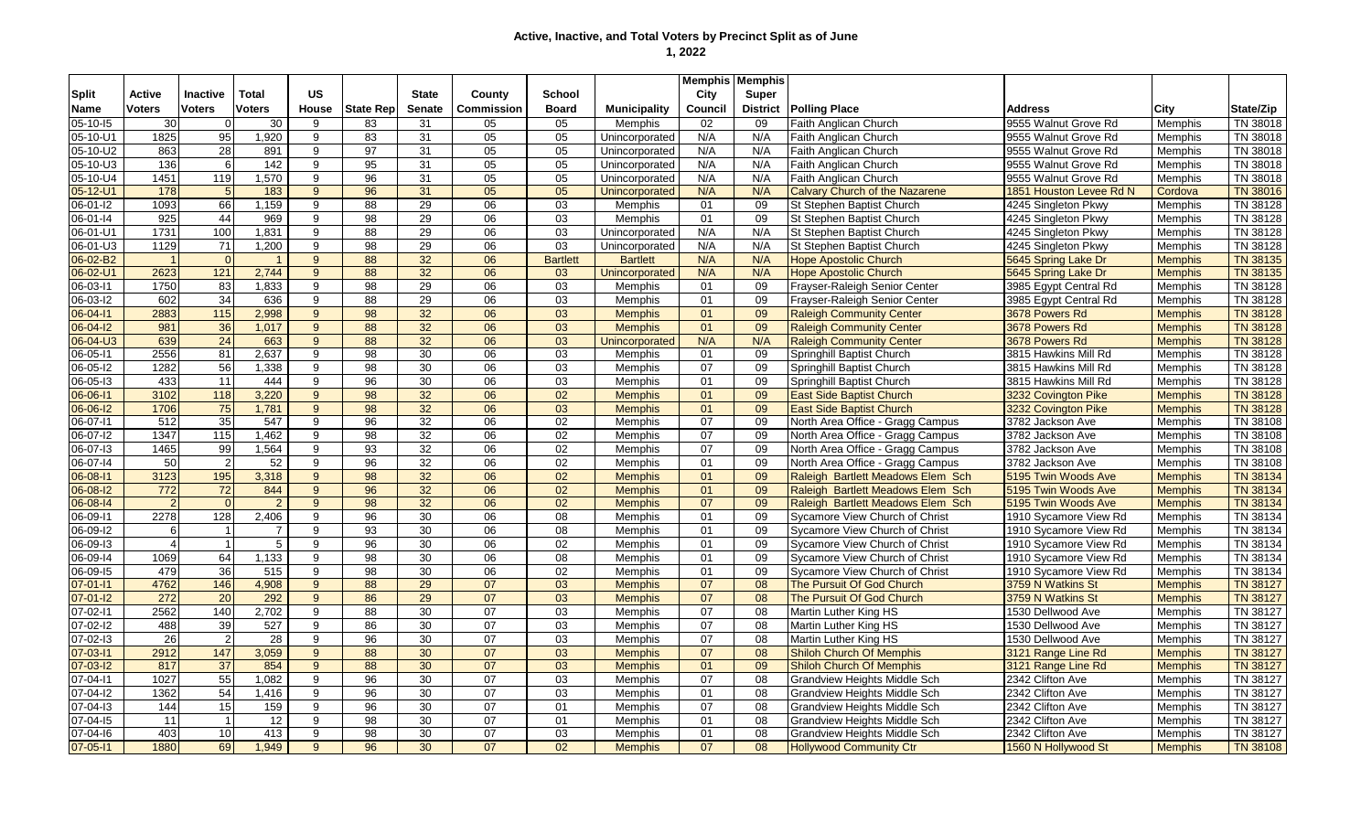|                |                  |                   |                |                |                  |                 |                 |                 |                     |         | <b>Memphis   Memphis</b> |                                     |                         |                |                 |
|----------------|------------------|-------------------|----------------|----------------|------------------|-----------------|-----------------|-----------------|---------------------|---------|--------------------------|-------------------------------------|-------------------------|----------------|-----------------|
| <b>Split</b>   | <b>Active</b>    | Inactive          | Total          | <b>US</b>      |                  | <b>State</b>    | County          | School          |                     | City    | Super                    |                                     |                         |                |                 |
| <b>Name</b>    | <b>Voters</b>    | <b>Voters</b>     | <b>Voters</b>  | House          | <b>State Rep</b> | <b>Senate</b>   | Commission      | <b>Board</b>    | <b>Municipality</b> | Council | <b>District</b>          | <b>Polling Place</b>                | Address                 | City           | State/Zip       |
| 05-10-15       | 30 <sup>1</sup>  |                   | 30             | 9              | 83               | 31              | 05              | 05              | Memphis             | 02      | 09                       | Faith Anglican Church               | 9555 Walnut Grove Rd    | Memphis        | TN 38018        |
| 05-10-U1       | 1825             | 95                | 1,920          | 9              | 83               | 31              | 05              | 05              | Unincorporated      | N/A     | N/A                      | <b>Faith Anglican Church</b>        | 9555 Walnut Grove Rd    | <b>Memphis</b> | TN 38018        |
| 05-10-U2       | 863              | 28                | 891            | 9              | 97               | 31              | 05              | 05              | Unincorporated      | N/A     | N/A                      | Faith Anglican Church               | 9555 Walnut Grove Rd    | <b>Memphis</b> | TN 38018        |
| 05-10-U3       | 136              | -6                | 142            | 9              | 95               | 31              | $\overline{05}$ | 05              | Unincorporated      | N/A     | N/A                      | Faith Anglican Church               | 9555 Walnut Grove Rd    | Memphis        | TN 38018        |
| 05-10-U4       | 1451             | 119               | 1.570          | 9              | 96               | 31              | 05              | 05              | Unincorporated      | N/A     | N/A                      | Faith Anglican Church               | 9555 Walnut Grove Rd    | <b>Memphis</b> | TN 38018        |
| 05-12-U1       | 178              |                   | 183            | 9              | 96               | 31              | 05              | 05              | Unincorporated      | N/A     | N/A                      | Calvary Church of the Nazarene      | 1851 Houston Levee Rd N | Cordova        | <b>TN 38016</b> |
| 06-01-I2       | 1093             | 66                | 1,159          | 9              | 88               | 29              | 06              | 03              | Memphis             | 01      | 09                       | St Stephen Baptist Church           | 4245 Singleton Pkwy     | Memphis        | TN 38128        |
| 06-01-14       | 925              | 44                | 969            | 9              | 98               | 29              | 06              | 03              | Memphis             | 01      | 09                       | St Stephen Baptist Church           | 4245 Singleton Pkwy     | Memphis        | TN 38128        |
| 06-01-U1       | 1731             | 100               | 1,831          | 9              | 88               | 29              | 06              | 03              | Unincorporated      | N/A     | N/A                      | St Stephen Baptist Church           | 4245 Singleton Pkwy     | <b>Memphis</b> | TN 38128        |
| 06-01-U3       | 1129             | 71                | 1,200          | 9              | 98               | $\overline{29}$ | $\overline{06}$ | 03              | Unincorporated      | N/A     | N/A                      | St Stephen Baptist Church           | 4245 Singleton Pkwy     | <b>Memphis</b> | TN 38128        |
| 06-02-B2       | $\mathbf{1}$     |                   |                | 9              | 88               | 32              | 06              | <b>Bartlett</b> | <b>Bartlett</b>     | N/A     | N/A                      | <b>Hope Apostolic Church</b>        | 5645 Spring Lake Dr     | <b>Memphis</b> | TN 38135        |
| 06-02-U1       | 2623             | 121               | 2,744          | 9              | 88               | 32              | 06              | 03              | Unincorporated      | N/A     | N/A                      | <b>Hope Apostolic Church</b>        | 5645 Spring Lake Dr     | <b>Memphis</b> | TN 38135        |
| 06-03-11       | 1750             | 83                | 1,833          | 9              | 98               | 29              | 06              | 03              | Memphis             | 01      | 09                       | Frayser-Raleigh Senior Center       | 3985 Egypt Central Rd   | Memphis        | TN 38128        |
| 06-03-l2       | 602              | $\overline{34}$   | 636            | 9              | 88               | 29              | 06              | 03              | Memphis             | 01      | 09                       | Frayser-Raleigh Senior Center       | 3985 Egypt Central Rd   | Memphis        | TN 38128        |
| 06-04-11       | 2883             | $\frac{115}{115}$ | 2,998          | 9 <sup>°</sup> | 98               | 32              | 06              | 03              | <b>Memphis</b>      | 01      | 09                       | <b>Raleigh Community Center</b>     | 3678 Powers Rd          | <b>Memphis</b> | TN 38128        |
| $06 - 04 - 12$ | 981              | 36                | 1,017          | 9              | 88               | 32              | 06              | 03              | <b>Memphis</b>      | 01      | 09                       | <b>Raleigh Community Center</b>     | 3678 Powers Rd          | <b>Memphis</b> | <b>TN 38128</b> |
| 06-04-U3       | 639              | 24                | 663            | 9              | 88               | 32              | 06              | 03              | Unincorporated      | N/A     | N/A                      | <b>Raleigh Community Center</b>     | 3678 Powers Rd          | <b>Memphis</b> | <b>TN 38128</b> |
| $06 - 05 - 11$ | 2556             | 81                | 2,637          | 9              | 98               | 30              | 06              | 03              | Memphis             | 01      | 09                       | Springhill Baptist Church           | 3815 Hawkins Mill Rd    | Memphis        | TN 38128        |
| 06-05-l2       | 1282             | 56                | 1,338          | 9              | 98               | 30              | 06              | 03              | Memphis             | 07      | 09                       | Springhill Baptist Church           | 3815 Hawkins Mill Rd    | <b>Memphis</b> | TN 38128        |
| 06-05-13       | 433              | 11                | 444            | 9              | 96               | 30              | 06              | $\overline{03}$ | Memphis             | 01      | 09                       | Springhill Baptist Church           | 3815 Hawkins Mill Rd    | <b>Memphis</b> | TN 38128        |
| 06-06-11       | 3102             | 118               | 3,220          | 9              | 98               | 32              | $\overline{06}$ | 02              | <b>Memphis</b>      | 01      | 09                       | <b>East Side Baptist Church</b>     | 3232 Covington Pike     | <b>Memphis</b> | <b>TN 38128</b> |
| 06-06-12       | 1706             | 75                | 1,781          | 9              | 98               | 32              | 06              | 03              | <b>Memphis</b>      | 01      | 09                       | <b>East Side Baptist Church</b>     | 3232 Covington Pike     | <b>Memphis</b> | <b>TN 38128</b> |
| 06-07-11       | 512              | 35                | 547            | 9              | 96               | 32              | 06              | 02              | Memphis             | 07      | 09                       | North Area Office - Gragg Campus    | 3782 Jackson Ave        | <b>Memphis</b> | TN 38108        |
| 06-07-l2       | 1347             | 115               | 1.462          | 9              | 98               | 32              | 06              | 02              | Memphis             | 07      | 09                       | North Area Office - Gragg Campus    | 3782 Jackson Ave        | <b>Memphis</b> | TN 38108        |
| 06-07-13       | 1465             | 99                | 1,564          | 9              | 93               | 32              | 06              | 02              | <b>Memphis</b>      | 07      | 09                       | North Area Office - Gragg Campus    | 3782 Jackson Ave        | <b>Memphis</b> | TN 38108        |
| 06-07-14       | 50               |                   | 52             | 9              | 96               | 32              | 06              | 02              | Memphis             | 01      | 09                       | North Area Office - Gragg Campus    | 3782 Jackson Ave        | <b>Memphis</b> | TN 38108        |
| 06-08-11       | 3123             | 195               | 3,318          | 9              | 98               | 32              | 06              | 02              | <b>Memphis</b>      | 01      | 09                       | Raleigh Bartlett Meadows Elem Sch   | 5195 Twin Woods Ave     | <b>Memphis</b> | <b>TN 38134</b> |
| 06-08-12       | $\overline{772}$ | 72                | 844            | 9 <sup>°</sup> | 96               | 32              | 06              | 02              | <b>Memphis</b>      | 01      | 09                       | Raleigh Bartlett Meadows Elem Sch   | 5195 Twin Woods Ave     | <b>Memphis</b> | <b>TN 38134</b> |
| 06-08-14       | $\overline{2}$   | $\Omega$          | $\overline{2}$ | 9              | 98               | 32              | $\overline{06}$ | 02              | <b>Memphis</b>      | 07      | 09                       | Raleigh Bartlett Meadows Elem Sch   | 5195 Twin Woods Ave     | <b>Memphis</b> | <b>TN 38134</b> |
| 06-09-11       | 2278             | 128               | 2,406          | 9              | 96               | 30              | 06              | 08              | Memphis             | 01      | 09                       | Sycamore View Church of Christ      | 1910 Sycamore View Rd   | Memphis        | TN 38134        |
| 06-09-12       | 6                |                   | $\overline{7}$ | 9              | 93               | 30              | 06              | 08              | Memphis             | 01      | 09                       | Sycamore View Church of Christ      | 1910 Sycamore View Rd   | <b>Memphis</b> | TN 38134        |
| 06-09-13       | $\overline{4}$   |                   | 5              | 9              | 96               | 30              | 06              | 02              | <b>Memphis</b>      | 01      | 09                       | Sycamore View Church of Christ      | 1910 Sycamore View Rd   | <b>Memphis</b> | TN 38134        |
| 06-09-14       | 1069             | 64                | 1,133          | 9              | 98               | 30              | 06              | 08              | Memphis             | 01      | 09                       | Sycamore View Church of Christ      | 1910 Sycamore View Rd   | <b>Memphis</b> | TN 38134        |
| 06-09-15       | 479              | 36                | 515            | 9              | 98               | 30              | 06              | 02              | Memphis             | 01      | 09                       | Sycamore View Church of Christ      | 1910 Sycamore View Rd   | Memphis        | TN 38134        |
| $07 - 01 - 11$ | 4762             | 146               | 4,908          | $9^{\circ}$    | 88               | $\overline{29}$ | 07              | 03              | <b>Memphis</b>      | 07      | 08                       | The Pursuit Of God Church           | 3759 N Watkins St       | <b>Memphis</b> | <b>TN 38127</b> |
| $07 - 01 - 12$ | 272              | 20                | 292            | $9^{\circ}$    | 86               | 29              | 07              | 03              | <b>Memphis</b>      | 07      | 08                       | The Pursuit Of God Church           | 3759 N Watkins St       | <b>Memphis</b> | <b>TN 38127</b> |
| $07 - 02 - 11$ | 2562             | 140               | 2,702          | 9              | 88               | 30              | 07              | 03              | Memphis             | 07      | 08                       | Martin Luther King HS               | 1530 Dellwood Ave       | <b>Memphis</b> | TN 38127        |
| $07 - 02 - 12$ | 488              | 39                | 527            | 9              | 86               | 30              | 07              | $\overline{03}$ | Memphis             | 07      | 08                       | Martin Luther King HS               | 1530 Dellwood Ave       | <b>Memphis</b> | TN 38127        |
| 07-02-13       | 26               |                   | 28             | 9              | 96               | 30              | 07              | 03              | Memphis             | 07      | 08                       | Martin Luther King HS               | 1530 Dellwood Ave       | Memphis        | TN 38127        |
| $07 - 03 - 11$ | 2912             | 147               | 3,059          | 9 <sup>°</sup> | 88               | 30              | 07              | 03              | <b>Memphis</b>      | 07      | 08                       | <b>Shiloh Church Of Memphis</b>     | 3121 Range Line Rd      | <b>Memphis</b> | <b>TN 38127</b> |
| $07 - 03 - 12$ | 817              | $\overline{37}$   | 854            | 9              | 88               | 30              | 07              | 03              | <b>Memphis</b>      | 01      | 09                       | <b>Shiloh Church Of Memphis</b>     | 3121 Range Line Rd      | <b>Memphis</b> | <b>TN 38127</b> |
| $07 - 04 - 11$ | 1027             | 55                | 1,082          | 9              | 96               | 30              | 07              | 03              | Memphis             | 07      | 08                       | <b>Grandview Heights Middle Sch</b> | 2342 Clifton Ave        | Memphis        | TN 38127        |
| 07-04-12       | 1362             | 54                | 1,416          | 9              | 96               | 30              | 07              | 03              | Memphis             | 01      | 08                       | <b>Grandview Heights Middle Sch</b> | 2342 Clifton Ave        | Memphis        | TN 38127        |
| 07-04-13       | 144              | 15                | 159            | 9              | 96               | 30              | 07              | 01              | Memphis             | 07      | 08                       | <b>Grandview Heights Middle Sch</b> | 2342 Clifton Ave        | Memphis        | TN 38127        |
| 07-04-15       | 11               |                   | 12             | 9              | 98               | 30              | 07              | 01              | Memphis             | 01      | 08                       | <b>Grandview Heights Middle Sch</b> | 2342 Clifton Ave        | Memphis        | TN 38127        |
| 07-04-16       | 403              | 10                | 413            | 9              | 98               | 30              | 07              | 03              | Memphis             | 01      | 08                       | Grandview Heights Middle Sch        | 2342 Clifton Ave        | <b>Memphis</b> | TN 38127        |
| $07 - 05 - 11$ | 1880             | 69                | 1,949          | 9              | 96               | 30              | 07              | 02              | <b>Memphis</b>      | 07      | 08                       | <b>Hollywood Community Ctr</b>      | 1560 N Hollywood St     | <b>Memphis</b> | <b>TN 38108</b> |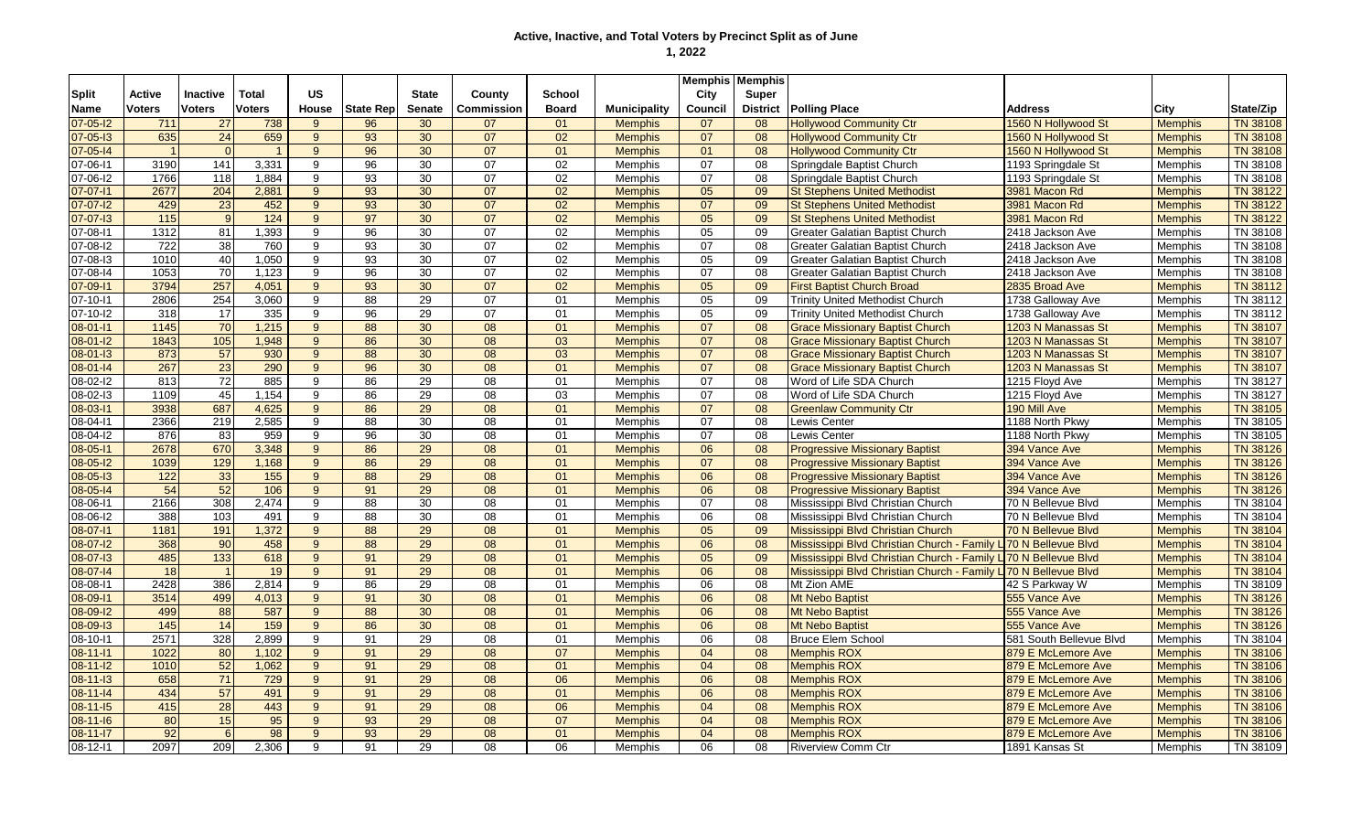|                |                         |                  |                 |           |                  |                 |                 |              |                     | <b>Memphis Memphis</b> |                 |                                                                 |                         |                |                 |
|----------------|-------------------------|------------------|-----------------|-----------|------------------|-----------------|-----------------|--------------|---------------------|------------------------|-----------------|-----------------------------------------------------------------|-------------------------|----------------|-----------------|
| <b>Split</b>   | <b>Active</b>           | Inactive         | <b>Total</b>    | <b>US</b> |                  | <b>State</b>    | County          | School       |                     | City                   | Super           |                                                                 |                         |                |                 |
| <b>Name</b>    | <b>Voters</b>           | <b>Voters</b>    | <b>Voters</b>   | House     | <b>State Rep</b> | <b>Senate</b>   | Commission      | <b>Board</b> | <b>Municipality</b> | Council                | <b>District</b> | <b>Polling Place</b>                                            | <b>Address</b>          | City           | State/Zip       |
| $07 - 05 - 12$ | 711                     | 27               | 738             | 9         | 96               | 30              | 07              | 01           | <b>Memphis</b>      | 07                     | 08              | <b>Hollywood Community Ctr</b>                                  | 1560 N Hollywood St     | <b>Memphis</b> | <b>TN 38108</b> |
| 07-05-13       | 635                     | 24               | 659             | 9         | 93               | 30              | 07              | 02           | <b>Memphis</b>      | 07                     | 08              | <b>Hollywood Community Ctr</b>                                  | 1560 N Hollywood St     | <b>Memphis</b> | <b>TN 38108</b> |
| $07 - 05 - 14$ | $\overline{\mathbf{1}}$ | $\Omega$         | $\overline{1}$  | 9         | 96               | 30              | 07              | 01           | <b>Memphis</b>      | 01                     | 08              | <b>Hollywood Community Ctr</b>                                  | 1560 N Hollywood St     | <b>Memphis</b> | <b>TN 38108</b> |
| 07-06-11       | 3190                    | 141              | 3,331           | 9         | 96               | 30              | 07              | 02           | Memphis             | 07                     | 08              | Springdale Baptist Church                                       | 1193 Springdale St      | Memphis        | TN 38108        |
| 07-06-12       | 1766                    | 118              | 1,884           | 9         | 93               | 30              | 07              | 02           | Memphis             | 07                     | 08              | Springdale Baptist Church                                       | 1193 Springdale St      | Memphis        | TN 38108        |
| $07 - 07 - 11$ | 2677                    | 204              | 2,881           | 9         | 93               | 30              | 07              | 02           | <b>Memphis</b>      | 05                     | 09              | <b>St Stephens United Methodist</b>                             | 3981 Macon Rd           | <b>Memphis</b> | <b>TN 38122</b> |
| $07 - 07 - 12$ | 429                     | 23               | 452             | 9         | 93               | 30              | 07              | 02           | <b>Memphis</b>      | 07                     | 09              | <b>St Stephens United Methodist</b>                             | 3981 Macon Rd           | <b>Memphis</b> | <b>TN 38122</b> |
| $07 - 07 - 13$ | 115                     | 9                | $\frac{124}{x}$ | 9         | 97               | 30              | 07              | 02           | <b>Memphis</b>      | 05                     | 09              | <b>St Stephens United Methodist</b>                             | 3981 Macon Rd           | <b>Memphis</b> | <b>TN 38122</b> |
| 07-08-11       | 1312                    | 81               | 1,393           | 9         | 96               | 30              | 07              | 02           | Memphis             | 05                     | 09              | <b>Greater Galatian Baptist Church</b>                          | 2418 Jackson Ave        | Memphis        | TN 38108        |
| 07-08-12       | 722                     | 38               | 760             | 9         | 93               | 30              | 07              | 02           | <b>Memphis</b>      | 07                     | 08              | Greater Galatian Baptist Church                                 | 2418 Jackson Ave        | Memphis        | TN 38108        |
| 07-08-13       | 1010                    | 40               | 1,050           | 9         | 93               | 30              | 07              | 02           | Memphis             | 05                     | 09              | Greater Galatian Baptist Church                                 | 2418 Jackson Ave        | Memphis        | TN 38108        |
| 07-08-14       | 1053                    | 70               | 1,123           | 9         | 96               | 30              | 07              | 02           | <b>Memphis</b>      | 07                     | 08              | Greater Galatian Baptist Church                                 | 2418 Jackson Ave        | Memphis        | TN 38108        |
| 07-09-11       | 3794                    | 257              | 4,051           | 9         | 93               | 30              | 07              | 02           | <b>Memphis</b>      | 05                     | 09              | <b>First Baptist Church Broad</b>                               | 2835 Broad Ave          | <b>Memphis</b> | <b>TN 38112</b> |
| 07-10-11       | 2806                    | 254              | 3,060           | 9         | 88               | 29              | $\overline{07}$ | 01           | Memphis             | 05                     | 09              | <b>Trinity United Methodist Church</b>                          | 1738 Galloway Ave       | Memphis        | TN 38112        |
| 07-10-I2       | 318                     | 17               | 335             | 9         | 96               | 29              | 07              | 01           | Memphis             | 05                     | 09              | <b>Trinity United Methodist Church</b>                          | 1738 Galloway Ave       | Memphis        | TN 38112        |
| 08-01-11       | 1145                    | 70               | 1,215           | 9         | 88               | 30              | 08              | 01           | <b>Memphis</b>      | 07                     | 08              | <b>Grace Missionary Baptist Church</b>                          | 1203 N Manassas St      | <b>Memphis</b> | <b>TN 38107</b> |
| $08 - 01 - 12$ | 1843                    | 105              | 1,948           | 9         | 86               | 30              | 08              | 03           | <b>Memphis</b>      | 07                     | 08              | <b>Grace Missionary Baptist Church</b>                          | 1203 N Manassas St      | <b>Memphis</b> | <b>TN 38107</b> |
| $08 - 01 - 13$ | 873                     | 57               | 930             | 9         | 88               | 30              | 08              | 03           | <b>Memphis</b>      | 07                     | 08              | <b>Grace Missionary Baptist Church</b>                          | 1203 N Manassas St      | <b>Memphis</b> | <b>TN 38107</b> |
| $08 - 01 - 14$ | 267                     | 23               | 290             | 9         | 96               | 30              | 08              | 01           | <b>Memphis</b>      | 07                     | 08              | <b>Grace Missionary Baptist Church</b>                          | 1203 N Manassas St      | <b>Memphis</b> | <b>TN 38107</b> |
| 08-02-l2       | 813                     | 72               | 885             | 9         | 86               | 29              | 08              | 01           | Memphis             | 07                     | 08              | Word of Life SDA Church                                         | 1215 Floyd Ave          | Memphis        | TN 38127        |
| 08-02-13       | 1109                    | 45               | 1,154           | 9         | 86               | 29              | 08              | 03           | <b>Memphis</b>      | 07                     | 08              | Word of Life SDA Church                                         | 1215 Floyd Ave          | Memphis        | TN 38127        |
| 08-03-11       | 3938                    | 687              | 4,625           | 9         | 86               | 29              | 08              | 01           | <b>Memphis</b>      | 07                     | 08              | <b>Greenlaw Community Ctr</b>                                   | 190 Mill Ave            | <b>Memphis</b> | <b>TN 38105</b> |
| 08-04-11       | 2366                    | 219              | 2,585           | 9         | 88               | 30              | 08              | 01           | <b>Memphis</b>      | $\overline{07}$        | 08              | Lewis Center                                                    | 1188 North Pkwy         | Memphis        | TN 38105        |
| 08-04-I2       | 876                     | 83               | 959             | 9         | 96               | 30              | $\overline{08}$ | 01           | <b>Memphis</b>      | 07                     | 08              | Lewis Center                                                    | 1188 North Pkwy         | <b>Memphis</b> | TN 38105        |
| 08-05-11       | 2678                    | 670              | 3,348           | 9         | 86               | $\overline{29}$ | $\overline{08}$ | 01           | <b>Memphis</b>      | 06                     | 08              | <b>Progressive Missionary Baptist</b>                           | 394 Vance Ave           | <b>Memphis</b> | <b>TN 38126</b> |
| 08-05-I2       | 1039                    | 129              | 1,168           | 9         | 86               | 29              | $\overline{08}$ | 01           | <b>Memphis</b>      | 07                     | 08              | <b>Progressive Missionary Baptist</b>                           | 394 Vance Ave           | <b>Memphis</b> | <b>TN 38126</b> |
| $08 - 05 - 13$ | 122                     | 33               | 155             | 9         | 88               | 29              | 08              | 01           | <b>Memphis</b>      | 06                     | 08              | <b>Progressive Missionary Baptist</b>                           | 394 Vance Ave           | <b>Memphis</b> | <b>TN 38126</b> |
| $08 - 05 - 14$ | 54                      | 52               | 106             | 9         | 91               | 29              | 08              | 01           | <b>Memphis</b>      | 06                     | 08              | <b>Progressive Missionary Baptist</b>                           | 394 Vance Ave           | <b>Memphis</b> | <b>TN 38126</b> |
| $08 - 06 - 11$ | 2166                    | 308              | 2,474           | 9         | 88               | 30              | 08              | 01           | Memphis             | 07                     | 08              | Mississippi Blvd Christian Church                               | 70 N Bellevue Blvd      | <b>Memphis</b> | TN 38104        |
| 08-06-l2       | 388                     | 103              | 491             | 9         | 88               | 30              | 08              | 01           | Memphis             | 06                     | 08              | Mississippi Blvd Christian Church                               | 70 N Bellevue Blvd      | Memphis        | TN 38104        |
| 08-07-11       | 1181                    | 191              | 1,372           | 9         | 88               | 29              | 08              | 01           | <b>Memphis</b>      | 05                     | 09              | Mississippi Blvd Christian Church                               | 70 N Bellevue Blvd      | <b>Memphis</b> | TN 38104        |
| 08-07-12       | 368                     | 90               | 458             | 9         | 88               | 29              | 08              | 01           | <b>Memphis</b>      | 06                     | 08              | Mississippi Blvd Christian Church - Family L 70 N Bellevue Blvd |                         | <b>Memphis</b> | TN 38104        |
| 08-07-13       | 485                     | $\overline{133}$ | 618             | 9         | 91               | $\overline{29}$ | 08              | 01           | <b>Memphis</b>      | 05                     | 09              | Mississippi Blvd Christian Church - Family L 70 N Bellevue Blvd |                         | <b>Memphis</b> | <b>TN 38104</b> |
| 08-07-14       | 18                      | $\overline{1}$   | 19              | 9         | 91               | 29              | 08              | 01           | <b>Memphis</b>      | 06                     | 08              | Mississippi Blvd Christian Church - Family L 70 N Bellevue Blvd |                         | <b>Memphis</b> | <b>TN 38104</b> |
| 08-08-11       | 2428                    | 386              | 2.814           | 9         | 86               | 29              | 08              | 01           | Memphis             | 06                     | 08              | Mt Zion AME                                                     | 42 S Parkway W          | Memphis        | TN 38109        |
| 08-09-11       | 3514                    | 499              | 4,013           | 9         | 91               | 30              | 08              | 01           | <b>Memphis</b>      | 06                     | 08              | Mt Nebo Baptist                                                 | 555 Vance Ave           | <b>Memphis</b> | <b>TN 38126</b> |
| $08 - 09 - 12$ | 499                     | 88               | 587             | 9         | 88               | 30              | 08              | 01           | <b>Memphis</b>      | 06                     | 08              | <b>Mt Nebo Baptist</b>                                          | 555 Vance Ave           | <b>Memphis</b> | <b>TN 38126</b> |
| 08-09-13       | 145                     | 14               | 159             | 9         | 86               | 30              | 08              | 01           | <b>Memphis</b>      | 06                     | 08              | <b>Mt Nebo Baptist</b>                                          | 555 Vance Ave           | <b>Memphis</b> | <b>TN 38126</b> |
| 08-10-11       | 2571                    | 328              | 2,899           | 9         | 91               | 29              | 08              | 01           | Memphis             | 06                     | 08              | <b>Bruce Elem School</b>                                        | 581 South Bellevue Blvd | <b>Memphis</b> | TN 38104        |
| $08 - 11 - 11$ | 1022                    | 80               | 1,102           | 9         | 91               | 29              | 08              | 07           | <b>Memphis</b>      | 04                     | 08              | <b>Memphis ROX</b>                                              | 879 E McLemore Ave      | <b>Memphis</b> | <b>TN 38106</b> |
| $08 - 11 - 12$ | 1010                    | 52               | 1,062           | 9         | 91               | 29              | 08              | 01           | <b>Memphis</b>      | 04                     | 08              | <b>Memphis ROX</b>                                              | 879 E McLemore Ave      | <b>Memphis</b> | <b>TN 38106</b> |
| $08 - 11 - 13$ | 658                     | 71               | 729             | 9         | 91               | 29              | 08              | 06           | <b>Memphis</b>      | 06                     | 08              | <b>Memphis ROX</b>                                              | 879 E McLemore Ave      | <b>Memphis</b> | <b>TN 38106</b> |
| $08 - 11 - 14$ | 434                     | 57               | 491             | 9         | 91               | 29              | 08              | 01           | <b>Memphis</b>      | 06                     | 08              | <b>Memphis ROX</b>                                              | 879 E McLemore Ave      | <b>Memphis</b> | <b>TN 38106</b> |
| 08-11-15       | 415                     | 28               | 443             | 9         | 91               | 29              | 08              | 06           | <b>Memphis</b>      | 04                     | 08              | <b>Memphis ROX</b>                                              | 879 E McLemore Ave      | <b>Memphis</b> | <b>TN 38106</b> |
| $08 - 11 - 16$ | 80                      | 15               | 95              | 9         | 93               | 29              | 08              | 07           | <b>Memphis</b>      | 04                     | 08              | <b>Memphis ROX</b>                                              | 879 E McLemore Ave      | <b>Memphis</b> | <b>TN 38106</b> |
| $08 - 11 - 17$ | 92                      | $6 \mid$         | 98              | 9         | 93               | 29              | 08              | 01           | <b>Memphis</b>      | 04                     | 08              | <b>Memphis ROX</b>                                              | 879 E McLemore Ave      | <b>Memphis</b> | <b>TN 38106</b> |
| 08-12-11       | 2097                    | 209              | 2.306           | 9         | $\overline{91}$  | $\overline{29}$ | 08              | 06           | <b>Memphis</b>      | 06                     | 08              | <b>Riverview Comm Ctr</b>                                       | 1891 Kansas St          | Memphis        | TN 38109        |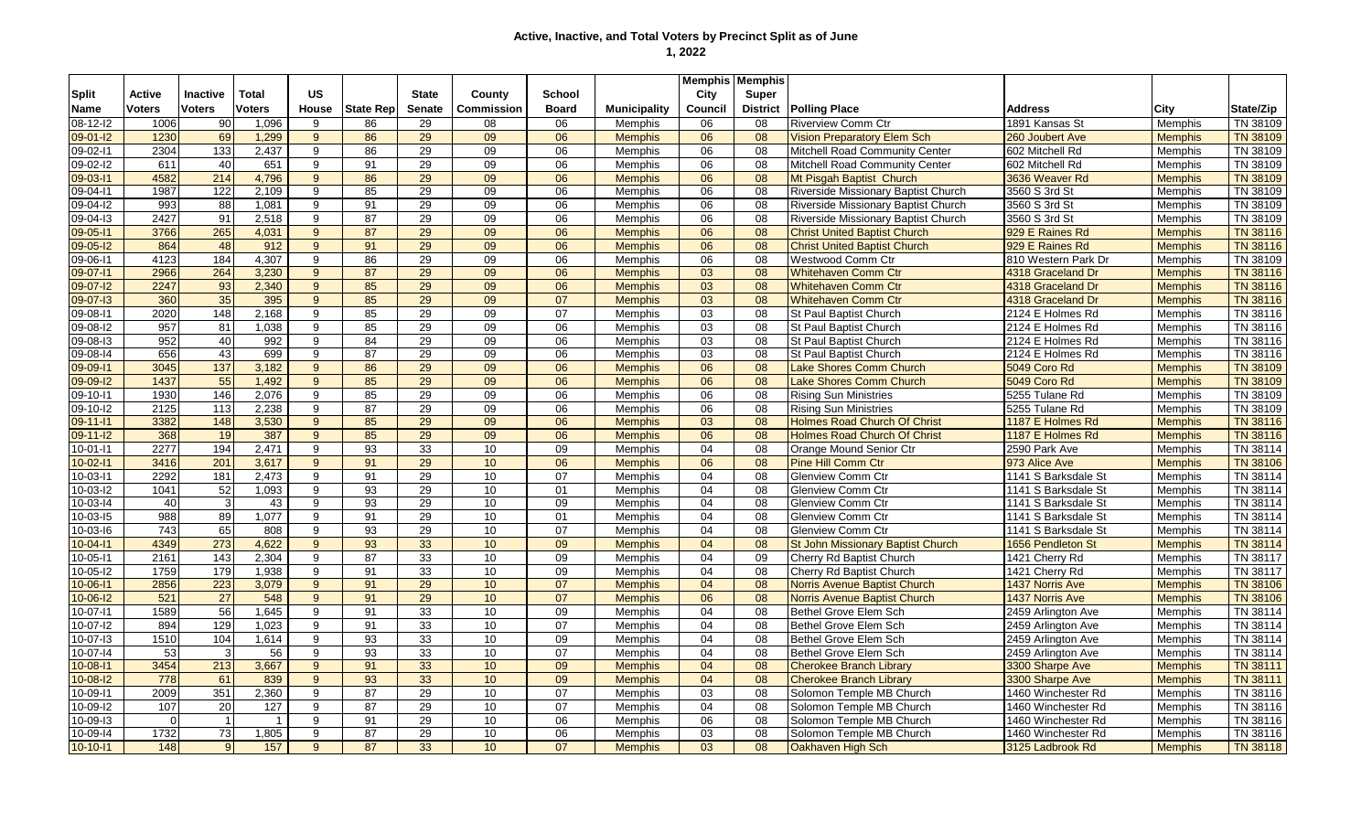|                |          |                 |                |                |                  |                 |                   |                 |                     |         | <b>Memphis Memphis</b> |                                            |                        |                |                 |
|----------------|----------|-----------------|----------------|----------------|------------------|-----------------|-------------------|-----------------|---------------------|---------|------------------------|--------------------------------------------|------------------------|----------------|-----------------|
| <b>Split</b>   | Active   | <b>Inactive</b> | Total          | <b>US</b>      |                  | <b>State</b>    | County            | <b>School</b>   |                     | City    | <b>Super</b>           |                                            |                        |                |                 |
| Name           | Voters   | <b>Voters</b>   | <b>Voters</b>  | House          | <b>State Rep</b> | <b>Senate</b>   | <b>Commission</b> | <b>Board</b>    | <b>Municipality</b> | Council | <b>District</b>        | <b>Polling Place</b>                       | <b>Address</b>         | City           | State/Zip       |
| 08-12-l2       | 1006     | 90              | 1,096          | 9              | 86               | 29              | 08                | 06              | Memphis             | 06      | 08                     | <b>Riverview Comm Ctr</b>                  | 1891 Kansas St         | <b>Memphis</b> | TN 38109        |
| $09 - 01 - 12$ | 1230     | 69              | 1,299          | $\mathbf{Q}$   | 86               | 29              | 09                | 06              | <b>Memphis</b>      | 06      | 08                     | <b>Vision Preparatory Elem Sch</b>         | 260 Joubert Ave        | <b>Memphis</b> | <b>TN 38109</b> |
| 09-02-11       | 2304     | 133             | 2,437          | 9              | 86               | 29              | 09                | 06              | Memphis             | 06      | 08                     | Mitchell Road Community Center             | 602 Mitchell Rd        | Memphis        | TN 38109        |
| 09-02-12       | 611      | 40              | 651            | 9              | 91               | 29              | 09                | 06              | Memphis             | 06      | 08                     | Mitchell Road Community Center             | 602 Mitchell Rd        | <b>Memphis</b> | TN 38109        |
| 09-03-11       | 4582     | 214             | 4.796          | 9 <sup>°</sup> | 86               | 29              | 09                | 06              | <b>Memphis</b>      | 06      | 08                     | Mt Pisgah Baptist Church                   | 3636 Weaver Rd         | <b>Memphis</b> | <b>TN 38109</b> |
| 09-04-11       | 1987     | 122             | 2,109          | 9              | 85               | 29              | 09                | 06              | Memphis             | 06      | 08                     | Riverside Missionary Baptist Church        | 3560 S 3rd St          | <b>Memphis</b> | TN 38109        |
| 09-04-12       | 993      | 88              | 1,081          | 9              | 91               | 29              | 09                | 06              | <b>Memphis</b>      | 06      | 08                     | Riverside Missionary Baptist Church        | 3560 S 3rd St          | <b>Memphis</b> | TN 38109        |
| 09-04-13       | 2427     | 91              | 2,518          | 9              | 87               | 29              | 09                | 06              | Memphis             | 06      | 08                     | <b>Riverside Missionary Baptist Church</b> | 3560 S 3rd St          | Memphis        | TN 38109        |
| 09-05-11       | 3766     | 265             | 4,031          | $9^{\circ}$    | 87               | 29              | 09                | 06              | <b>Memphis</b>      | 06      | 08                     | <b>Christ United Baptist Church</b>        | 929 E Raines Rd        | <b>Memphis</b> | <b>TN 38116</b> |
| 09-05-12       | 864      | 48              | 912            | $9^{\circ}$    | 91               | 29              | 09                | 06              | <b>Memphis</b>      | 06      | 08                     | <b>Christ United Baptist Church</b>        | 929 E Raines Rd        | <b>Memphis</b> | TN 38116        |
| 09-06-11       | 4123     | 184             | 4,307          | $\overline{9}$ | 86               | 29              | 09                | $\overline{06}$ | Memphis             | 06      | 08                     | Westwood Comm Ctr                          | 810 Western Park Dr    | Memphis        | TN 38109        |
| 09-07-11       | 2966     | 264             | 3,230          | 9              | $\overline{87}$  | 29              | 09                | 06              | <b>Memphis</b>      | 03      | 08                     | <b>Whitehaven Comm Ctr</b>                 | 4318 Graceland Dr      | <b>Memphis</b> | <b>TN 38116</b> |
| 09-07-12       | 2247     | 93              | 2,340          | 9 <sup>°</sup> | 85               | 29              | 09                | 06              | <b>Memphis</b>      | 03      | 08                     | <b>Whitehaven Comm Ctr</b>                 | 4318 Graceland Dr      | <b>Memphis</b> | <b>TN 38116</b> |
| 09-07-13       | 360      | 35              | 395            | 9 <sup>°</sup> | 85               | 29              | 09                | 07              | <b>Memphis</b>      | 03      | 08                     | <b>Whitehaven Comm Ctr</b>                 | 4318 Graceland Dr      | <b>Memphis</b> | <b>TN 38116</b> |
| 09-08-11       | 2020     | 148             | 2,168          | 9              | 85               | 29              | 09                | 07              | <b>Memphis</b>      | 03      | 08                     | <b>St Paul Baptist Church</b>              | 2124 E Holmes Rd       | Memphis        | TN 38116        |
| 09-08-I2       | 957      | 81              | 1,038          | 9              | 85               | 29              | 09                | 06              | <b>Memphis</b>      | 03      | 08                     | <b>St Paul Baptist Church</b>              | 2124 E Holmes Rd       | Memphis        | TN 38116        |
| 09-08-13       | 952      | 40              | 992            | 9              | 84               | 29              | 09                | 06              | Memphis             | 03      | 08                     | St Paul Baptist Church                     | 2124 E Holmes Rd       | <b>Memphis</b> | TN 38116        |
| 09-08-14       | 656      | 43              | 699            | 9              | 87               | 29              | 09                | 06              | Memphis             | 03      | 08                     | <b>St Paul Baptist Church</b>              | 2124 E Holmes Rd       | <b>Memphis</b> | TN 38116        |
| 09-09-11       | 3045     | 137             | 3,182          | 9              | 86               | 29              | 09                | 06              | <b>Memphis</b>      | 06      | 08                     | <b>Lake Shores Comm Church</b>             | 5049 Coro Rd           | <b>Memphis</b> | <b>TN 38109</b> |
| 09-09-12       | 1437     | $\overline{55}$ | 1.492          | 9              | 85               | $\overline{29}$ | 09                | 06              | <b>Memphis</b>      | 06      | 08                     | <b>Lake Shores Comm Church</b>             | 5049 Coro Rd           | <b>Memphis</b> | <b>TN 38109</b> |
| 09-10-11       | 1930     | 146             | 2.076          | 9              | 85               | 29              | 09                | 06              | <b>Memphis</b>      | 06      | 08                     | Risina Sun Ministries                      | 5255 Tulane Rd         | <b>Memphis</b> | TN 38109        |
| 09-10-12       | 2125     | 113             | 2,238          | 9              | 87               | 29              | 09                | 06              | <b>Memphis</b>      | 06      | 08                     | <b>Rising Sun Ministries</b>               | 5255 Tulane Rd         | <b>Memphis</b> | TN 38109        |
| 09-11-11       | 3382     | 148             | 3,530          | 9              | 85               | 29              | 09                | 06              | <b>Memphis</b>      | 03      | 08                     | <b>Holmes Road Church Of Christ</b>        | 1187 E Holmes Rd       | <b>Memphis</b> | TN 38116        |
| $09 - 11 - 12$ | 368      | $\overline{19}$ | 387            | 9 <sup>°</sup> | 85               | 29              | 09                | 06              | <b>Memphis</b>      | 06      | 08                     | <b>Holmes Road Church Of Christ</b>        | 1187 E Holmes Rd       | <b>Memphis</b> | <b>TN 38116</b> |
| $10-01-11$     | 2277     | 194             | 2,471          | 9              | 93               | 33              | 10                | 09              | Memphis             | 04      | 08                     | Orange Mound Senior Ctr                    | 2590 Park Ave          | Memphis        | TN 38114        |
| $10-02-11$     | 3416     | 201             | 3,617          | 9 <sup>°</sup> | 91               | 29              | 10                | 06              | <b>Memphis</b>      | 06      | 08                     | <b>Pine Hill Comm Ctr</b>                  | 973 Alice Ave          | <b>Memphis</b> | <b>TN 38106</b> |
| 10-03-11       | 2292     | 181             | 2,473          | 9              | 91               | 29              | 10                | 07              | Memphis             | 04      | 08                     | <b>Glenview Comm Ctr</b>                   | 1141 S Barksdale St    | <b>Memphis</b> | TN 38114        |
| 10-03-l2       | 1041     | 52              | 1,093          | 9              | 93               | 29              | 10                | 01              | Memphis             | 04      | 08                     | <b>Glenview Comm Ctr</b>                   | 1141 S Barksdale St    | <b>Memphis</b> | TN 38114        |
| $10-03-14$     | 40       | $\mathbf{3}$    | 43             | 9              | 93               | 29              | 10                | 09              | Memphis             | 04      | 08                     | <b>Glenview Comm Ctr</b>                   | 1141 S Barksdale St    | <b>Memphis</b> | TN 38114        |
| $10-03-15$     | 988      | 89              | 1,077          | 9              | 91               | 29              | 10                | 01              | Memphis             | 04      | 08                     | <b>Glenview Comm Ctr</b>                   | 1141 S Barksdale St    | <b>Memphis</b> | TN 38114        |
| 10-03-16       | 743      | 65              | 808            | 9              | 93               | 29              | 10                | 07              | <b>Memphis</b>      | 04      | 08                     | <b>Glenview Comm Ctr</b>                   | 1141 S Barksdale St    | <b>Memphis</b> | TN 38114        |
| $10 - 04 - 11$ | 4349     | 273             | 4,622          | $9^{\circ}$    | 93               | 33              | 10 <sup>1</sup>   | 09              | <b>Memphis</b>      | 04      | 08                     | St John Missionary Baptist Church          | 1656 Pendleton St      | <b>Memphis</b> | <b>TN 38114</b> |
| 10-05-11       | 2161     | 143             | 2,304          | 9              | 87               | 33              | 10                | 09              | Memphis             | 04      | 09                     | Cherry Rd Baptist Church                   | 1421 Cherry Rd         | <b>Memphis</b> | TN 38117        |
| 10-05-l2       | 1759     | 179             | 1,938          | 9              | 91               | 33              | 10                | 09              | Memphis             | 04      | 08                     | Cherry Rd Baptist Church                   | 1421 Cherry Rd         | <b>Memphis</b> | TN 38117        |
| 10-06-11       | 2856     | 223             | 3,079          | $9^{\circ}$    | 91               | 29              | 10 <sup>1</sup>   | 07              | <b>Memphis</b>      | 04      | 08                     | <b>Norris Avenue Baptist Church</b>        | 1437 Norris Ave        | <b>Memphis</b> | TN 38106        |
| $10 - 06 - 12$ | 521      | $\overline{27}$ | 548            | 9              | 91               | 29              | 10                | 07              | <b>Memphis</b>      | 06      | 08                     | Norris Avenue Baptist Church               | <b>1437 Norris Ave</b> | <b>Memphis</b> | <b>TN 38106</b> |
| 10-07-11       | 1589     | 56              | 1.645          | 9              | 91               | 33              | 10                | 09              | Memphis             | 04      | 08                     | Bethel Grove Elem Sch                      | 2459 Arlington Ave     | Memphis        | TN 38114        |
| 10-07-12       | 894      | 129             | 1,023          | 9              | 91               | 33              | 10                | 07              | Memphis             | 04      | 08                     | Bethel Grove Elem Sch                      | 2459 Arlington Ave     | Memphis        | TN 38114        |
| $10-07-13$     | 1510     | 104             | 1,614          | 9              | 93               | 33              | 10 <sup>10</sup>  | 09              | Memphis             | 04      | 08                     | Bethel Grove Elem Sch                      | 2459 Arlington Ave     | Memphis        | TN 38114        |
| 10-07-14       | 53       | 3               | 56             | 9              | 93               | 33              | 10                | 07              | <b>Memphis</b>      | 04      | 08                     | Bethel Grove Elem Sch                      | 2459 Arlington Ave     | Memphis        | TN 38114        |
| $10 - 08 - 11$ | 3454     | 213             | 3,667          | 9              | 91               | 33              | 10 <sup>1</sup>   | 09              | <b>Memphis</b>      | 04      | 08                     | <b>Cherokee Branch Library</b>             | 3300 Sharpe Ave        | <b>Memphis</b> | <b>TN 38111</b> |
| $10 - 08 - 12$ | 778      | 61              | 839            | 9 <sup>°</sup> | 93               | 33              | 10 <sup>1</sup>   | 09              | <b>Memphis</b>      | 04      | 08                     | <b>Cherokee Branch Library</b>             | 3300 Sharpe Ave        | <b>Memphis</b> | <b>TN 38111</b> |
| 10-09-11       | 2009     | 351             | 2,360          | 9              | 87               | 29              | 10                | 07              | <b>Memphis</b>      | 03      | 08                     | Solomon Temple MB Church                   | 1460 Winchester Rd     | <b>Memphis</b> | TN 38116        |
| $10-09-12$     | 107      | 20              | 127            | 9              | 87               | 29              | 10                | 07              | <b>Memphis</b>      | 04      | 08                     | Solomon Temple MB Church                   | 1460 Winchester Rd     | <b>Memphis</b> | TN 38116        |
| $10 - 09 - 13$ | $\Omega$ | $\overline{1}$  | $\overline{1}$ | 9              | 91               | 29              | 10                | 06              | Memphis             | 06      | 08                     | Solomon Temple MB Church                   | 1460 Winchester Rd     | <b>Memphis</b> | TN 38116        |
| 10-09-14       | 1732     | 73              | 1,805          | 9              | 87               | 29              | 10                | 06              | Memphis             | 03      | 08                     | Solomon Temple MB Church                   | 1460 Winchester Rd     | <b>Memphis</b> | TN 38116        |
| $10-10-11$     | 148      | $\mathbf{9}$    | 157            | 9              | $\overline{87}$  | 33              | 10                | $\overline{07}$ | <b>Memphis</b>      | 03      | 08                     | Oakhaven High Sch                          | 3125 Ladbrook Rd       | <b>Memphis</b> | <b>TN 38118</b> |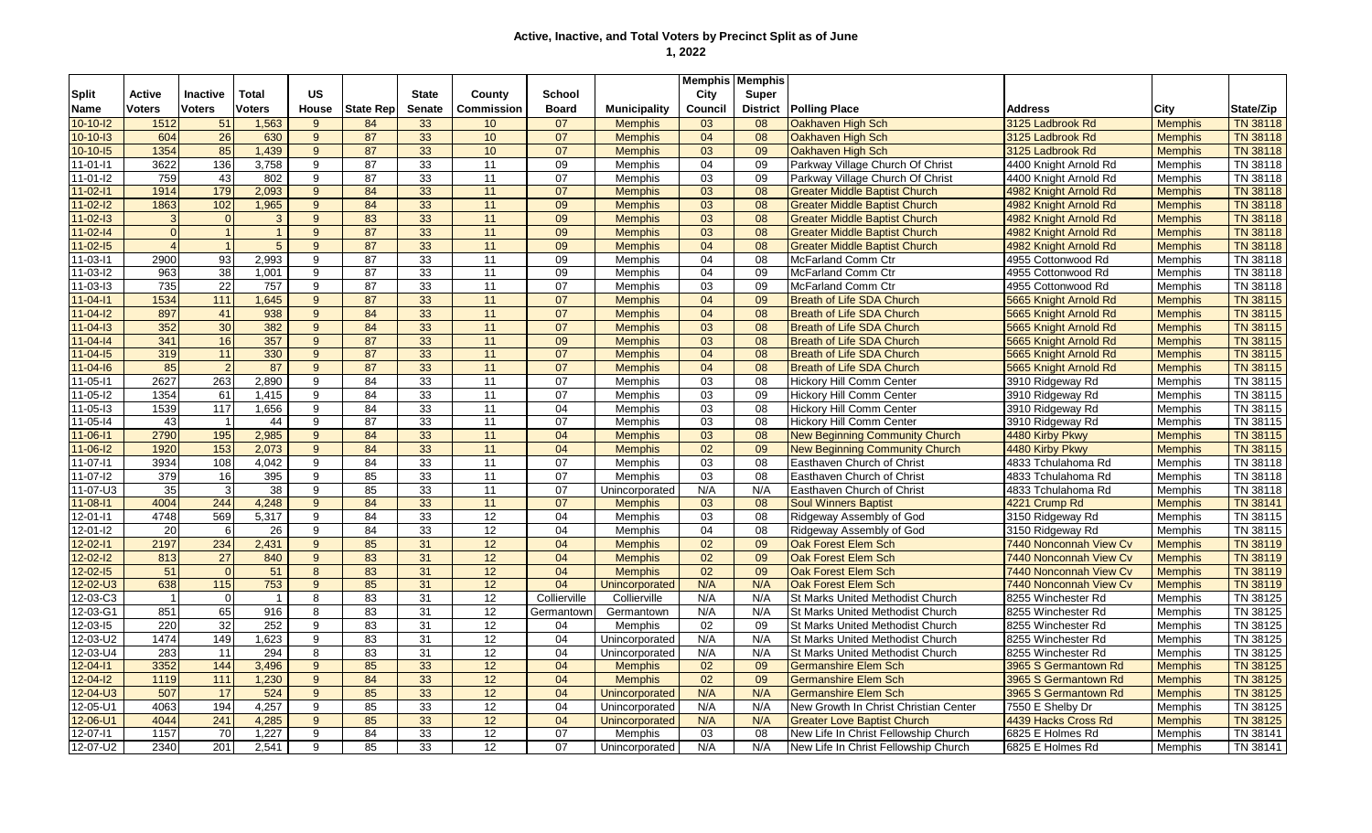|                |                |                 |                |                |                 |               |                   |                 |                     | <b>Memphis   Memphis</b> |                 |                                       |                        |                |                 |
|----------------|----------------|-----------------|----------------|----------------|-----------------|---------------|-------------------|-----------------|---------------------|--------------------------|-----------------|---------------------------------------|------------------------|----------------|-----------------|
| <b>Split</b>   | Active         | <b>Inactive</b> | Total          | <b>US</b>      |                 | <b>State</b>  | County            | <b>School</b>   |                     | City                     | Super           |                                       |                        |                |                 |
| Name           | Voters         | <b>Voters</b>   | <b>Voters</b>  | <b>House</b>   | State Rep       | <b>Senate</b> | <b>Commission</b> | <b>Board</b>    | <b>Municipality</b> | Council                  | <b>District</b> | <b>Polling Place</b>                  | <b>Address</b>         | City           | State/Zip       |
| $10 - 10 - 12$ | 1512           | 51              | 1,563          | $9^{\circ}$    | 84              | 33            | 10                | 07              | <b>Memphis</b>      | 03                       | 08              | Oakhaven High Sch                     | 3125 Ladbrook Rd       | <b>Memphis</b> | TN 38118        |
| $10-10-13$     | 604            | 26              | 630            | 9              | 87              | 33            | 10                | 07              | <b>Memphis</b>      | 04                       | 08              | Oakhaven High Sch                     | 3125 Ladbrook Rd       | <b>Memphis</b> | <b>TN 38118</b> |
| $10-10-15$     | 1354           | 85              | 1,439          | 9 <sup>°</sup> | 87              | 33            | 10                | 07              | <b>Memphis</b>      | 03                       | 09              | Oakhaven High Sch                     | 3125 Ladbrook Rd       | <b>Memphis</b> | <b>TN 38118</b> |
| 11-01-l1       | 3622           | 136             | 3,758          | 9              | 87              | 33            | 11                | 09              | Memphis             | 04                       | 09              | Parkway Village Church Of Christ      | 4400 Knight Arnold Rd  | <b>Memphis</b> | TN 38118        |
| $11 - 01 - 12$ | 759            | 43              | 802            | 9              | 87              | 33            | 11                | 07              | <b>Memphis</b>      | 03                       | 09              | Parkway Village Church Of Christ      | 4400 Knight Arnold Rd  | <b>Memphis</b> | TN 38118        |
| $11 - 02 - 11$ | 1914           | 179             | 2,093          | $9^{\circ}$    | 84              | 33            | 11                | 07              | <b>Memphis</b>      | 03                       | 08              | <b>Greater Middle Baptist Church</b>  | 4982 Knight Arnold Rd  | <b>Memphis</b> | <b>TN 38118</b> |
| $11 - 02 - 12$ | 1863           | 102             | 1,965          | 9 <sup>°</sup> | 84              | 33            | 11                | 09              | <b>Memphis</b>      | 03                       | 08              | <b>Greater Middle Baptist Church</b>  | 4982 Knight Arnold Rd  | <b>Memphis</b> | <b>TN 38118</b> |
| $11 - 02 - 13$ | 3              | $\Omega$        | 3 <sup>2</sup> | 9              | 83              | 33            | 11                | 09              | <b>Memphis</b>      | 03                       | 08              | <b>Greater Middle Baptist Church</b>  | 4982 Knight Arnold Rd  | <b>Memphis</b> | <b>TN 38118</b> |
| $11 - 02 - 14$ | $\Omega$       | $\vert$ 1       | $\mathbf{1}$   | 9 <sup>°</sup> | 87              | 33            | 11                | 09              | <b>Memphis</b>      | 03                       | 08              | <b>Greater Middle Baptist Church</b>  | 4982 Knight Arnold Rd  | <b>Memphis</b> | <b>TN 38118</b> |
| $11 - 02 - 15$ | $\overline{4}$ | $\overline{1}$  | 5 <sup>5</sup> | 9              | 87              | 33            | 11                | 09              | <b>Memphis</b>      | 04                       | 08              | <b>Greater Middle Baptist Church</b>  | 4982 Knight Arnold Rd  | <b>Memphis</b> | <b>TN 38118</b> |
| 11-03-11       | 2900           | 93              | 2,993          | 9              | 87              | 33            | 11                | 09              | Memphis             | 04                       | 08              | McFarland Comm Ctr                    | 4955 Cottonwood Rd     | <b>Memphis</b> | TN 38118        |
| 11-03-12       | 963            | 38              | 1,001          | 9              | 87              | 33            | 11                | 09              | Memphis             | 04                       | 09              | <b>McFarland Comm Ctr</b>             | 4955 Cottonwood Rd     | Memphis        | TN 38118        |
| 11-03-13       | 735            | 22              | 757            | 9              | 87              | 33            | 11                | 07              | Memphis             | 03                       | 09              | McFarland Comm Ctr                    | 4955 Cottonwood Rd     | <b>Memphis</b> | TN 38118        |
| $1 - 04 - 11$  | 1534           | 111             | 1,645          | 9 <sup>°</sup> | 87              | 33            | 11                | 07              | <b>Memphis</b>      | 04                       | 09              | <b>Breath of Life SDA Church</b>      | 5665 Knight Arnold Rd  | <b>Memphis</b> | TN 38115        |
| $11 - 04 - 12$ | 897            | 41              | 938            | 9              | $\overline{84}$ | 33            | 11                | 07              | <b>Memphis</b>      | 04                       | 08              | <b>Breath of Life SDA Church</b>      | 5665 Knight Arnold Rd  | <b>Memphis</b> | <b>TN 38115</b> |
| $1 - 04 - 13$  | 352            | 30              | 382            | 9 <sup>°</sup> | 84              | 33            | 11                | 07              | <b>Memphis</b>      | 03                       | 08              | <b>Breath of Life SDA Church</b>      | 5665 Knight Arnold Rd  | <b>Memphis</b> | TN 38115        |
| $1 - 04 - 14$  | 341            | 16              | 357            | 9              | 87              | 33            | 11                | 09              | <b>Memphis</b>      | 03                       | 08              | <b>Breath of Life SDA Church</b>      | 5665 Knight Arnold Rd  | <b>Memphis</b> | TN 38115        |
| $11 - 04 - 15$ | 319            | $11$            | 330            | 9              | 87              | 33            | 11                | 07              | <b>Memphis</b>      | 04                       | 08              | <b>Breath of Life SDA Church</b>      | 5665 Knight Arnold Rd  | <b>Memphis</b> | TN 38115        |
| $11 - 04 - 16$ | 85             | $\overline{2}$  | 87             | 9              | 87              | 33            | 11                | 07              | <b>Memphis</b>      | 04                       | 08              | <b>Breath of Life SDA Church</b>      | 5665 Knight Arnold Rd  | <b>Memphis</b> | TN 38115        |
| $11 - 05 - 11$ | 2627           | 263             | 2.890          | 9              | 84              | 33            | 11                | 07              | Memphis             | 03                       | 08              | Hickory Hill Comm Center              | 3910 Ridgeway Rd       | <b>Memphis</b> | TN 38115        |
| $11 - 05 - 12$ | 1354           | 61              | 1.415          | 9              | 84              | 33            | 11                | 07              | Memphis             | 03                       | 09              | <b>Hickory Hill Comm Center</b>       | 3910 Ridgeway Rd       | Memphis        | TN 38115        |
| 11-05-13       | 1539           | 117             | 1,656          | 9              | 84              | 33            | 11                | 04              | <b>Memphis</b>      | 03                       | 08              | <b>Hickory Hill Comm Center</b>       | 3910 Ridgeway Rd       | <b>Memphis</b> | TN 38115        |
| 11-05-14       | 43             | $\overline{1}$  | 44             | 9              | $\overline{87}$ | 33            | $\overline{11}$   | 07              | <b>Memphis</b>      | $\overline{03}$          | 08              | <b>Hickory Hill Comm Center</b>       | 3910 Ridgeway Rd       | <b>Memphis</b> | TN 38115        |
| $11 - 06 - 11$ | 2790           | 195             | 2,985          | 9              | 84              | 33            | 11                | 04              | <b>Memphis</b>      | 03                       | 08              | <b>New Beginning Community Church</b> | 4480 Kirby Pkwy        | <b>Memphis</b> | <b>TN 38115</b> |
| $11 - 06 - 12$ | 1920           | 153             | 2,073          | $9^{\circ}$    | 84              | 33            | 11                | 04              | <b>Memphis</b>      | 02                       | 09              | <b>New Beginning Community Church</b> | 4480 Kirby Pkwy        | <b>Memphis</b> | TN 38115        |
| 11-07-11       | 3934           | 108             | 4,042          | 9              | 84              | 33            | 11                | 07              | <b>Memphis</b>      | 03                       | 08              | Easthaven Church of Christ            | 4833 Tchulahoma Rd     | <b>Memphis</b> | TN 38118        |
| 11-07-l2       | 379            | 16              | 395            | 9              | 85              | 33            | 11                | 07              | Memphis             | 03                       | 08              | Easthaven Church of Christ            | 4833 Tchulahoma Rd     | <b>Memphis</b> | TN 38118        |
| 11-07-U3       | 35             | $\mathbf{3}$    | 38             | 9              | 85              | 33            | 11                | 07              | Unincorporated      | N/A                      | N/A             | Easthaven Church of Christ            | 4833 Tchulahoma Rd     | <b>Memphis</b> | TN 38118        |
| $11 - 08 - 11$ | 4004           | 244             | 4,248          | $9^{\circ}$    | 84              | 33            | 11                | 07              | <b>Memphis</b>      | 03                       | 08              | <b>Soul Winners Baptist</b>           | 4221 Crump Rd          | <b>Memphis</b> | <b>TN 38141</b> |
| 12-01-11       | 4748           | 569             | 5,317          | 9              | 84              | 33            | 12                | 04              | Memphis             | 03                       | 08              | Ridgeway Assembly of God              | 3150 Ridgeway Rd       | <b>Memphis</b> | TN 38115        |
| $12 - 01 - 12$ | 20             | 6               | 26             | 9              | 84              | 33            | 12                | 04              | <b>Memphis</b>      | 04                       | 08              | Ridgeway Assembly of God              | 3150 Ridgeway Rd       | <b>Memphis</b> | TN 38115        |
| $12 - 02 - 11$ | 2197           | 234             | 2,431          | $9^{\circ}$    | 85              | 31            | 12                | 04              | <b>Memphis</b>      | $\overline{02}$          | 09              | Oak Forest Elem Sch                   | 7440 Nonconnah View Cv | <b>Memphis</b> | <b>TN 38119</b> |
| $12 - 02 - 12$ | 813            | $\overline{27}$ | 840            | 9              | 83              | 31            | 12                | 04              | <b>Memphis</b>      | 02                       | 09              | Oak Forest Elem Sch                   | 7440 Nonconnah View Cv | <b>Memphis</b> | TN 38119        |
| $12 - 02 - 15$ | 51             | $\Omega$        | 51             | 8              | 83              | 31            | 12                | 04              | <b>Memphis</b>      | 02                       | 09              | Oak Forest Elem Sch                   | 7440 Nonconnah View Cv | <b>Memphis</b> | <b>TN 38119</b> |
| 12-02-U3       | 638            | 115             | 753            | 9              | 85              | 31            | 12                | 04              | Unincorporated      | N/A                      | N/A             | Oak Forest Elem Sch                   | 7440 Nonconnah View Cv | <b>Memphis</b> | <b>TN 38119</b> |
| 12-03-C3       | $\overline{1}$ | $\overline{0}$  | $\overline{1}$ | 8              | 83              | 31            | $\overline{12}$   | Collierville    | Collierville        | N/A                      | N/A             | St Marks United Methodist Church      | 8255 Winchester Rd     | Memphis        | TN 38125        |
| $12 - 03 - G1$ | 851            | 65              | 916            | 8              | 83              | 31            | 12                | Germantown      | Germantown          | N/A                      | N/A             | St Marks United Methodist Church      | 8255 Winchester Rd     | Memphis        | TN 38125        |
| $12 - 03 - 15$ | 220            | 32              | 252            | 9              | $\overline{83}$ | 31            | 12                | 04              | Memphis             | 02                       | 09              | St Marks United Methodist Church      | 8255 Winchester Rd     | <b>Memphis</b> | TN 38125        |
| $12 - 03 - U2$ | 1474           | 149             | 1,623          | 9              | 83              | 31            | $\overline{12}$   | 04              | Unincorporated      | N/A                      | N/A             | St Marks United Methodist Church      | 8255 Winchester Rd     | Memphis        | TN 38125        |
| $12 - 03 - U4$ | 283            | 11              | 294            | 8              | 83              | 31            | 12                | 04              | Unincorporated      | N/A                      | N/A             | St Marks United Methodist Church      | 8255 Winchester Rd     | Memphis        | TN 38125        |
| $12 - 04 - 11$ | 3352           | 144             | 3,496          | 9              | 85              | 33            | 12                | 04              | <b>Memphis</b>      | 02                       | 09              | <b>Germanshire Elem Sch</b>           | 3965 S Germantown Rd   | <b>Memphis</b> | TN 38125        |
| $12 - 04 - 12$ | 1119           | 111             | 1,230          | 9              | 84              | 33            | 12                | 04              | <b>Memphis</b>      | 02                       | 09              | <b>Germanshire Elem Sch</b>           | 3965 S Germantown Rd   | <b>Memphis</b> | TN 38125        |
| $12 - 04 - 03$ | 507            | 17              | 524            | 9              | 85              | 33            | 12                | 04              | Unincorporated      | N/A                      | N/A             | <b>Germanshire Elem Sch</b>           | 3965 S Germantown Rd   | <b>Memphis</b> | <b>TN 38125</b> |
| $12 - 05 - U1$ | 4063           | 194             | 4,257          | 9              | 85              | 33            | 12                | 04              | Unincorporated      | N/A                      | N/A             | New Growth In Christ Christian Center | 7550 E Shelby Dr       | Memphis        | TN 38125        |
| $12 - 06 - U1$ | 4044           | 241             | 4,285          | 9              | 85              | 33            | 12                | 04              | Unincorporated      | N/A                      | N/A             | <b>Greater Love Baptist Church</b>    | 4439 Hacks Cross Rd    | <b>Memphis</b> | <b>TN 38125</b> |
| 12-07-11       | 1157           | 70              | 1,227          | 9              | 84              | 33            | 12                | 07              | Memphis             | 03                       | 08              | New Life In Christ Fellowship Church  | 6825 E Holmes Rd       | <b>Memphis</b> | TN 38141        |
| 12-07-U2       | 2340           | 201             | 2.541          | 9              | 85              | 33            | $\overline{12}$   | $\overline{07}$ | Unincorporated      | N/A                      | N/A             | New Life In Christ Fellowship Church  | 6825 E Holmes Rd       | <b>Memphis</b> | TN 38141        |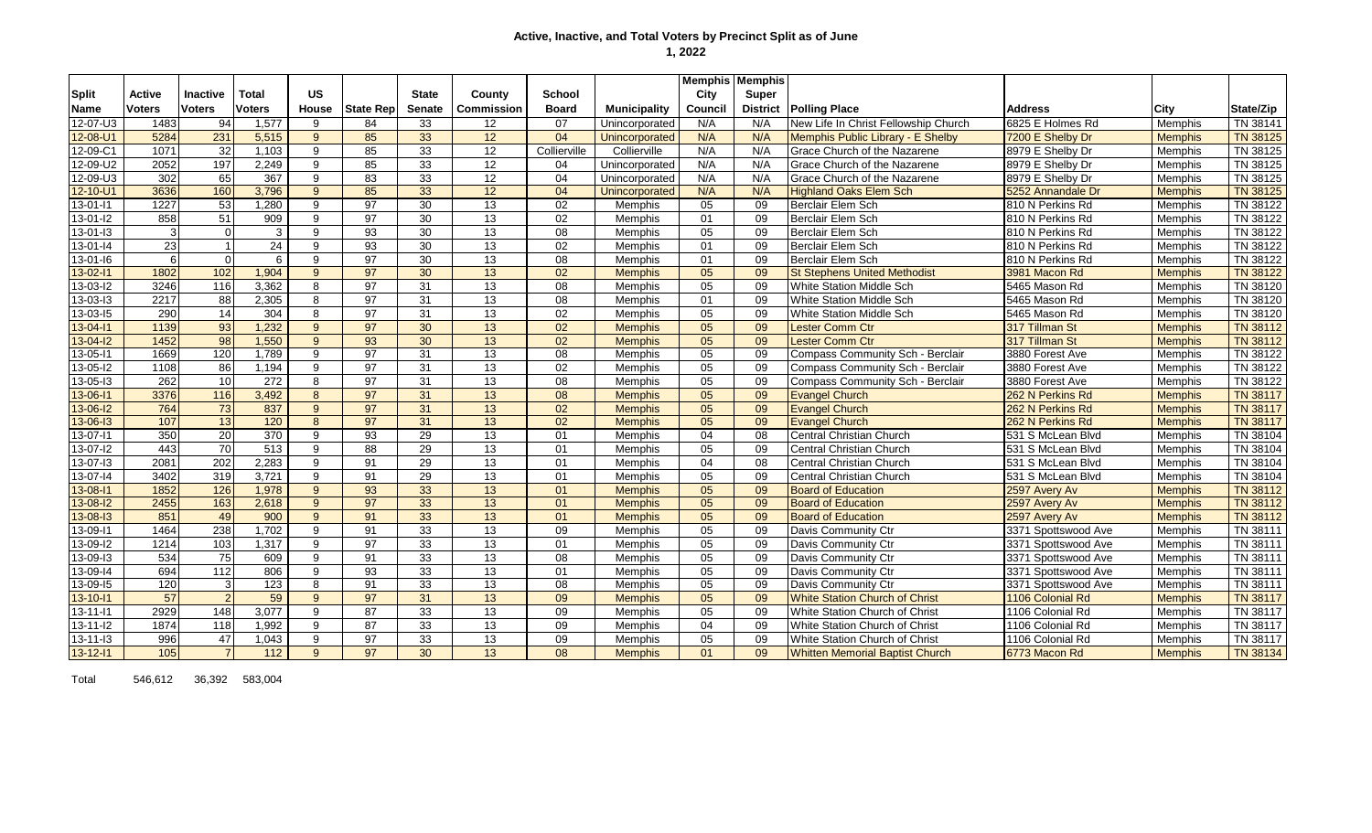|                |                  |                  |                  |                |                  |               |                   |                 |                     | <b>Memphis Memphis</b> |                 |                                        |                     |                |                 |
|----------------|------------------|------------------|------------------|----------------|------------------|---------------|-------------------|-----------------|---------------------|------------------------|-----------------|----------------------------------------|---------------------|----------------|-----------------|
| <b>Split</b>   | Active           | <b>Inactive</b>  | Total            | <b>US</b>      |                  | <b>State</b>  | County            | School          |                     | City                   | Super           |                                        |                     |                |                 |
| <b>Name</b>    | <b>Voters</b>    | <b>Voters</b>    | <b>Voters</b>    | House          | <b>State Rep</b> | <b>Senate</b> | <b>Commission</b> | <b>Board</b>    | <b>Municipality</b> | Council                | <b>District</b> | <b>Polling Place</b>                   | <b>Address</b>      | City           | State/Zip       |
| 12-07-U3       | 1483             | 94               | 1,577            | 9              | 84               | 33            | 12                | 07              | Unincorporated      | N/A                    | N/A             | New Life In Christ Fellowship Church   | 6825 E Holmes Rd    | Memphis        | TN 38141        |
| 12-08-U1       | 5284             | 231              | 5,515            | $9^{\circ}$    | 85               | 33            | 12                | 04              | Unincorporated      | N/A                    | N/A             | Memphis Public Library - E Shelby      | 7200 E Shelby Dr    | <b>Memphis</b> | TN 38125        |
| 12-09-C1       | 1071             | 32               | 1.103            | 9              | 85               | 33            | 12                | Collierville    | Collierville        | N/A                    | N/A             | Grace Church of the Nazarene           | 8979 E Shelby Dr    | Memphis        | TN 38125        |
| 12-09-U2       | 2052             | 197              | 2,249            | 9              | 85               | 33            | 12                | 04              | Unincorporated      | N/A                    | N/A             | Grace Church of the Nazarene           | 8979 E Shelby Dr    | Memphis        | TN 38125        |
| 12-09-U3       | 302              | 65               | 367              | 9              | 83               | 33            | 12                | 04              | Unincorporated      | N/A                    | N/A             | Grace Church of the Nazarene           | 8979 E Shelby Dr    | Memphis        | TN 38125        |
| $12 - 10 - U1$ | 3636             | 160              | 3,796            | 9              | 85               | 33            | 12                | 04              | Unincorporated      | N/A                    | N/A             | <b>Highland Oaks Elem Sch</b>          | 5252 Annandale Dr   | <b>Memphis</b> | TN 38125        |
| $13 - 01 - 11$ | 1227             | 53               | 1.280            | 9              | 97               | 30            | 13                | 02              | <b>Memphis</b>      | 05                     | 09              | Berclair Elem Sch                      | 810 N Perkins Rd    | Memphis        | TN 38122        |
| 13-01-l2       | 858              | 51               | 909              | 9              | 97               | 30            | 13                | 02              | <b>Memphis</b>      | 01                     | 09              | Berclair Elem Sch                      | 810 N Perkins Rd    | <b>Memphis</b> | TN 38122        |
| 13-01-13       | $\overline{3}$   | $\Omega$         | 3                | 9              | 93               | 30            | 13                | 08              | <b>Memphis</b>      | 05                     | 09              | Berclair Elem Sch                      | 810 N Perkins Rd    | <b>Memphis</b> | TN 38122        |
| $13 - 01 - 14$ | 23               |                  | 24               | 9              | 93               | 30            | 13                | 02              | Memphis             | 01                     | 09              | Berclair Elem Sch                      | 810 N Perkins Rd    | Memphis        | TN 38122        |
| $13 - 01 - 16$ | $6 \overline{6}$ | $\Omega$         | 6                | 9              | $\overline{97}$  | 30            | 13                | 08              | <b>Memphis</b>      | 01                     | 09              | Berclair Elem Sch                      | 810 N Perkins Rd    | Memphis        | TN 38122        |
| 13-02-11       | 1802             | 102              | 1,904            | 9              | 97               | 30            | 13                | 02              | <b>Memphis</b>      | 05                     | 09              | <b>St Stephens United Methodist</b>    | 3981 Macon Rd       | <b>Memphis</b> | <b>TN 38122</b> |
| $13 - 03 - 12$ | 3246             | 116              | 3,362            | 8              | 97               | 31            | 13                | $\overline{08}$ | Memphis             | 05                     | 09              | <b>White Station Middle Sch</b>        | 5465 Mason Rd       | Memphis        | TN 38120        |
| 13-03-13       | 2217             | 88               | 2,305            | 8              | 97               | 31            | 13                | 08              | <b>Memphis</b>      | 01                     | 09              | White Station Middle Sch               | 5465 Mason Rd       | Memphis        | TN 38120        |
| 13-03-15       | 290              | 14               | 304              | 8              | 97               | 31            | 13                | 02              | <b>Memphis</b>      | 05                     | 09              | White Station Middle Sch               | 5465 Mason Rd       | <b>Memphis</b> | TN 38120        |
| 13-04-11       | 1139             | 93               | 1,232            | 9              | 97               | 30            | 13                | 02              | <b>Memphis</b>      | 05                     | 09              | <b>Lester Comm Ctr</b>                 | 317 Tillman St      | <b>Memphis</b> | TN 38112        |
| $13 - 04 - 12$ | 1452             | 98               | 1,550            | $\mathbf{9}$   | 93               | 30            | 13                | 02              | <b>Memphis</b>      | 05                     | 09              | Lester Comm Ctr                        | 317 Tillman St      | <b>Memphis</b> | TN 38112        |
| 13-05-11       | 1669             | 120              | 1,789            | 9              | 97               | 31            | 13                | 08              | <b>Memphis</b>      | 05                     | 09              | Compass Community Sch - Berclair       | 3880 Forest Ave     | Memphis        | TN 38122        |
| 13-05-12       | 1108             | 86               | 1,194            | 9              | 97               | 31            | 13                | 02              | Memphis             | 05                     | 09              | Compass Community Sch - Berclair       | 3880 Forest Ave     | Memphis        | TN 38122        |
| $13 - 05 - 13$ | 262              | 10               | 272              | 8              | 97               | 31            | 13                | $\overline{08}$ | Memphis             | 05                     | 09              | Compass Community Sch - Berclair       | 3880 Forest Ave     | Memphis        | TN 38122        |
| $13 - 06 - 11$ | 3376             | 116              | 3,492            | 8              | 97               | 31            | 13                | $\overline{08}$ | <b>Memphis</b>      | 05                     | 09              | <b>Evangel Church</b>                  | 262 N Perkins Rd    | <b>Memphis</b> | <b>TN 38117</b> |
| $13 - 06 - 12$ | 764              | 73               | 837              | 9              | 97               | 31            | 13                | 02              | <b>Memphis</b>      | 05                     | 09              | <b>Evangel Church</b>                  | 262 N Perkins Rd    | <b>Memphis</b> | <b>TN 38117</b> |
| 13-06-13       | 107              | 13               | 120              | 8              | 97               | 31            | 13                | 02              | <b>Memphis</b>      | 05                     | 09              | <b>Evangel Church</b>                  | 262 N Perkins Rd    | <b>Memphis</b> | <b>TN 38117</b> |
| 13-07-11       | 350              | 20               | 370              | 9              | 93               | 29            | 13                | 01              | <b>Memphis</b>      | 04                     | 08              | <b>Central Christian Church</b>        | 531 S McLean Blvd   | Memphis        | TN 38104        |
| 13-07-l2       | 443              | 70               | $\overline{513}$ | 9              | 88               | 29            | 13                | 01              | <b>Memphis</b>      | 05                     | 09              | Central Christian Church               | 531 S McLean Blvd   | Memphis        | TN 38104        |
| 13-07-13       | 2081             | $\overline{202}$ | 2,283            | 9              | 91               | 29            | $\overline{13}$   | 01              | Memphis             | 04                     | 08              | Central Christian Church               | 531 S McLean Blvd   | Memphis        | TN 38104        |
| 13-07-14       | 3402             | 319              | 3.721            | 9              | 91               | 29            | 13                | 01              | <b>Memphis</b>      | 05                     | 09              | Central Christian Church               | 531 S McLean Blvd   | Memphis        | TN 38104        |
| 13-08-11       | 1852             | 126              | 1,978            | $9^{\circ}$    | 93               | 33            | 13                | 01              | <b>Memphis</b>      | 05                     | 09              | <b>Board of Education</b>              | 2597 Avery Av       | <b>Memphis</b> | TN 38112        |
| $13 - 08 - 12$ | 2455             | 163              | 2,618            | 9 <sup>°</sup> | 97               | 33            | 13                | 01              | <b>Memphis</b>      | 05                     | 09              | <b>Board of Education</b>              | 2597 Avery Av       | <b>Memphis</b> | TN 38112        |
| $13 - 08 - 13$ | 851              | 49               | 900              | 9              | 91               | 33            | 13                | 01              | <b>Memphis</b>      | 05                     | 09              | <b>Board of Education</b>              | 2597 Avery Av       | <b>Memphis</b> | <b>TN 38112</b> |
| 13-09-11       | 1464             | 238              | 1,702            | 9              | 91               | 33            | 13                | 09              | Memphis             | 05                     | 09              | Davis Community Ctr                    | 3371 Spottswood Ave | Memphis        | TN 38111        |
| 13-09-I2       | 1214             | 103              | 1,317            | 9              | 97               | 33            | 13                | 01              | <b>Memphis</b>      | 05                     | 09              | Davis Community Ctr                    | 3371 Spottswood Ave | Memphis        | TN 38111        |
| 13-09-13       | 534              | 75               | 609              | 9              | 91               | 33            | $\overline{13}$   | 08              | Memphis             | 05                     | 09              | Davis Community Ctr                    | 3371 Spottswood Ave | Memphis        | TN 38111        |
| 13-09-14       | 694              | 112              | 806              | 9              | 93               | 33            | 13                | 01              | <b>Memphis</b>      | 05                     | 09              | Davis Community Ctr                    | 3371 Spottswood Ave | Memphis        | TN 38111        |
| 13-09-15       | 120              | વ                | 123              | 8              | 91               | 33            | 13                | 08              | <b>Memphis</b>      | 05                     | 09              | Davis Community Ctr                    | 3371 Spottswood Ave | Memphis        | TN 38111        |
| 13-10-11       | 57               |                  | 59               | 9              | 97               | 31            | 13                | 09              | <b>Memphis</b>      | 05                     | 09              | <b>White Station Church of Christ</b>  | 1106 Colonial Rd    | <b>Memphis</b> | <b>TN 38117</b> |
| $13 - 11 - 11$ | 2929             | 148              | 3,077            | 9              | 87               | 33            | 13                | 09              | <b>Memphis</b>      | 05                     | 09              | White Station Church of Christ         | 1106 Colonial Rd    | Memphis        | TN 38117        |
| $13 - 11 - 12$ | 1874             | 118              | 1,992            | 9              | 87               | 33            | 13                | 09              | <b>Memphis</b>      | 04                     | 09              | White Station Church of Christ         | 1106 Colonial Rd    | Memphis        | TN 38117        |
| $13 - 11 - 13$ | 996              | 47               | 1,043            | 9              | 97               | 33            | 13                | 09              | Memphis             | 05                     | 09              | White Station Church of Christ         | 1106 Colonial Rd    | Memphis        | TN 38117        |
| $13 - 12 - 11$ | $105$            |                  | $112$            | 9              | 97               | 30            | 13                | 08              | <b>Memphis</b>      | 01                     | 09              | <b>Whitten Memorial Baptist Church</b> | 6773 Macon Rd       | <b>Memphis</b> | <b>TN 38134</b> |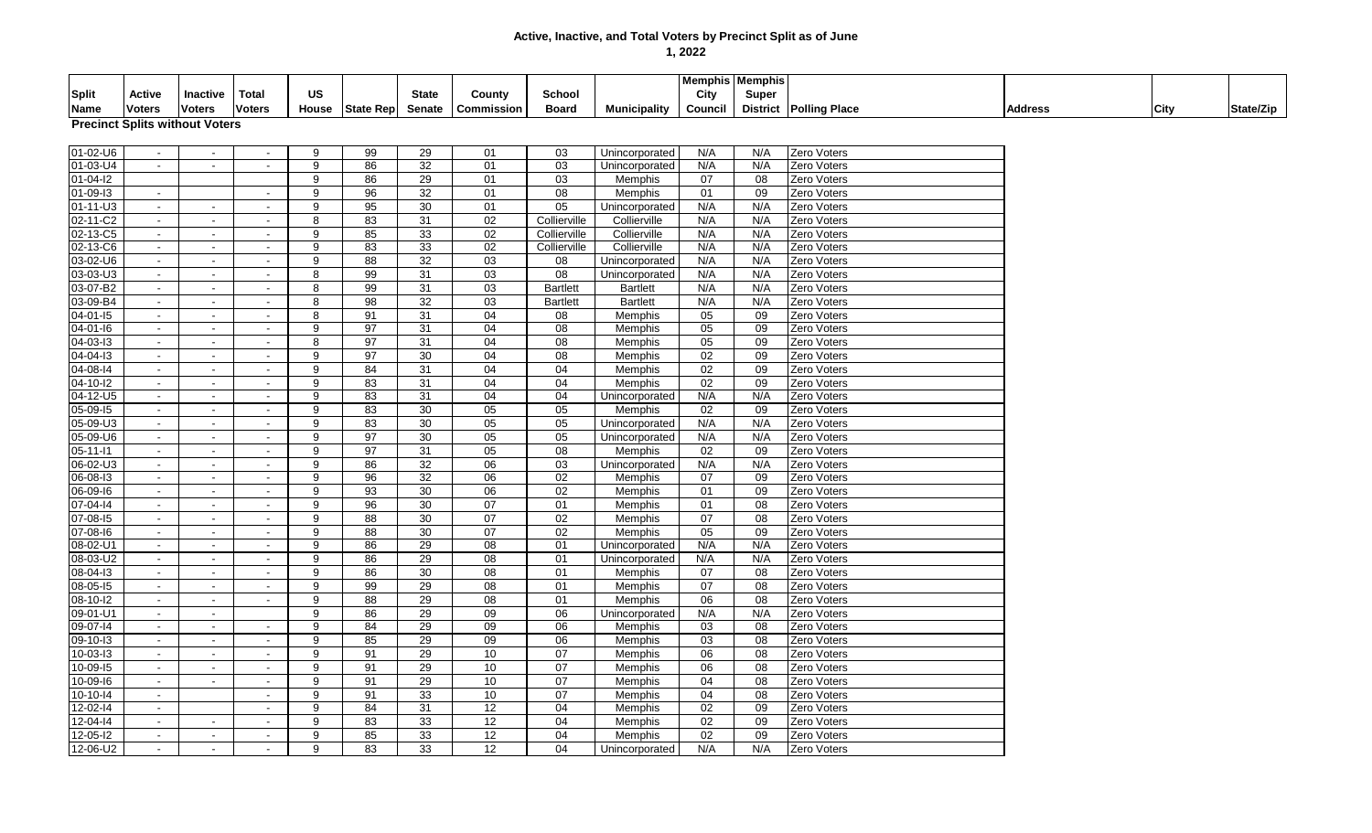| City<br>Total<br>US<br><b>State</b><br><b>Super</b><br>Split<br>Active<br>Inactive<br>County<br>School<br><b>Voters</b><br>Council<br><b>District Polling Place</b><br><b>Voters</b><br><b>Voters</b><br>House State Rep<br>Senate<br>Commission<br><b>Board</b><br><b>Municipality</b><br><b>Address</b><br><b>City</b><br><b>Name</b><br><b>Precinct Splits without Voters</b><br>01-02-U6<br>9<br>99<br>29<br>01<br>03<br>Unincorporated<br>N/A<br>N/A<br>Zero Voters<br>$\sim$<br>$\blacksquare$<br>86<br>32<br>N/A<br>01-03-U4<br>9<br>01<br>03<br>N/A<br>Zero Voters<br>$\sim$<br>Unincorporated<br>$\blacksquare$<br>$01 - 04 - 12$<br>01<br>07<br>9<br>86<br>29<br>03<br>Zero Voters<br>Memphis<br>08<br>$01 - 09 - 13$<br>9<br>96<br>32<br>01<br>08<br>01<br>Zero Voters<br>Memphis<br>09<br>$\sim$<br>$\sim$<br>01<br>05<br>01-11-U3<br>95<br>30<br>N/A<br>9<br>Unincorporated<br>N/A<br>Zero Voters<br>$\sim$<br>$\sim$<br>$\sim$<br>$\overline{02}$<br>02-11-C2<br>83<br>31<br>N/A<br>8<br>Collierville<br>Collierville<br>N/A<br>Zero Voters<br>$\sim$<br>$\sim$<br>$\sim$<br>02-13-C5<br>02<br>9<br>85<br>33<br>Collierville<br>Collierville<br>N/A<br>Zero Voters<br>N/A<br>$\sim$<br>$\sim$<br>$\sim$<br>02-13-C6<br>33<br>02<br>N/A<br>9<br>83<br>Collierville<br>Collierville<br>Zero Voters<br>N/A<br>$\sim$<br>$\sim$<br>$\sim$<br>03-02-U6<br>32<br>03<br>9<br>88<br>N/A<br>N/A<br>08<br>Unincorporated<br>Zero Voters<br>$\sim$<br>$\sim$<br>$\sim$<br>03-03-U3<br>$\overline{03}$<br>99<br>31<br>08<br>Unincorporated<br>N/A<br>8<br>N/A<br>Zero Voters<br>$\sim$<br>$\sim$<br>$\sim$<br>03-07-B2<br>99<br>31<br>03<br><b>Bartlett</b><br>N/A<br>8<br><b>Bartlett</b><br>N/A<br>Zero Voters<br>$\sim$<br>$\sim$<br>$\sim$<br>03-09-B4<br>32<br>$\overline{03}$<br>98<br>N/A<br>8<br><b>Bartlett</b><br><b>Bartlett</b><br>N/A<br>Zero Voters<br>$\sim$<br>$\sim$<br>$\sim$<br>04-01-15<br>04<br>8<br>91<br>31<br>08<br>05<br>Zero Voters<br>Memphis<br>09<br>$\sim$<br>$\sim$<br>$\sim$<br>04-01-16<br>31<br>04<br>$\sim$<br>9<br>97<br>08<br>Memphis<br>05<br>09<br>Zero Voters<br>$\sim$<br>$\sim$<br>04-03-13<br>04<br>8<br>97<br>31<br>08<br>05<br>09<br>Zero Voters<br>Memphis<br>$\sim$<br>$\sim$<br>$\sim$<br>04<br>04-04-13<br>30<br>9<br>97<br>08<br>02<br>Zero Voters<br>$\sim$<br>Memphis<br>09<br>$\sim$<br>$\sim$<br>04<br>04-08-14<br>31<br>04<br>02<br>9<br>84<br>Memphis<br>09<br>Zero Voters<br>$\sim$<br>$\sim$<br>$\sim$<br>04<br>04-10-l2<br>31<br>9<br>83<br>04<br>02<br>Memphis<br>09<br>Zero Voters<br>$\sim$<br>$\sim$<br>$\sim$<br>04-12-U5<br>04<br>N/A<br>31<br>04<br>9<br>83<br>Unincorporated<br>N/A<br>Zero Voters<br>$\sim$<br>$\sim$<br>$\sim$<br>05-09-15<br>30<br>05<br>05<br>02<br>9<br>83<br>Memphis<br>Zero Voters<br>$\sim$<br>09<br>$\mathbf{r}$<br>$\sim$<br>05<br>05-09-U3<br>30<br>05<br>N/A<br>9<br>83<br>Unincorporated<br>N/A<br>Zero Voters<br>$\sim$<br>$\blacksquare$<br>$\sim$<br>05-09-U6<br>30<br>05<br>N/A<br>9<br>97<br>05<br>Unincorporated<br>N/A<br>Zero Voters<br>$\sim$<br>$\sim$<br>$\sim$<br>05<br>05-11-11<br>97<br>31<br>80<br>Memphis<br>02<br>Zero Voters<br>9<br>09<br>$\sim$<br>$\sim$<br>$\sim$<br>06-02-U3<br>32<br>06<br>03<br>N/A<br>9<br>86<br>N/A<br>Unincorporated<br>Zero Voters<br>$\sim$<br>$\sim$<br>$\sim$<br>$\overline{32}$<br>$\overline{06}$<br>06-08-13<br>9<br>96<br>02<br>07<br>09<br>Memphis<br>Zero Voters<br>$\sim$<br>$\blacksquare$<br>$\sim$<br>06-09-16<br>$\overline{06}$<br>9<br>93<br>30<br>02<br>01<br>09<br>Zero Voters<br>Memphis<br>$\sim$<br>$\blacksquare$<br>$\sim$<br>07-04-14<br>07<br>9<br>96<br>30<br>01<br>01<br>08<br>Zero Voters<br>$\sim$<br>Memphis<br>$\blacksquare$<br>07<br>07-08-15<br>88<br>30<br>02<br>07<br>08<br>9<br>Memphis<br>Zero Voters<br>$\blacksquare$<br>$\blacksquare$<br>$\sim$<br>07<br>07-08-16<br>30<br>02<br>05<br>9<br>88<br>09<br>Zero Voters<br>$\sim$<br>Memphis<br>$\sim$<br>$\blacksquare$<br>08-02-U1<br>08<br>9<br>86<br>29<br>Unincorporated<br>N/A<br>N/A<br>Zero Voters<br>01<br>$\sim$<br>$\sim$<br>$\sim$<br>08-03-U2<br>29<br>08<br>N/A<br>9<br>86<br>01<br>Unincorporated<br>N/A<br>Zero Voters<br>$\sim$<br>$\blacksquare$<br>$\sim$<br>$\overline{08}$<br>08-04-13<br>9<br>86<br>30<br>01<br>07<br>08<br>Memphis<br>Zero Voters<br>$\sim$<br>$\mathbf{r}$<br>$\sim$<br>08-05-15<br>29<br>08<br>07<br>9<br>99<br>01<br>08<br>Zero Voters<br>$\sim$<br>Memphis<br>$\sim$<br>$\sim$<br>08-10-l2<br>08<br>06<br>9<br>88<br>29<br>01<br>Memphis<br>08<br>Zero Voters<br>$\sim$<br>$\sim$<br>$\blacksquare$<br>09-01-U1<br>29<br>09<br>06<br>N/A<br>9<br>86<br>Unincorporated<br>N/A<br>Zero Voters<br>$\sim$<br>$\sim$<br>29<br>09<br>09-07-14<br>9<br>84<br>06<br>Memphis<br>03<br>Zero Voters<br>08<br>$\sim$<br>$\sim$<br>$\sim$<br>09-10-13<br>85<br>29<br>09<br>06<br>$\overline{03}$<br>9<br>Memphis<br>08<br>Zero Voters<br>$\sim$<br>$\sim$<br>$\sim$<br>10-03-13<br>10<br>9<br>91<br>29<br>07<br>06<br>Zero Voters<br>Memphis<br>08<br>$\sim$<br>$\sim$<br>$\sim$<br>$10 - 09 - 15$<br>9<br>91<br>29<br>10<br>07<br>06<br>Memphis<br>08<br>Zero Voters<br>$\sim$<br>$\sim$<br>$\sim$<br>$10 - 09 - 16$<br>9<br>91<br>29<br>10<br>07<br>Memphis<br>04<br>08<br>Zero Voters<br>$\sim$<br>$\blacksquare$<br>$\sim$<br>$10-10-14$<br>33<br>10<br>07<br>9<br>91<br>Memphis<br>04<br>08<br>Zero Voters<br>$\sim$<br>$\sim$<br>12-02-14<br>12<br>9<br>84<br>31<br>04<br>02<br>09<br>Zero Voters<br>Memphis<br>$\sim$<br>$\sim$<br>$12 - 04 - 14$<br>33<br>12<br>9<br>83<br>04<br>02<br>Zero Voters<br>Memphis<br>09<br>$\sim$<br>$\sim$<br>$\sim$<br>$12 - 05 - 12$<br>33<br>12<br>9<br>85<br>04<br>02<br>09<br>Zero Voters<br>Memphis<br>$\sim$<br>$\sim$<br>$\sim$<br>12-06-U2<br>83<br>33<br>12<br>N/A<br>9<br>04<br>N/A<br>Zero Voters<br>Unincorporated<br>$\sim$<br>$\mathbf{r}$ |  |  |  |  |  | <b>Memphis   Memphis</b> |  |  |           |
|-------------------------------------------------------------------------------------------------------------------------------------------------------------------------------------------------------------------------------------------------------------------------------------------------------------------------------------------------------------------------------------------------------------------------------------------------------------------------------------------------------------------------------------------------------------------------------------------------------------------------------------------------------------------------------------------------------------------------------------------------------------------------------------------------------------------------------------------------------------------------------------------------------------------------------------------------------------------------------------------------------------------------------------------------------------------------------------------------------------------------------------------------------------------------------------------------------------------------------------------------------------------------------------------------------------------------------------------------------------------------------------------------------------------------------------------------------------------------------------------------------------------------------------------------------------------------------------------------------------------------------------------------------------------------------------------------------------------------------------------------------------------------------------------------------------------------------------------------------------------------------------------------------------------------------------------------------------------------------------------------------------------------------------------------------------------------------------------------------------------------------------------------------------------------------------------------------------------------------------------------------------------------------------------------------------------------------------------------------------------------------------------------------------------------------------------------------------------------------------------------------------------------------------------------------------------------------------------------------------------------------------------------------------------------------------------------------------------------------------------------------------------------------------------------------------------------------------------------------------------------------------------------------------------------------------------------------------------------------------------------------------------------------------------------------------------------------------------------------------------------------------------------------------------------------------------------------------------------------------------------------------------------------------------------------------------------------------------------------------------------------------------------------------------------------------------------------------------------------------------------------------------------------------------------------------------------------------------------------------------------------------------------------------------------------------------------------------------------------------------------------------------------------------------------------------------------------------------------------------------------------------------------------------------------------------------------------------------------------------------------------------------------------------------------------------------------------------------------------------------------------------------------------------------------------------------------------------------------------------------------------------------------------------------------------------------------------------------------------------------------------------------------------------------------------------------------------------------------------------------------------------------------------------------------------------------------------------------------------------------------------------------------------------------------------------------------------------------------------------------------------------------------------------------------------------------------------------------------------------------------------------------------------------------------------------------------------------------------------------------------------------------------------------------------------------------------------------------------------------------------------------------------------------------------------------------------------------------------------------------------------------------------------------------------------------------------------------------------------------------------------------------------------------------------------------------------------------------------------------------------------------------------------------------------------------------------------------------------------------------------------------------------------------------------------------------------------------------------------------------------------------------------------------------------------------------------------------------------------------------|--|--|--|--|--|--------------------------|--|--|-----------|
|                                                                                                                                                                                                                                                                                                                                                                                                                                                                                                                                                                                                                                                                                                                                                                                                                                                                                                                                                                                                                                                                                                                                                                                                                                                                                                                                                                                                                                                                                                                                                                                                                                                                                                                                                                                                                                                                                                                                                                                                                                                                                                                                                                                                                                                                                                                                                                                                                                                                                                                                                                                                                                                                                                                                                                                                                                                                                                                                                                                                                                                                                                                                                                                                                                                                                                                                                                                                                                                                                                                                                                                                                                                                                                                                                                                                                                                                                                                                                                                                                                                                                                                                                                                                                                                                                                                                                                                                                                                                                                                                                                                                                                                                                                                                                                                                                                                                                                                                                                                                                                                                                                                                                                                                                                                                                                                                                                                                                                                                                                                                                                                                                                                                                                                                                                                                                                                                   |  |  |  |  |  |                          |  |  |           |
|                                                                                                                                                                                                                                                                                                                                                                                                                                                                                                                                                                                                                                                                                                                                                                                                                                                                                                                                                                                                                                                                                                                                                                                                                                                                                                                                                                                                                                                                                                                                                                                                                                                                                                                                                                                                                                                                                                                                                                                                                                                                                                                                                                                                                                                                                                                                                                                                                                                                                                                                                                                                                                                                                                                                                                                                                                                                                                                                                                                                                                                                                                                                                                                                                                                                                                                                                                                                                                                                                                                                                                                                                                                                                                                                                                                                                                                                                                                                                                                                                                                                                                                                                                                                                                                                                                                                                                                                                                                                                                                                                                                                                                                                                                                                                                                                                                                                                                                                                                                                                                                                                                                                                                                                                                                                                                                                                                                                                                                                                                                                                                                                                                                                                                                                                                                                                                                                   |  |  |  |  |  |                          |  |  | State/Zip |
|                                                                                                                                                                                                                                                                                                                                                                                                                                                                                                                                                                                                                                                                                                                                                                                                                                                                                                                                                                                                                                                                                                                                                                                                                                                                                                                                                                                                                                                                                                                                                                                                                                                                                                                                                                                                                                                                                                                                                                                                                                                                                                                                                                                                                                                                                                                                                                                                                                                                                                                                                                                                                                                                                                                                                                                                                                                                                                                                                                                                                                                                                                                                                                                                                                                                                                                                                                                                                                                                                                                                                                                                                                                                                                                                                                                                                                                                                                                                                                                                                                                                                                                                                                                                                                                                                                                                                                                                                                                                                                                                                                                                                                                                                                                                                                                                                                                                                                                                                                                                                                                                                                                                                                                                                                                                                                                                                                                                                                                                                                                                                                                                                                                                                                                                                                                                                                                                   |  |  |  |  |  |                          |  |  |           |
|                                                                                                                                                                                                                                                                                                                                                                                                                                                                                                                                                                                                                                                                                                                                                                                                                                                                                                                                                                                                                                                                                                                                                                                                                                                                                                                                                                                                                                                                                                                                                                                                                                                                                                                                                                                                                                                                                                                                                                                                                                                                                                                                                                                                                                                                                                                                                                                                                                                                                                                                                                                                                                                                                                                                                                                                                                                                                                                                                                                                                                                                                                                                                                                                                                                                                                                                                                                                                                                                                                                                                                                                                                                                                                                                                                                                                                                                                                                                                                                                                                                                                                                                                                                                                                                                                                                                                                                                                                                                                                                                                                                                                                                                                                                                                                                                                                                                                                                                                                                                                                                                                                                                                                                                                                                                                                                                                                                                                                                                                                                                                                                                                                                                                                                                                                                                                                                                   |  |  |  |  |  |                          |  |  |           |
|                                                                                                                                                                                                                                                                                                                                                                                                                                                                                                                                                                                                                                                                                                                                                                                                                                                                                                                                                                                                                                                                                                                                                                                                                                                                                                                                                                                                                                                                                                                                                                                                                                                                                                                                                                                                                                                                                                                                                                                                                                                                                                                                                                                                                                                                                                                                                                                                                                                                                                                                                                                                                                                                                                                                                                                                                                                                                                                                                                                                                                                                                                                                                                                                                                                                                                                                                                                                                                                                                                                                                                                                                                                                                                                                                                                                                                                                                                                                                                                                                                                                                                                                                                                                                                                                                                                                                                                                                                                                                                                                                                                                                                                                                                                                                                                                                                                                                                                                                                                                                                                                                                                                                                                                                                                                                                                                                                                                                                                                                                                                                                                                                                                                                                                                                                                                                                                                   |  |  |  |  |  |                          |  |  |           |
|                                                                                                                                                                                                                                                                                                                                                                                                                                                                                                                                                                                                                                                                                                                                                                                                                                                                                                                                                                                                                                                                                                                                                                                                                                                                                                                                                                                                                                                                                                                                                                                                                                                                                                                                                                                                                                                                                                                                                                                                                                                                                                                                                                                                                                                                                                                                                                                                                                                                                                                                                                                                                                                                                                                                                                                                                                                                                                                                                                                                                                                                                                                                                                                                                                                                                                                                                                                                                                                                                                                                                                                                                                                                                                                                                                                                                                                                                                                                                                                                                                                                                                                                                                                                                                                                                                                                                                                                                                                                                                                                                                                                                                                                                                                                                                                                                                                                                                                                                                                                                                                                                                                                                                                                                                                                                                                                                                                                                                                                                                                                                                                                                                                                                                                                                                                                                                                                   |  |  |  |  |  |                          |  |  |           |
|                                                                                                                                                                                                                                                                                                                                                                                                                                                                                                                                                                                                                                                                                                                                                                                                                                                                                                                                                                                                                                                                                                                                                                                                                                                                                                                                                                                                                                                                                                                                                                                                                                                                                                                                                                                                                                                                                                                                                                                                                                                                                                                                                                                                                                                                                                                                                                                                                                                                                                                                                                                                                                                                                                                                                                                                                                                                                                                                                                                                                                                                                                                                                                                                                                                                                                                                                                                                                                                                                                                                                                                                                                                                                                                                                                                                                                                                                                                                                                                                                                                                                                                                                                                                                                                                                                                                                                                                                                                                                                                                                                                                                                                                                                                                                                                                                                                                                                                                                                                                                                                                                                                                                                                                                                                                                                                                                                                                                                                                                                                                                                                                                                                                                                                                                                                                                                                                   |  |  |  |  |  |                          |  |  |           |
|                                                                                                                                                                                                                                                                                                                                                                                                                                                                                                                                                                                                                                                                                                                                                                                                                                                                                                                                                                                                                                                                                                                                                                                                                                                                                                                                                                                                                                                                                                                                                                                                                                                                                                                                                                                                                                                                                                                                                                                                                                                                                                                                                                                                                                                                                                                                                                                                                                                                                                                                                                                                                                                                                                                                                                                                                                                                                                                                                                                                                                                                                                                                                                                                                                                                                                                                                                                                                                                                                                                                                                                                                                                                                                                                                                                                                                                                                                                                                                                                                                                                                                                                                                                                                                                                                                                                                                                                                                                                                                                                                                                                                                                                                                                                                                                                                                                                                                                                                                                                                                                                                                                                                                                                                                                                                                                                                                                                                                                                                                                                                                                                                                                                                                                                                                                                                                                                   |  |  |  |  |  |                          |  |  |           |
|                                                                                                                                                                                                                                                                                                                                                                                                                                                                                                                                                                                                                                                                                                                                                                                                                                                                                                                                                                                                                                                                                                                                                                                                                                                                                                                                                                                                                                                                                                                                                                                                                                                                                                                                                                                                                                                                                                                                                                                                                                                                                                                                                                                                                                                                                                                                                                                                                                                                                                                                                                                                                                                                                                                                                                                                                                                                                                                                                                                                                                                                                                                                                                                                                                                                                                                                                                                                                                                                                                                                                                                                                                                                                                                                                                                                                                                                                                                                                                                                                                                                                                                                                                                                                                                                                                                                                                                                                                                                                                                                                                                                                                                                                                                                                                                                                                                                                                                                                                                                                                                                                                                                                                                                                                                                                                                                                                                                                                                                                                                                                                                                                                                                                                                                                                                                                                                                   |  |  |  |  |  |                          |  |  |           |
|                                                                                                                                                                                                                                                                                                                                                                                                                                                                                                                                                                                                                                                                                                                                                                                                                                                                                                                                                                                                                                                                                                                                                                                                                                                                                                                                                                                                                                                                                                                                                                                                                                                                                                                                                                                                                                                                                                                                                                                                                                                                                                                                                                                                                                                                                                                                                                                                                                                                                                                                                                                                                                                                                                                                                                                                                                                                                                                                                                                                                                                                                                                                                                                                                                                                                                                                                                                                                                                                                                                                                                                                                                                                                                                                                                                                                                                                                                                                                                                                                                                                                                                                                                                                                                                                                                                                                                                                                                                                                                                                                                                                                                                                                                                                                                                                                                                                                                                                                                                                                                                                                                                                                                                                                                                                                                                                                                                                                                                                                                                                                                                                                                                                                                                                                                                                                                                                   |  |  |  |  |  |                          |  |  |           |
|                                                                                                                                                                                                                                                                                                                                                                                                                                                                                                                                                                                                                                                                                                                                                                                                                                                                                                                                                                                                                                                                                                                                                                                                                                                                                                                                                                                                                                                                                                                                                                                                                                                                                                                                                                                                                                                                                                                                                                                                                                                                                                                                                                                                                                                                                                                                                                                                                                                                                                                                                                                                                                                                                                                                                                                                                                                                                                                                                                                                                                                                                                                                                                                                                                                                                                                                                                                                                                                                                                                                                                                                                                                                                                                                                                                                                                                                                                                                                                                                                                                                                                                                                                                                                                                                                                                                                                                                                                                                                                                                                                                                                                                                                                                                                                                                                                                                                                                                                                                                                                                                                                                                                                                                                                                                                                                                                                                                                                                                                                                                                                                                                                                                                                                                                                                                                                                                   |  |  |  |  |  |                          |  |  |           |
|                                                                                                                                                                                                                                                                                                                                                                                                                                                                                                                                                                                                                                                                                                                                                                                                                                                                                                                                                                                                                                                                                                                                                                                                                                                                                                                                                                                                                                                                                                                                                                                                                                                                                                                                                                                                                                                                                                                                                                                                                                                                                                                                                                                                                                                                                                                                                                                                                                                                                                                                                                                                                                                                                                                                                                                                                                                                                                                                                                                                                                                                                                                                                                                                                                                                                                                                                                                                                                                                                                                                                                                                                                                                                                                                                                                                                                                                                                                                                                                                                                                                                                                                                                                                                                                                                                                                                                                                                                                                                                                                                                                                                                                                                                                                                                                                                                                                                                                                                                                                                                                                                                                                                                                                                                                                                                                                                                                                                                                                                                                                                                                                                                                                                                                                                                                                                                                                   |  |  |  |  |  |                          |  |  |           |
|                                                                                                                                                                                                                                                                                                                                                                                                                                                                                                                                                                                                                                                                                                                                                                                                                                                                                                                                                                                                                                                                                                                                                                                                                                                                                                                                                                                                                                                                                                                                                                                                                                                                                                                                                                                                                                                                                                                                                                                                                                                                                                                                                                                                                                                                                                                                                                                                                                                                                                                                                                                                                                                                                                                                                                                                                                                                                                                                                                                                                                                                                                                                                                                                                                                                                                                                                                                                                                                                                                                                                                                                                                                                                                                                                                                                                                                                                                                                                                                                                                                                                                                                                                                                                                                                                                                                                                                                                                                                                                                                                                                                                                                                                                                                                                                                                                                                                                                                                                                                                                                                                                                                                                                                                                                                                                                                                                                                                                                                                                                                                                                                                                                                                                                                                                                                                                                                   |  |  |  |  |  |                          |  |  |           |
|                                                                                                                                                                                                                                                                                                                                                                                                                                                                                                                                                                                                                                                                                                                                                                                                                                                                                                                                                                                                                                                                                                                                                                                                                                                                                                                                                                                                                                                                                                                                                                                                                                                                                                                                                                                                                                                                                                                                                                                                                                                                                                                                                                                                                                                                                                                                                                                                                                                                                                                                                                                                                                                                                                                                                                                                                                                                                                                                                                                                                                                                                                                                                                                                                                                                                                                                                                                                                                                                                                                                                                                                                                                                                                                                                                                                                                                                                                                                                                                                                                                                                                                                                                                                                                                                                                                                                                                                                                                                                                                                                                                                                                                                                                                                                                                                                                                                                                                                                                                                                                                                                                                                                                                                                                                                                                                                                                                                                                                                                                                                                                                                                                                                                                                                                                                                                                                                   |  |  |  |  |  |                          |  |  |           |
|                                                                                                                                                                                                                                                                                                                                                                                                                                                                                                                                                                                                                                                                                                                                                                                                                                                                                                                                                                                                                                                                                                                                                                                                                                                                                                                                                                                                                                                                                                                                                                                                                                                                                                                                                                                                                                                                                                                                                                                                                                                                                                                                                                                                                                                                                                                                                                                                                                                                                                                                                                                                                                                                                                                                                                                                                                                                                                                                                                                                                                                                                                                                                                                                                                                                                                                                                                                                                                                                                                                                                                                                                                                                                                                                                                                                                                                                                                                                                                                                                                                                                                                                                                                                                                                                                                                                                                                                                                                                                                                                                                                                                                                                                                                                                                                                                                                                                                                                                                                                                                                                                                                                                                                                                                                                                                                                                                                                                                                                                                                                                                                                                                                                                                                                                                                                                                                                   |  |  |  |  |  |                          |  |  |           |
|                                                                                                                                                                                                                                                                                                                                                                                                                                                                                                                                                                                                                                                                                                                                                                                                                                                                                                                                                                                                                                                                                                                                                                                                                                                                                                                                                                                                                                                                                                                                                                                                                                                                                                                                                                                                                                                                                                                                                                                                                                                                                                                                                                                                                                                                                                                                                                                                                                                                                                                                                                                                                                                                                                                                                                                                                                                                                                                                                                                                                                                                                                                                                                                                                                                                                                                                                                                                                                                                                                                                                                                                                                                                                                                                                                                                                                                                                                                                                                                                                                                                                                                                                                                                                                                                                                                                                                                                                                                                                                                                                                                                                                                                                                                                                                                                                                                                                                                                                                                                                                                                                                                                                                                                                                                                                                                                                                                                                                                                                                                                                                                                                                                                                                                                                                                                                                                                   |  |  |  |  |  |                          |  |  |           |
|                                                                                                                                                                                                                                                                                                                                                                                                                                                                                                                                                                                                                                                                                                                                                                                                                                                                                                                                                                                                                                                                                                                                                                                                                                                                                                                                                                                                                                                                                                                                                                                                                                                                                                                                                                                                                                                                                                                                                                                                                                                                                                                                                                                                                                                                                                                                                                                                                                                                                                                                                                                                                                                                                                                                                                                                                                                                                                                                                                                                                                                                                                                                                                                                                                                                                                                                                                                                                                                                                                                                                                                                                                                                                                                                                                                                                                                                                                                                                                                                                                                                                                                                                                                                                                                                                                                                                                                                                                                                                                                                                                                                                                                                                                                                                                                                                                                                                                                                                                                                                                                                                                                                                                                                                                                                                                                                                                                                                                                                                                                                                                                                                                                                                                                                                                                                                                                                   |  |  |  |  |  |                          |  |  |           |
|                                                                                                                                                                                                                                                                                                                                                                                                                                                                                                                                                                                                                                                                                                                                                                                                                                                                                                                                                                                                                                                                                                                                                                                                                                                                                                                                                                                                                                                                                                                                                                                                                                                                                                                                                                                                                                                                                                                                                                                                                                                                                                                                                                                                                                                                                                                                                                                                                                                                                                                                                                                                                                                                                                                                                                                                                                                                                                                                                                                                                                                                                                                                                                                                                                                                                                                                                                                                                                                                                                                                                                                                                                                                                                                                                                                                                                                                                                                                                                                                                                                                                                                                                                                                                                                                                                                                                                                                                                                                                                                                                                                                                                                                                                                                                                                                                                                                                                                                                                                                                                                                                                                                                                                                                                                                                                                                                                                                                                                                                                                                                                                                                                                                                                                                                                                                                                                                   |  |  |  |  |  |                          |  |  |           |
|                                                                                                                                                                                                                                                                                                                                                                                                                                                                                                                                                                                                                                                                                                                                                                                                                                                                                                                                                                                                                                                                                                                                                                                                                                                                                                                                                                                                                                                                                                                                                                                                                                                                                                                                                                                                                                                                                                                                                                                                                                                                                                                                                                                                                                                                                                                                                                                                                                                                                                                                                                                                                                                                                                                                                                                                                                                                                                                                                                                                                                                                                                                                                                                                                                                                                                                                                                                                                                                                                                                                                                                                                                                                                                                                                                                                                                                                                                                                                                                                                                                                                                                                                                                                                                                                                                                                                                                                                                                                                                                                                                                                                                                                                                                                                                                                                                                                                                                                                                                                                                                                                                                                                                                                                                                                                                                                                                                                                                                                                                                                                                                                                                                                                                                                                                                                                                                                   |  |  |  |  |  |                          |  |  |           |
|                                                                                                                                                                                                                                                                                                                                                                                                                                                                                                                                                                                                                                                                                                                                                                                                                                                                                                                                                                                                                                                                                                                                                                                                                                                                                                                                                                                                                                                                                                                                                                                                                                                                                                                                                                                                                                                                                                                                                                                                                                                                                                                                                                                                                                                                                                                                                                                                                                                                                                                                                                                                                                                                                                                                                                                                                                                                                                                                                                                                                                                                                                                                                                                                                                                                                                                                                                                                                                                                                                                                                                                                                                                                                                                                                                                                                                                                                                                                                                                                                                                                                                                                                                                                                                                                                                                                                                                                                                                                                                                                                                                                                                                                                                                                                                                                                                                                                                                                                                                                                                                                                                                                                                                                                                                                                                                                                                                                                                                                                                                                                                                                                                                                                                                                                                                                                                                                   |  |  |  |  |  |                          |  |  |           |
|                                                                                                                                                                                                                                                                                                                                                                                                                                                                                                                                                                                                                                                                                                                                                                                                                                                                                                                                                                                                                                                                                                                                                                                                                                                                                                                                                                                                                                                                                                                                                                                                                                                                                                                                                                                                                                                                                                                                                                                                                                                                                                                                                                                                                                                                                                                                                                                                                                                                                                                                                                                                                                                                                                                                                                                                                                                                                                                                                                                                                                                                                                                                                                                                                                                                                                                                                                                                                                                                                                                                                                                                                                                                                                                                                                                                                                                                                                                                                                                                                                                                                                                                                                                                                                                                                                                                                                                                                                                                                                                                                                                                                                                                                                                                                                                                                                                                                                                                                                                                                                                                                                                                                                                                                                                                                                                                                                                                                                                                                                                                                                                                                                                                                                                                                                                                                                                                   |  |  |  |  |  |                          |  |  |           |
|                                                                                                                                                                                                                                                                                                                                                                                                                                                                                                                                                                                                                                                                                                                                                                                                                                                                                                                                                                                                                                                                                                                                                                                                                                                                                                                                                                                                                                                                                                                                                                                                                                                                                                                                                                                                                                                                                                                                                                                                                                                                                                                                                                                                                                                                                                                                                                                                                                                                                                                                                                                                                                                                                                                                                                                                                                                                                                                                                                                                                                                                                                                                                                                                                                                                                                                                                                                                                                                                                                                                                                                                                                                                                                                                                                                                                                                                                                                                                                                                                                                                                                                                                                                                                                                                                                                                                                                                                                                                                                                                                                                                                                                                                                                                                                                                                                                                                                                                                                                                                                                                                                                                                                                                                                                                                                                                                                                                                                                                                                                                                                                                                                                                                                                                                                                                                                                                   |  |  |  |  |  |                          |  |  |           |
|                                                                                                                                                                                                                                                                                                                                                                                                                                                                                                                                                                                                                                                                                                                                                                                                                                                                                                                                                                                                                                                                                                                                                                                                                                                                                                                                                                                                                                                                                                                                                                                                                                                                                                                                                                                                                                                                                                                                                                                                                                                                                                                                                                                                                                                                                                                                                                                                                                                                                                                                                                                                                                                                                                                                                                                                                                                                                                                                                                                                                                                                                                                                                                                                                                                                                                                                                                                                                                                                                                                                                                                                                                                                                                                                                                                                                                                                                                                                                                                                                                                                                                                                                                                                                                                                                                                                                                                                                                                                                                                                                                                                                                                                                                                                                                                                                                                                                                                                                                                                                                                                                                                                                                                                                                                                                                                                                                                                                                                                                                                                                                                                                                                                                                                                                                                                                                                                   |  |  |  |  |  |                          |  |  |           |
|                                                                                                                                                                                                                                                                                                                                                                                                                                                                                                                                                                                                                                                                                                                                                                                                                                                                                                                                                                                                                                                                                                                                                                                                                                                                                                                                                                                                                                                                                                                                                                                                                                                                                                                                                                                                                                                                                                                                                                                                                                                                                                                                                                                                                                                                                                                                                                                                                                                                                                                                                                                                                                                                                                                                                                                                                                                                                                                                                                                                                                                                                                                                                                                                                                                                                                                                                                                                                                                                                                                                                                                                                                                                                                                                                                                                                                                                                                                                                                                                                                                                                                                                                                                                                                                                                                                                                                                                                                                                                                                                                                                                                                                                                                                                                                                                                                                                                                                                                                                                                                                                                                                                                                                                                                                                                                                                                                                                                                                                                                                                                                                                                                                                                                                                                                                                                                                                   |  |  |  |  |  |                          |  |  |           |
|                                                                                                                                                                                                                                                                                                                                                                                                                                                                                                                                                                                                                                                                                                                                                                                                                                                                                                                                                                                                                                                                                                                                                                                                                                                                                                                                                                                                                                                                                                                                                                                                                                                                                                                                                                                                                                                                                                                                                                                                                                                                                                                                                                                                                                                                                                                                                                                                                                                                                                                                                                                                                                                                                                                                                                                                                                                                                                                                                                                                                                                                                                                                                                                                                                                                                                                                                                                                                                                                                                                                                                                                                                                                                                                                                                                                                                                                                                                                                                                                                                                                                                                                                                                                                                                                                                                                                                                                                                                                                                                                                                                                                                                                                                                                                                                                                                                                                                                                                                                                                                                                                                                                                                                                                                                                                                                                                                                                                                                                                                                                                                                                                                                                                                                                                                                                                                                                   |  |  |  |  |  |                          |  |  |           |
|                                                                                                                                                                                                                                                                                                                                                                                                                                                                                                                                                                                                                                                                                                                                                                                                                                                                                                                                                                                                                                                                                                                                                                                                                                                                                                                                                                                                                                                                                                                                                                                                                                                                                                                                                                                                                                                                                                                                                                                                                                                                                                                                                                                                                                                                                                                                                                                                                                                                                                                                                                                                                                                                                                                                                                                                                                                                                                                                                                                                                                                                                                                                                                                                                                                                                                                                                                                                                                                                                                                                                                                                                                                                                                                                                                                                                                                                                                                                                                                                                                                                                                                                                                                                                                                                                                                                                                                                                                                                                                                                                                                                                                                                                                                                                                                                                                                                                                                                                                                                                                                                                                                                                                                                                                                                                                                                                                                                                                                                                                                                                                                                                                                                                                                                                                                                                                                                   |  |  |  |  |  |                          |  |  |           |
|                                                                                                                                                                                                                                                                                                                                                                                                                                                                                                                                                                                                                                                                                                                                                                                                                                                                                                                                                                                                                                                                                                                                                                                                                                                                                                                                                                                                                                                                                                                                                                                                                                                                                                                                                                                                                                                                                                                                                                                                                                                                                                                                                                                                                                                                                                                                                                                                                                                                                                                                                                                                                                                                                                                                                                                                                                                                                                                                                                                                                                                                                                                                                                                                                                                                                                                                                                                                                                                                                                                                                                                                                                                                                                                                                                                                                                                                                                                                                                                                                                                                                                                                                                                                                                                                                                                                                                                                                                                                                                                                                                                                                                                                                                                                                                                                                                                                                                                                                                                                                                                                                                                                                                                                                                                                                                                                                                                                                                                                                                                                                                                                                                                                                                                                                                                                                                                                   |  |  |  |  |  |                          |  |  |           |
|                                                                                                                                                                                                                                                                                                                                                                                                                                                                                                                                                                                                                                                                                                                                                                                                                                                                                                                                                                                                                                                                                                                                                                                                                                                                                                                                                                                                                                                                                                                                                                                                                                                                                                                                                                                                                                                                                                                                                                                                                                                                                                                                                                                                                                                                                                                                                                                                                                                                                                                                                                                                                                                                                                                                                                                                                                                                                                                                                                                                                                                                                                                                                                                                                                                                                                                                                                                                                                                                                                                                                                                                                                                                                                                                                                                                                                                                                                                                                                                                                                                                                                                                                                                                                                                                                                                                                                                                                                                                                                                                                                                                                                                                                                                                                                                                                                                                                                                                                                                                                                                                                                                                                                                                                                                                                                                                                                                                                                                                                                                                                                                                                                                                                                                                                                                                                                                                   |  |  |  |  |  |                          |  |  |           |
|                                                                                                                                                                                                                                                                                                                                                                                                                                                                                                                                                                                                                                                                                                                                                                                                                                                                                                                                                                                                                                                                                                                                                                                                                                                                                                                                                                                                                                                                                                                                                                                                                                                                                                                                                                                                                                                                                                                                                                                                                                                                                                                                                                                                                                                                                                                                                                                                                                                                                                                                                                                                                                                                                                                                                                                                                                                                                                                                                                                                                                                                                                                                                                                                                                                                                                                                                                                                                                                                                                                                                                                                                                                                                                                                                                                                                                                                                                                                                                                                                                                                                                                                                                                                                                                                                                                                                                                                                                                                                                                                                                                                                                                                                                                                                                                                                                                                                                                                                                                                                                                                                                                                                                                                                                                                                                                                                                                                                                                                                                                                                                                                                                                                                                                                                                                                                                                                   |  |  |  |  |  |                          |  |  |           |
|                                                                                                                                                                                                                                                                                                                                                                                                                                                                                                                                                                                                                                                                                                                                                                                                                                                                                                                                                                                                                                                                                                                                                                                                                                                                                                                                                                                                                                                                                                                                                                                                                                                                                                                                                                                                                                                                                                                                                                                                                                                                                                                                                                                                                                                                                                                                                                                                                                                                                                                                                                                                                                                                                                                                                                                                                                                                                                                                                                                                                                                                                                                                                                                                                                                                                                                                                                                                                                                                                                                                                                                                                                                                                                                                                                                                                                                                                                                                                                                                                                                                                                                                                                                                                                                                                                                                                                                                                                                                                                                                                                                                                                                                                                                                                                                                                                                                                                                                                                                                                                                                                                                                                                                                                                                                                                                                                                                                                                                                                                                                                                                                                                                                                                                                                                                                                                                                   |  |  |  |  |  |                          |  |  |           |
|                                                                                                                                                                                                                                                                                                                                                                                                                                                                                                                                                                                                                                                                                                                                                                                                                                                                                                                                                                                                                                                                                                                                                                                                                                                                                                                                                                                                                                                                                                                                                                                                                                                                                                                                                                                                                                                                                                                                                                                                                                                                                                                                                                                                                                                                                                                                                                                                                                                                                                                                                                                                                                                                                                                                                                                                                                                                                                                                                                                                                                                                                                                                                                                                                                                                                                                                                                                                                                                                                                                                                                                                                                                                                                                                                                                                                                                                                                                                                                                                                                                                                                                                                                                                                                                                                                                                                                                                                                                                                                                                                                                                                                                                                                                                                                                                                                                                                                                                                                                                                                                                                                                                                                                                                                                                                                                                                                                                                                                                                                                                                                                                                                                                                                                                                                                                                                                                   |  |  |  |  |  |                          |  |  |           |
|                                                                                                                                                                                                                                                                                                                                                                                                                                                                                                                                                                                                                                                                                                                                                                                                                                                                                                                                                                                                                                                                                                                                                                                                                                                                                                                                                                                                                                                                                                                                                                                                                                                                                                                                                                                                                                                                                                                                                                                                                                                                                                                                                                                                                                                                                                                                                                                                                                                                                                                                                                                                                                                                                                                                                                                                                                                                                                                                                                                                                                                                                                                                                                                                                                                                                                                                                                                                                                                                                                                                                                                                                                                                                                                                                                                                                                                                                                                                                                                                                                                                                                                                                                                                                                                                                                                                                                                                                                                                                                                                                                                                                                                                                                                                                                                                                                                                                                                                                                                                                                                                                                                                                                                                                                                                                                                                                                                                                                                                                                                                                                                                                                                                                                                                                                                                                                                                   |  |  |  |  |  |                          |  |  |           |
|                                                                                                                                                                                                                                                                                                                                                                                                                                                                                                                                                                                                                                                                                                                                                                                                                                                                                                                                                                                                                                                                                                                                                                                                                                                                                                                                                                                                                                                                                                                                                                                                                                                                                                                                                                                                                                                                                                                                                                                                                                                                                                                                                                                                                                                                                                                                                                                                                                                                                                                                                                                                                                                                                                                                                                                                                                                                                                                                                                                                                                                                                                                                                                                                                                                                                                                                                                                                                                                                                                                                                                                                                                                                                                                                                                                                                                                                                                                                                                                                                                                                                                                                                                                                                                                                                                                                                                                                                                                                                                                                                                                                                                                                                                                                                                                                                                                                                                                                                                                                                                                                                                                                                                                                                                                                                                                                                                                                                                                                                                                                                                                                                                                                                                                                                                                                                                                                   |  |  |  |  |  |                          |  |  |           |
|                                                                                                                                                                                                                                                                                                                                                                                                                                                                                                                                                                                                                                                                                                                                                                                                                                                                                                                                                                                                                                                                                                                                                                                                                                                                                                                                                                                                                                                                                                                                                                                                                                                                                                                                                                                                                                                                                                                                                                                                                                                                                                                                                                                                                                                                                                                                                                                                                                                                                                                                                                                                                                                                                                                                                                                                                                                                                                                                                                                                                                                                                                                                                                                                                                                                                                                                                                                                                                                                                                                                                                                                                                                                                                                                                                                                                                                                                                                                                                                                                                                                                                                                                                                                                                                                                                                                                                                                                                                                                                                                                                                                                                                                                                                                                                                                                                                                                                                                                                                                                                                                                                                                                                                                                                                                                                                                                                                                                                                                                                                                                                                                                                                                                                                                                                                                                                                                   |  |  |  |  |  |                          |  |  |           |
|                                                                                                                                                                                                                                                                                                                                                                                                                                                                                                                                                                                                                                                                                                                                                                                                                                                                                                                                                                                                                                                                                                                                                                                                                                                                                                                                                                                                                                                                                                                                                                                                                                                                                                                                                                                                                                                                                                                                                                                                                                                                                                                                                                                                                                                                                                                                                                                                                                                                                                                                                                                                                                                                                                                                                                                                                                                                                                                                                                                                                                                                                                                                                                                                                                                                                                                                                                                                                                                                                                                                                                                                                                                                                                                                                                                                                                                                                                                                                                                                                                                                                                                                                                                                                                                                                                                                                                                                                                                                                                                                                                                                                                                                                                                                                                                                                                                                                                                                                                                                                                                                                                                                                                                                                                                                                                                                                                                                                                                                                                                                                                                                                                                                                                                                                                                                                                                                   |  |  |  |  |  |                          |  |  |           |
|                                                                                                                                                                                                                                                                                                                                                                                                                                                                                                                                                                                                                                                                                                                                                                                                                                                                                                                                                                                                                                                                                                                                                                                                                                                                                                                                                                                                                                                                                                                                                                                                                                                                                                                                                                                                                                                                                                                                                                                                                                                                                                                                                                                                                                                                                                                                                                                                                                                                                                                                                                                                                                                                                                                                                                                                                                                                                                                                                                                                                                                                                                                                                                                                                                                                                                                                                                                                                                                                                                                                                                                                                                                                                                                                                                                                                                                                                                                                                                                                                                                                                                                                                                                                                                                                                                                                                                                                                                                                                                                                                                                                                                                                                                                                                                                                                                                                                                                                                                                                                                                                                                                                                                                                                                                                                                                                                                                                                                                                                                                                                                                                                                                                                                                                                                                                                                                                   |  |  |  |  |  |                          |  |  |           |
|                                                                                                                                                                                                                                                                                                                                                                                                                                                                                                                                                                                                                                                                                                                                                                                                                                                                                                                                                                                                                                                                                                                                                                                                                                                                                                                                                                                                                                                                                                                                                                                                                                                                                                                                                                                                                                                                                                                                                                                                                                                                                                                                                                                                                                                                                                                                                                                                                                                                                                                                                                                                                                                                                                                                                                                                                                                                                                                                                                                                                                                                                                                                                                                                                                                                                                                                                                                                                                                                                                                                                                                                                                                                                                                                                                                                                                                                                                                                                                                                                                                                                                                                                                                                                                                                                                                                                                                                                                                                                                                                                                                                                                                                                                                                                                                                                                                                                                                                                                                                                                                                                                                                                                                                                                                                                                                                                                                                                                                                                                                                                                                                                                                                                                                                                                                                                                                                   |  |  |  |  |  |                          |  |  |           |
|                                                                                                                                                                                                                                                                                                                                                                                                                                                                                                                                                                                                                                                                                                                                                                                                                                                                                                                                                                                                                                                                                                                                                                                                                                                                                                                                                                                                                                                                                                                                                                                                                                                                                                                                                                                                                                                                                                                                                                                                                                                                                                                                                                                                                                                                                                                                                                                                                                                                                                                                                                                                                                                                                                                                                                                                                                                                                                                                                                                                                                                                                                                                                                                                                                                                                                                                                                                                                                                                                                                                                                                                                                                                                                                                                                                                                                                                                                                                                                                                                                                                                                                                                                                                                                                                                                                                                                                                                                                                                                                                                                                                                                                                                                                                                                                                                                                                                                                                                                                                                                                                                                                                                                                                                                                                                                                                                                                                                                                                                                                                                                                                                                                                                                                                                                                                                                                                   |  |  |  |  |  |                          |  |  |           |
|                                                                                                                                                                                                                                                                                                                                                                                                                                                                                                                                                                                                                                                                                                                                                                                                                                                                                                                                                                                                                                                                                                                                                                                                                                                                                                                                                                                                                                                                                                                                                                                                                                                                                                                                                                                                                                                                                                                                                                                                                                                                                                                                                                                                                                                                                                                                                                                                                                                                                                                                                                                                                                                                                                                                                                                                                                                                                                                                                                                                                                                                                                                                                                                                                                                                                                                                                                                                                                                                                                                                                                                                                                                                                                                                                                                                                                                                                                                                                                                                                                                                                                                                                                                                                                                                                                                                                                                                                                                                                                                                                                                                                                                                                                                                                                                                                                                                                                                                                                                                                                                                                                                                                                                                                                                                                                                                                                                                                                                                                                                                                                                                                                                                                                                                                                                                                                                                   |  |  |  |  |  |                          |  |  |           |
|                                                                                                                                                                                                                                                                                                                                                                                                                                                                                                                                                                                                                                                                                                                                                                                                                                                                                                                                                                                                                                                                                                                                                                                                                                                                                                                                                                                                                                                                                                                                                                                                                                                                                                                                                                                                                                                                                                                                                                                                                                                                                                                                                                                                                                                                                                                                                                                                                                                                                                                                                                                                                                                                                                                                                                                                                                                                                                                                                                                                                                                                                                                                                                                                                                                                                                                                                                                                                                                                                                                                                                                                                                                                                                                                                                                                                                                                                                                                                                                                                                                                                                                                                                                                                                                                                                                                                                                                                                                                                                                                                                                                                                                                                                                                                                                                                                                                                                                                                                                                                                                                                                                                                                                                                                                                                                                                                                                                                                                                                                                                                                                                                                                                                                                                                                                                                                                                   |  |  |  |  |  |                          |  |  |           |
|                                                                                                                                                                                                                                                                                                                                                                                                                                                                                                                                                                                                                                                                                                                                                                                                                                                                                                                                                                                                                                                                                                                                                                                                                                                                                                                                                                                                                                                                                                                                                                                                                                                                                                                                                                                                                                                                                                                                                                                                                                                                                                                                                                                                                                                                                                                                                                                                                                                                                                                                                                                                                                                                                                                                                                                                                                                                                                                                                                                                                                                                                                                                                                                                                                                                                                                                                                                                                                                                                                                                                                                                                                                                                                                                                                                                                                                                                                                                                                                                                                                                                                                                                                                                                                                                                                                                                                                                                                                                                                                                                                                                                                                                                                                                                                                                                                                                                                                                                                                                                                                                                                                                                                                                                                                                                                                                                                                                                                                                                                                                                                                                                                                                                                                                                                                                                                                                   |  |  |  |  |  |                          |  |  |           |
|                                                                                                                                                                                                                                                                                                                                                                                                                                                                                                                                                                                                                                                                                                                                                                                                                                                                                                                                                                                                                                                                                                                                                                                                                                                                                                                                                                                                                                                                                                                                                                                                                                                                                                                                                                                                                                                                                                                                                                                                                                                                                                                                                                                                                                                                                                                                                                                                                                                                                                                                                                                                                                                                                                                                                                                                                                                                                                                                                                                                                                                                                                                                                                                                                                                                                                                                                                                                                                                                                                                                                                                                                                                                                                                                                                                                                                                                                                                                                                                                                                                                                                                                                                                                                                                                                                                                                                                                                                                                                                                                                                                                                                                                                                                                                                                                                                                                                                                                                                                                                                                                                                                                                                                                                                                                                                                                                                                                                                                                                                                                                                                                                                                                                                                                                                                                                                                                   |  |  |  |  |  |                          |  |  |           |
|                                                                                                                                                                                                                                                                                                                                                                                                                                                                                                                                                                                                                                                                                                                                                                                                                                                                                                                                                                                                                                                                                                                                                                                                                                                                                                                                                                                                                                                                                                                                                                                                                                                                                                                                                                                                                                                                                                                                                                                                                                                                                                                                                                                                                                                                                                                                                                                                                                                                                                                                                                                                                                                                                                                                                                                                                                                                                                                                                                                                                                                                                                                                                                                                                                                                                                                                                                                                                                                                                                                                                                                                                                                                                                                                                                                                                                                                                                                                                                                                                                                                                                                                                                                                                                                                                                                                                                                                                                                                                                                                                                                                                                                                                                                                                                                                                                                                                                                                                                                                                                                                                                                                                                                                                                                                                                                                                                                                                                                                                                                                                                                                                                                                                                                                                                                                                                                                   |  |  |  |  |  |                          |  |  |           |
|                                                                                                                                                                                                                                                                                                                                                                                                                                                                                                                                                                                                                                                                                                                                                                                                                                                                                                                                                                                                                                                                                                                                                                                                                                                                                                                                                                                                                                                                                                                                                                                                                                                                                                                                                                                                                                                                                                                                                                                                                                                                                                                                                                                                                                                                                                                                                                                                                                                                                                                                                                                                                                                                                                                                                                                                                                                                                                                                                                                                                                                                                                                                                                                                                                                                                                                                                                                                                                                                                                                                                                                                                                                                                                                                                                                                                                                                                                                                                                                                                                                                                                                                                                                                                                                                                                                                                                                                                                                                                                                                                                                                                                                                                                                                                                                                                                                                                                                                                                                                                                                                                                                                                                                                                                                                                                                                                                                                                                                                                                                                                                                                                                                                                                                                                                                                                                                                   |  |  |  |  |  |                          |  |  |           |
|                                                                                                                                                                                                                                                                                                                                                                                                                                                                                                                                                                                                                                                                                                                                                                                                                                                                                                                                                                                                                                                                                                                                                                                                                                                                                                                                                                                                                                                                                                                                                                                                                                                                                                                                                                                                                                                                                                                                                                                                                                                                                                                                                                                                                                                                                                                                                                                                                                                                                                                                                                                                                                                                                                                                                                                                                                                                                                                                                                                                                                                                                                                                                                                                                                                                                                                                                                                                                                                                                                                                                                                                                                                                                                                                                                                                                                                                                                                                                                                                                                                                                                                                                                                                                                                                                                                                                                                                                                                                                                                                                                                                                                                                                                                                                                                                                                                                                                                                                                                                                                                                                                                                                                                                                                                                                                                                                                                                                                                                                                                                                                                                                                                                                                                                                                                                                                                                   |  |  |  |  |  |                          |  |  |           |
|                                                                                                                                                                                                                                                                                                                                                                                                                                                                                                                                                                                                                                                                                                                                                                                                                                                                                                                                                                                                                                                                                                                                                                                                                                                                                                                                                                                                                                                                                                                                                                                                                                                                                                                                                                                                                                                                                                                                                                                                                                                                                                                                                                                                                                                                                                                                                                                                                                                                                                                                                                                                                                                                                                                                                                                                                                                                                                                                                                                                                                                                                                                                                                                                                                                                                                                                                                                                                                                                                                                                                                                                                                                                                                                                                                                                                                                                                                                                                                                                                                                                                                                                                                                                                                                                                                                                                                                                                                                                                                                                                                                                                                                                                                                                                                                                                                                                                                                                                                                                                                                                                                                                                                                                                                                                                                                                                                                                                                                                                                                                                                                                                                                                                                                                                                                                                                                                   |  |  |  |  |  |                          |  |  |           |
|                                                                                                                                                                                                                                                                                                                                                                                                                                                                                                                                                                                                                                                                                                                                                                                                                                                                                                                                                                                                                                                                                                                                                                                                                                                                                                                                                                                                                                                                                                                                                                                                                                                                                                                                                                                                                                                                                                                                                                                                                                                                                                                                                                                                                                                                                                                                                                                                                                                                                                                                                                                                                                                                                                                                                                                                                                                                                                                                                                                                                                                                                                                                                                                                                                                                                                                                                                                                                                                                                                                                                                                                                                                                                                                                                                                                                                                                                                                                                                                                                                                                                                                                                                                                                                                                                                                                                                                                                                                                                                                                                                                                                                                                                                                                                                                                                                                                                                                                                                                                                                                                                                                                                                                                                                                                                                                                                                                                                                                                                                                                                                                                                                                                                                                                                                                                                                                                   |  |  |  |  |  |                          |  |  |           |
|                                                                                                                                                                                                                                                                                                                                                                                                                                                                                                                                                                                                                                                                                                                                                                                                                                                                                                                                                                                                                                                                                                                                                                                                                                                                                                                                                                                                                                                                                                                                                                                                                                                                                                                                                                                                                                                                                                                                                                                                                                                                                                                                                                                                                                                                                                                                                                                                                                                                                                                                                                                                                                                                                                                                                                                                                                                                                                                                                                                                                                                                                                                                                                                                                                                                                                                                                                                                                                                                                                                                                                                                                                                                                                                                                                                                                                                                                                                                                                                                                                                                                                                                                                                                                                                                                                                                                                                                                                                                                                                                                                                                                                                                                                                                                                                                                                                                                                                                                                                                                                                                                                                                                                                                                                                                                                                                                                                                                                                                                                                                                                                                                                                                                                                                                                                                                                                                   |  |  |  |  |  |                          |  |  |           |